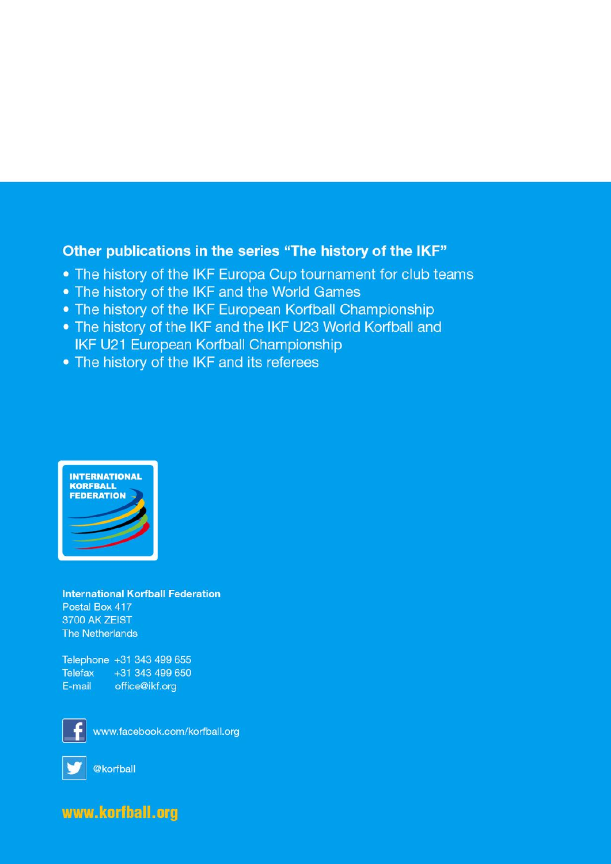## Other publications in the series "The history of the IKF"

- The history of the IKF Europa Cup tournament for club teams
- The history of the IKF and the World Games
- The history of the IKF European Korfball Championship
- . The history of the IKF and the IKF U23 World Korfball and **IKF U21 European Korfball Championship**
- The history of the IKF and its referees



**International Korfball Federation** Postal Box 417 3700 AK ZEIST The Netherlands

Telephone +31 343 499 655 Telefax +31 343 499 650 E-mail office@ikf.org



www.facebook.com/korfball.org



@korfball

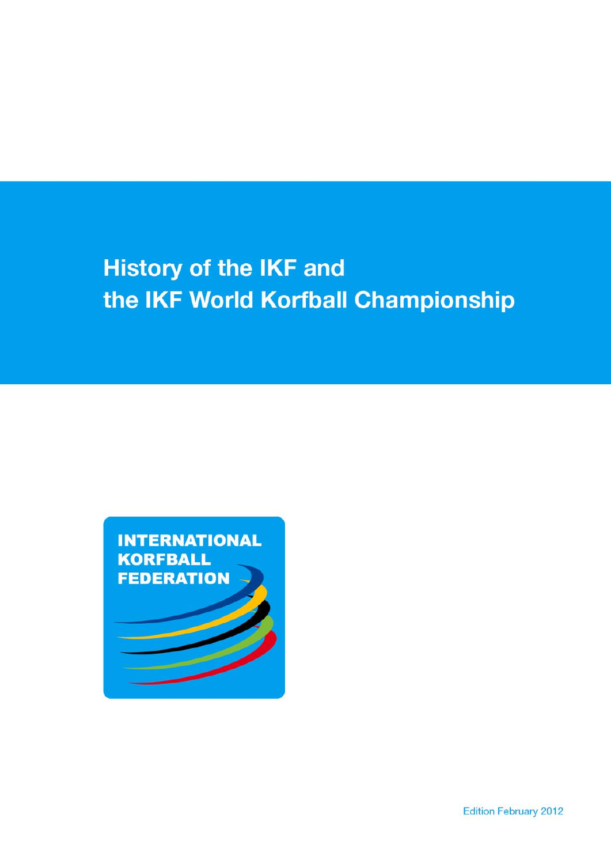# **History of the IKF and** the IKF World Korfball Championship



**Edition February 2012**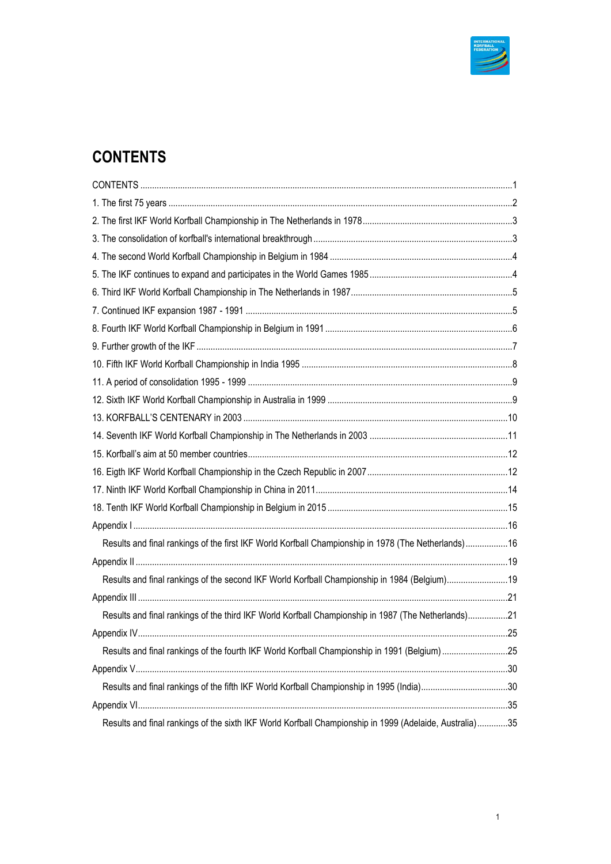

# <span id="page-2-0"></span>**CONTENTS**

| Results and final rankings of the first IKF World Korfball Championship in 1978 (The Netherlands)16     |  |
|---------------------------------------------------------------------------------------------------------|--|
|                                                                                                         |  |
| Results and final rankings of the second IKF World Korfball Championship in 1984 (Belgium)19            |  |
|                                                                                                         |  |
| Results and final rankings of the third IKF World Korfball Championship in 1987 (The Netherlands)21     |  |
|                                                                                                         |  |
| Results and final rankings of the fourth IKF World Korfball Championship in 1991 (Belgium)25            |  |
|                                                                                                         |  |
| Results and final rankings of the fifth IKF World Korfball Championship in 1995 (India)30               |  |
|                                                                                                         |  |
| Results and final rankings of the sixth IKF World Korfball Championship in 1999 (Adelaide, Australia)35 |  |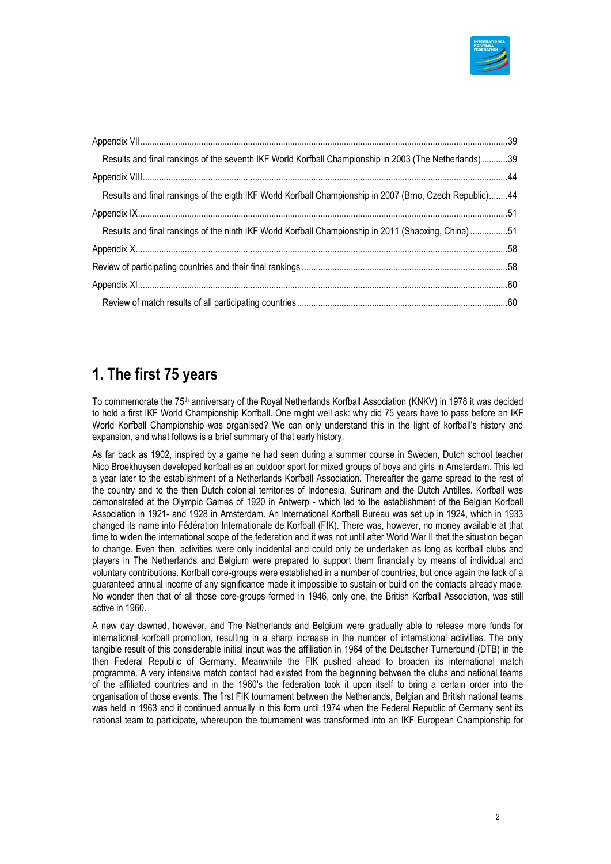

| Results and final rankings of the seventh IKF World Korfball Championship in 2003 (The Netherlands)39    |  |
|----------------------------------------------------------------------------------------------------------|--|
|                                                                                                          |  |
| Results and final rankings of the eigth IKF World Korfball Championship in 2007 (Brno, Czech Republic)44 |  |
|                                                                                                          |  |
| Results and final rankings of the ninth IKF World Korfball Championship in 2011 (Shaoxing, China)51      |  |
|                                                                                                          |  |
|                                                                                                          |  |
|                                                                                                          |  |
|                                                                                                          |  |

## <span id="page-3-0"></span>**1. The first 75 years**

To commemorate the 75<sup>th</sup> anniversary of the Royal Netherlands Korfball Association (KNKV) in 1978 it was decided to hold a first IKF World Championship Korfball. One might well ask: why did 75 years have to pass before an IKF World Korfball Championship was organised? We can only understand this in the light of korfball's history and expansion, and what follows is a brief summary of that early history.

As far back as 1902, inspired by a game he had seen during a summer course in Sweden, Dutch school teacher Nico Broekhuysen developed korfball as an outdoor sport for mixed groups of boys and girls in Amsterdam. This led a year later to the establishment of a Netherlands Korfball Association. Thereafter the game spread to the rest of the country and to the then Dutch colonial territories of Indonesia, Surinam and the Dutch Antilles. Korfball was demonstrated at the Olympic Games of 1920 in Antwerp - which led to the establishment of the Belgian Korfball Association in 1921- and 1928 in Amsterdam. An International Korfball Bureau was set up in 1924, which in 1933 changed its name into Fédération Internationale de Korfball (FIK). There was, however, no money available at that time to widen the international scope of the federation and it was not until after World War II that the situation began to change. Even then, activities were only incidental and could only be undertaken as long as korfball clubs and players in The Netherlands and Belgium were prepared to support them financially by means of individual and voluntary contributions. Korfball core-groups were established in a number of countries, but once again the lack of a guaranteed annual income of any significance made it impossible to sustain or build on the contacts already made. No wonder then that of all those core-groups formed in 1946, only one, the British Korfball Association, was still active in 1960.

A new day dawned, however, and The Netherlands and Belgium were gradually able to release more funds for international korfball promotion, resulting in a sharp increase in the number of international activities. The only tangible result of this considerable initial input was the affiliation in 1964 of the Deutscher Turnerbund (DTB) in the then Federal Republic of Germany. Meanwhile the FIK pushed ahead to broaden its international match programme. A very intensive match contact had existed from the beginning between the clubs and national teams of the affiliated countries and in the 1960's the federation took it upon itself to bring a certain order into the organisation of those events. The first FIK tournament between the Netherlands, Belgian and British national teams was held in 1963 and it continued annually in this form until 1974 when the Federal Republic of Germany sent its national team to participate, whereupon the tournament was transformed into an IKF European Championship for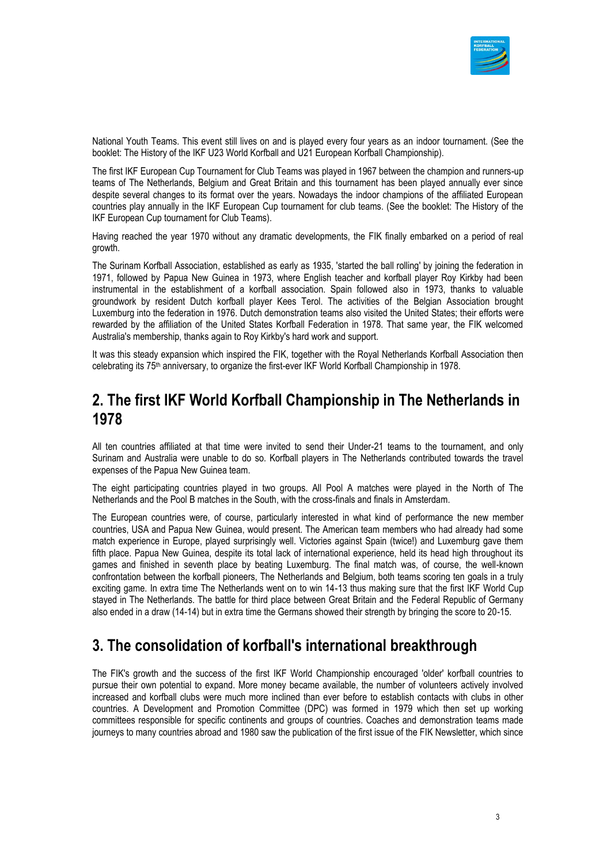

National Youth Teams. This event still lives on and is played every four years as an indoor tournament. (See the booklet: The History of the IKF U23 World Korfball and U21 European Korfball Championship).

The first IKF European Cup Tournament for Club Teams was played in 1967 between the champion and runners-up teams of The Netherlands, Belgium and Great Britain and this tournament has been played annually ever since despite several changes to its format over the years. Nowadays the indoor champions of the affiliated European countries play annually in the IKF European Cup tournament for club teams. (See the booklet: The History of the IKF European Cup tournament for Club Teams).

Having reached the year 1970 without any dramatic developments, the FIK finally embarked on a period of real growth.

The Surinam Korfball Association, established as early as 1935, 'started the ball rolling' by joining the federation in 1971, followed by Papua New Guinea in 1973, where English teacher and korfball player Roy Kirkby had been instrumental in the establishment of a korfball association. Spain followed also in 1973, thanks to valuable groundwork by resident Dutch korfball player Kees Terol. The activities of the Belgian Association brought Luxemburg into the federation in 1976. Dutch demonstration teams also visited the United States; their efforts were rewarded by the affiliation of the United States Korfball Federation in 1978. That same year, the FIK welcomed Australia's membership, thanks again to Roy Kirkby's hard work and support.

It was this steady expansion which inspired the FIK, together with the Royal Netherlands Korfball Association then celebrating its 75th anniversary, to organize the first-ever IKF World Korfball Championship in 1978.

## <span id="page-4-0"></span>**2. The first IKF World Korfball Championship in The Netherlands in 1978**

All ten countries affiliated at that time were invited to send their Under-21 teams to the tournament, and only Surinam and Australia were unable to do so. Korfball players in The Netherlands contributed towards the travel expenses of the Papua New Guinea team.

The eight participating countries played in two groups. All Pool A matches were played in the North of The Netherlands and the Pool B matches in the South, with the cross-finals and finals in Amsterdam.

The European countries were, of course, particularly interested in what kind of performance the new member countries, USA and Papua New Guinea, would present. The American team members who had already had some match experience in Europe, played surprisingly well. Victories against Spain (twice!) and Luxemburg gave them fifth place. Papua New Guinea, despite its total lack of international experience, held its head high throughout its games and finished in seventh place by beating Luxemburg. The final match was, of course, the well-known confrontation between the korfball pioneers, The Netherlands and Belgium, both teams scoring ten goals in a truly exciting game. In extra time The Netherlands went on to win 14-13 thus making sure that the first IKF World Cup stayed in The Netherlands. The battle for third place between Great Britain and the Federal Republic of Germany also ended in a draw (14-14) but in extra time the Germans showed their strength by bringing the score to 20-15.

## <span id="page-4-1"></span>**3. The consolidation of korfball's international breakthrough**

The FIK's growth and the success of the first IKF World Championship encouraged 'older' korfball countries to pursue their own potential to expand. More money became available, the number of volunteers actively involved increased and korfball clubs were much more inclined than ever before to establish contacts with clubs in other countries. A Development and Promotion Committee (DPC) was formed in 1979 which then set up working committees responsible for specific continents and groups of countries. Coaches and demonstration teams made journeys to many countries abroad and 1980 saw the publication of the first issue of the FIK Newsletter, which since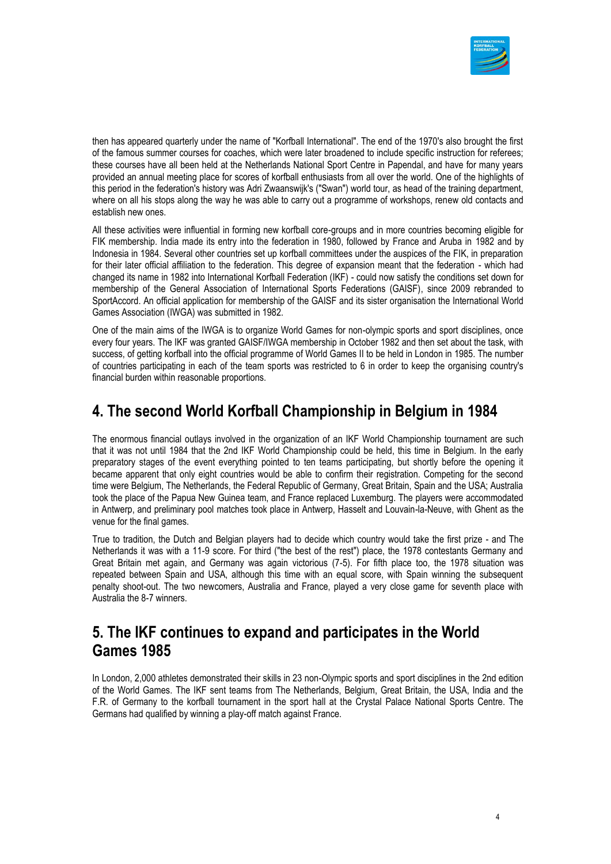

then has appeared quarterly under the name of "Korfball International". The end of the 1970's also brought the first of the famous summer courses for coaches, which were later broadened to include specific instruction for referees; these courses have all been held at the Netherlands National Sport Centre in Papendal, and have for many years provided an annual meeting place for scores of korfball enthusiasts from all over the world. One of the highlights of this period in the federation's history was Adri Zwaanswijk's ("Swan") world tour, as head of the training department, where on all his stops along the way he was able to carry out a programme of workshops, renew old contacts and establish new ones.

All these activities were influential in forming new korfball core-groups and in more countries becoming eligible for FIK membership. India made its entry into the federation in 1980, followed by France and Aruba in 1982 and by Indonesia in 1984. Several other countries set up korfball committees under the auspices of the FIK, in preparation for their later official affiliation to the federation. This degree of expansion meant that the federation - which had changed its name in 1982 into International Korfball Federation (IKF) - could now satisfy the conditions set down for membership of the General Association of International Sports Federations (GAISF), since 2009 rebranded to SportAccord. An official application for membership of the GAISF and its sister organisation the International World Games Association (IWGA) was submitted in 1982.

One of the main aims of the IWGA is to organize World Games for non-olympic sports and sport disciplines, once every four years. The IKF was granted GAISF/IWGA membership in October 1982 and then set about the task, with success, of getting korfball into the official programme of World Games II to be held in London in 1985. The number of countries participating in each of the team sports was restricted to 6 in order to keep the organising country's financial burden within reasonable proportions.

## <span id="page-5-0"></span>**4. The second World Korfball Championship in Belgium in 1984**

The enormous financial outlays involved in the organization of an IKF World Championship tournament are such that it was not until 1984 that the 2nd IKF World Championship could be held, this time in Belgium. In the early preparatory stages of the event everything pointed to ten teams participating, but shortly before the opening it became apparent that only eight countries would be able to confirm their registration. Competing for the second time were Belgium, The Netherlands, the Federal Republic of Germany, Great Britain, Spain and the USA; Australia took the place of the Papua New Guinea team, and France replaced Luxemburg. The players were accommodated in Antwerp, and preliminary pool matches took place in Antwerp, Hasselt and Louvain-la-Neuve, with Ghent as the venue for the final games.

True to tradition, the Dutch and Belgian players had to decide which country would take the first prize - and The Netherlands it was with a 11-9 score. For third ("the best of the rest") place, the 1978 contestants Germany and Great Britain met again, and Germany was again victorious (7-5). For fifth place too, the 1978 situation was repeated between Spain and USA, although this time with an equal score, with Spain winning the subsequent penalty shoot-out. The two newcomers, Australia and France, played a very close game for seventh place with Australia the 8-7 winners.

## <span id="page-5-1"></span>**5. The IKF continues to expand and participates in the World Games 1985**

In London, 2,000 athletes demonstrated their skills in 23 non-Olympic sports and sport disciplines in the 2nd edition of the World Games. The IKF sent teams from The Netherlands, Belgium, Great Britain, the USA, India and the F.R. of Germany to the korfball tournament in the sport hall at the Crystal Palace National Sports Centre. The Germans had qualified by winning a play-off match against France.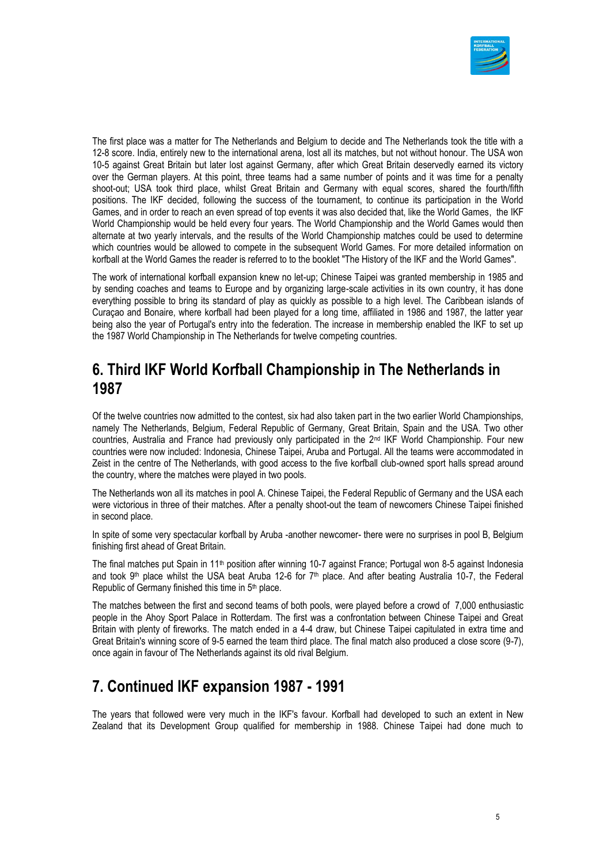

The first place was a matter for The Netherlands and Belgium to decide and The Netherlands took the title with a 12-8 score. India, entirely new to the international arena, lost all its matches, but not without honour. The USA won 10-5 against Great Britain but later lost against Germany, after which Great Britain deservedly earned its victory over the German players. At this point, three teams had a same number of points and it was time for a penalty shoot-out; USA took third place, whilst Great Britain and Germany with equal scores, shared the fourth/fifth positions. The IKF decided, following the success of the tournament, to continue its participation in the World Games, and in order to reach an even spread of top events it was also decided that, like the World Games, the IKF World Championship would be held every four years. The World Championship and the World Games would then alternate at two yearly intervals, and the results of the World Championship matches could be used to determine which countries would be allowed to compete in the subsequent World Games. For more detailed information on korfball at the World Games the reader is referred to to the booklet "The History of the IKF and the World Games".

The work of international korfball expansion knew no let-up; Chinese Taipei was granted membership in 1985 and by sending coaches and teams to Europe and by organizing large-scale activities in its own country, it has done everything possible to bring its standard of play as quickly as possible to a high level. The Caribbean islands of Curaçao and Bonaire, where korfball had been played for a long time, affiliated in 1986 and 1987, the latter year being also the year of Portugal's entry into the federation. The increase in membership enabled the IKF to set up the 1987 World Championship in The Netherlands for twelve competing countries.

## <span id="page-6-0"></span>**6. Third IKF World Korfball Championship in The Netherlands in 1987**

Of the twelve countries now admitted to the contest, six had also taken part in the two earlier World Championships, namely The Netherlands, Belgium, Federal Republic of Germany, Great Britain, Spain and the USA. Two other countries, Australia and France had previously only participated in the 2<sup>nd</sup> IKF World Championship. Four new countries were now included: Indonesia, Chinese Taipei, Aruba and Portugal. All the teams were accommodated in Zeist in the centre of The Netherlands, with good access to the five korfball club-owned sport halls spread around the country, where the matches were played in two pools.

The Netherlands won all its matches in pool A. Chinese Taipei, the Federal Republic of Germany and the USA each were victorious in three of their matches. After a penalty shoot-out the team of newcomers Chinese Taipei finished in second place.

In spite of some very spectacular korfball by Aruba -another newcomer- there were no surprises in pool B, Belgium finishing first ahead of Great Britain.

The final matches put Spain in 11<sup>th</sup> position after winning 10-7 against France; Portugal won 8-5 against Indonesia and took 9<sup>th</sup> place whilst the USA beat Aruba 12-6 for  $7<sup>th</sup>$  place. And after beating Australia 10-7, the Federal Republic of Germany finished this time in 5<sup>th</sup> place.

The matches between the first and second teams of both pools, were played before a crowd of 7,000 enthusiastic people in the Ahoy Sport Palace in Rotterdam. The first was a confrontation between Chinese Taipei and Great Britain with plenty of fireworks. The match ended in a 4-4 draw, but Chinese Taipei capitulated in extra time and Great Britain's winning score of 9-5 earned the team third place. The final match also produced a close score (9-7), once again in favour of The Netherlands against its old rival Belgium.

## <span id="page-6-1"></span>**7. Continued IKF expansion 1987 - 1991**

The years that followed were very much in the IKF's favour. Korfball had developed to such an extent in New Zealand that its Development Group qualified for membership in 1988. Chinese Taipei had done much to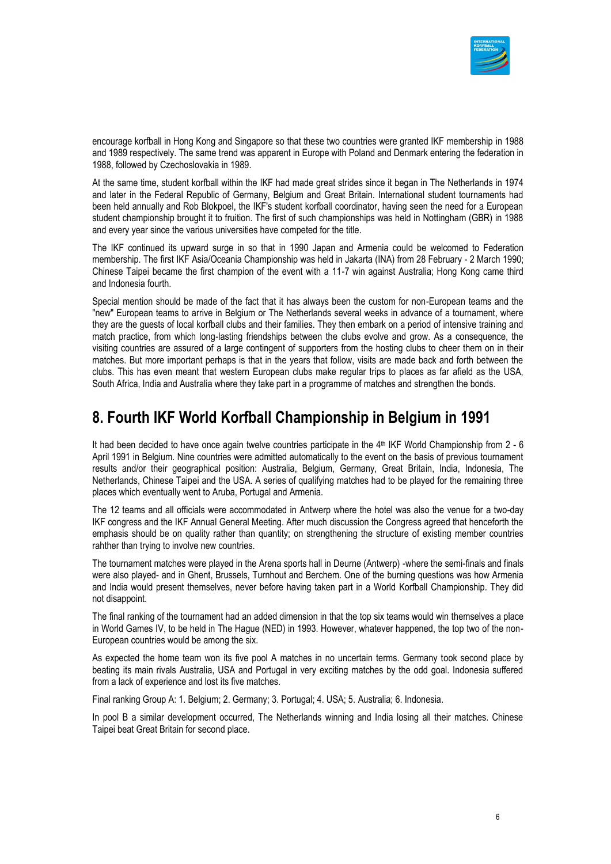

encourage korfball in Hong Kong and Singapore so that these two countries were granted IKF membership in 1988 and 1989 respectively. The same trend was apparent in Europe with Poland and Denmark entering the federation in 1988, followed by Czechoslovakia in 1989.

At the same time, student korfball within the IKF had made great strides since it began in The Netherlands in 1974 and later in the Federal Republic of Germany, Belgium and Great Britain. International student tournaments had been held annually and Rob Blokpoel, the IKF's student korfball coordinator, having seen the need for a European student championship brought it to fruition. The first of such championships was held in Nottingham (GBR) in 1988 and every year since the various universities have competed for the title.

The IKF continued its upward surge in so that in 1990 Japan and Armenia could be welcomed to Federation membership. The first IKF Asia/Oceania Championship was held in Jakarta (INA) from 28 February - 2 March 1990; Chinese Taipei became the first champion of the event with a 11-7 win against Australia; Hong Kong came third and Indonesia fourth.

Special mention should be made of the fact that it has always been the custom for non-European teams and the "new" European teams to arrive in Belgium or The Netherlands several weeks in advance of a tournament, where they are the guests of local korfball clubs and their families. They then embark on a period of intensive training and match practice, from which long-lasting friendships between the clubs evolve and grow. As a consequence, the visiting countries are assured of a large contingent of supporters from the hosting clubs to cheer them on in their matches. But more important perhaps is that in the years that follow, visits are made back and forth between the clubs. This has even meant that western European clubs make regular trips to places as far afield as the USA, South Africa, India and Australia where they take part in a programme of matches and strengthen the bonds.

## <span id="page-7-0"></span>**8. Fourth IKF World Korfball Championship in Belgium in 1991**

It had been decided to have once again twelve countries participate in the 4<sup>th</sup> IKF World Championship from 2 - 6 April 1991 in Belgium. Nine countries were admitted automatically to the event on the basis of previous tournament results and/or their geographical position: Australia, Belgium, Germany, Great Britain, India, Indonesia, The Netherlands, Chinese Taipei and the USA. A series of qualifying matches had to be played for the remaining three places which eventually went to Aruba, Portugal and Armenia.

The 12 teams and all officials were accommodated in Antwerp where the hotel was also the venue for a two-day IKF congress and the IKF Annual General Meeting. After much discussion the Congress agreed that henceforth the emphasis should be on quality rather than quantity; on strengthening the structure of existing member countries rahther than trying to involve new countries.

The tournament matches were played in the Arena sports hall in Deurne (Antwerp) -where the semi-finals and finals were also played- and in Ghent, Brussels, Turnhout and Berchem. One of the burning questions was how Armenia and India would present themselves, never before having taken part in a World Korfball Championship. They did not disappoint.

The final ranking of the tournament had an added dimension in that the top six teams would win themselves a place in World Games IV, to be held in The Hague (NED) in 1993. However, whatever happened, the top two of the non-European countries would be among the six.

As expected the home team won its five pool A matches in no uncertain terms. Germany took second place by beating its main rivals Australia, USA and Portugal in very exciting matches by the odd goal. Indonesia suffered from a lack of experience and lost its five matches.

Final ranking Group A: 1. Belgium; 2. Germany; 3. Portugal; 4. USA; 5. Australia; 6. Indonesia.

In pool B a similar development occurred, The Netherlands winning and India losing all their matches. Chinese Taipei beat Great Britain for second place.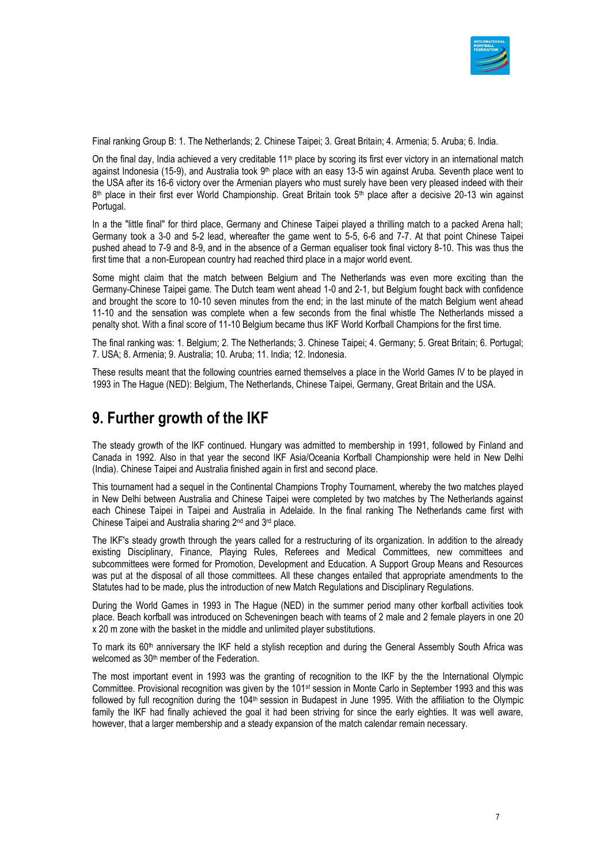

Final ranking Group B: 1. The Netherlands; 2. Chinese Taipei; 3. Great Britain; 4. Armenia; 5. Aruba; 6. India.

On the final day, India achieved a very creditable 11<sup>th</sup> place by scoring its first ever victory in an international match against Indonesia (15-9), and Australia took 9<sup>th</sup> place with an easy 13-5 win against Aruba. Seventh place went to the USA after its 16-6 victory over the Armenian players who must surely have been very pleased indeed with their 8<sup>th</sup> place in their first ever World Championship. Great Britain took 5<sup>th</sup> place after a decisive 20-13 win against Portugal.

In a the "little final" for third place, Germany and Chinese Taipei played a thrilling match to a packed Arena hall; Germany took a 3-0 and 5-2 lead, whereafter the game went to 5-5, 6-6 and 7-7. At that point Chinese Taipei pushed ahead to 7-9 and 8-9, and in the absence of a German equaliser took final victory 8-10. This was thus the first time that a non-European country had reached third place in a major world event.

Some might claim that the match between Belgium and The Netherlands was even more exciting than the Germany-Chinese Taipei game. The Dutch team went ahead 1-0 and 2-1, but Belgium fought back with confidence and brought the score to 10-10 seven minutes from the end; in the last minute of the match Belgium went ahead 11-10 and the sensation was complete when a few seconds from the final whistle The Netherlands missed a penalty shot. With a final score of 11-10 Belgium became thus IKF World Korfball Champions for the first time.

The final ranking was: 1. Belgium; 2. The Netherlands; 3. Chinese Taipei; 4. Germany; 5. Great Britain; 6. Portugal; 7. USA; 8. Armenia; 9. Australia; 10. Aruba; 11. India; 12. Indonesia.

These results meant that the following countries earned themselves a place in the World Games IV to be played in 1993 in The Hague (NED): Belgium, The Netherlands, Chinese Taipei, Germany, Great Britain and the USA.

## <span id="page-8-0"></span>**9. Further growth of the IKF**

The steady growth of the IKF continued. Hungary was admitted to membership in 1991, followed by Finland and Canada in 1992. Also in that year the second IKF Asia/Oceania Korfball Championship were held in New Delhi (India). Chinese Taipei and Australia finished again in first and second place.

This tournament had a sequel in the Continental Champions Trophy Tournament, whereby the two matches played in New Delhi between Australia and Chinese Taipei were completed by two matches by The Netherlands against each Chinese Taipei in Taipei and Australia in Adelaide. In the final ranking The Netherlands came first with Chinese Taipei and Australia sharing 2<sup>nd</sup> and 3<sup>rd</sup> place.

The IKF's steady growth through the years called for a restructuring of its organization. In addition to the already existing Disciplinary, Finance, Playing Rules, Referees and Medical Committees, new committees and subcommittees were formed for Promotion, Development and Education. A Support Group Means and Resources was put at the disposal of all those committees. All these changes entailed that appropriate amendments to the Statutes had to be made, plus the introduction of new Match Regulations and Disciplinary Regulations.

During the World Games in 1993 in The Hague (NED) in the summer period many other korfball activities took place. Beach korfball was introduced on Scheveningen beach with teams of 2 male and 2 female players in one 20 x 20 m zone with the basket in the middle and unlimited player substitutions.

To mark its 60th anniversary the IKF held a stylish reception and during the General Assembly South Africa was welcomed as 30<sup>th</sup> member of the Federation.

The most important event in 1993 was the granting of recognition to the IKF by the the International Olympic Committee. Provisional recognition was given by the 101<sup>st</sup> session in Monte Carlo in September 1993 and this was followed by full recognition during the 104<sup>th</sup> session in Budapest in June 1995. With the affiliation to the Olympic family the IKF had finally achieved the goal it had been striving for since the early eighties. It was well aware, however, that a larger membership and a steady expansion of the match calendar remain necessary.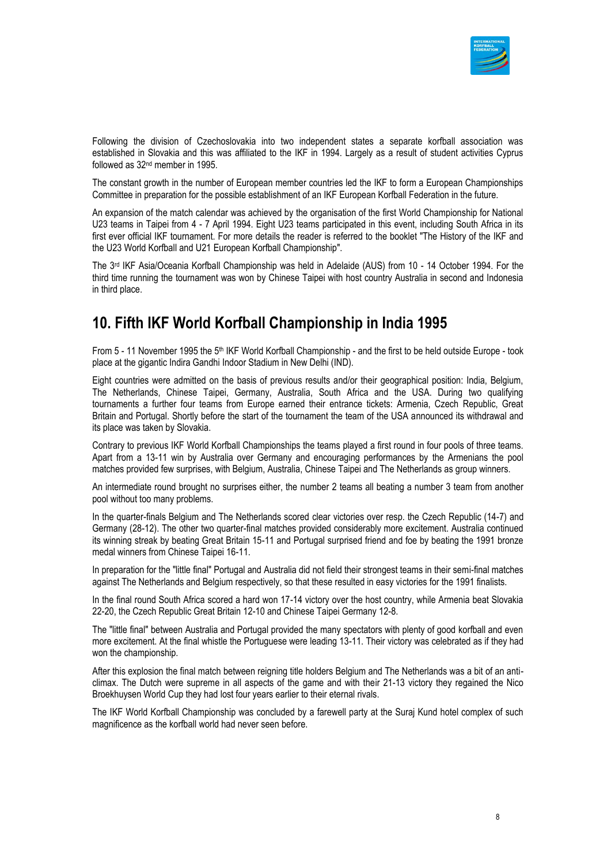

Following the division of Czechoslovakia into two independent states a separate korfball association was established in Slovakia and this was affiliated to the IKF in 1994. Largely as a result of student activities Cyprus followed as 32nd member in 1995.

The constant growth in the number of European member countries led the IKF to form a European Championships Committee in preparation for the possible establishment of an IKF European Korfball Federation in the future.

An expansion of the match calendar was achieved by the organisation of the first World Championship for National U23 teams in Taipei from 4 - 7 April 1994. Eight U23 teams participated in this event, including South Africa in its first ever official IKF tournament. For more details the reader is referred to the booklet "The History of the IKF and the U23 World Korfball and U21 European Korfball Championship".

The 3rd IKF Asia/Oceania Korfball Championship was held in Adelaide (AUS) from 10 - 14 October 1994. For the third time running the tournament was won by Chinese Taipei with host country Australia in second and Indonesia in third place.

## <span id="page-9-0"></span>**10. Fifth IKF World Korfball Championship in India 1995**

From 5 - 11 November 1995 the 5th IKF World Korfball Championship - and the first to be held outside Europe - took place at the gigantic Indira Gandhi Indoor Stadium in New Delhi (IND).

Eight countries were admitted on the basis of previous results and/or their geographical position: India, Belgium, The Netherlands, Chinese Taipei, Germany, Australia, South Africa and the USA. During two qualifying tournaments a further four teams from Europe earned their entrance tickets: Armenia, Czech Republic, Great Britain and Portugal. Shortly before the start of the tournament the team of the USA announced its withdrawal and its place was taken by Slovakia.

Contrary to previous IKF World Korfball Championships the teams played a first round in four pools of three teams. Apart from a 13-11 win by Australia over Germany and encouraging performances by the Armenians the pool matches provided few surprises, with Belgium, Australia, Chinese Taipei and The Netherlands as group winners.

An intermediate round brought no surprises either, the number 2 teams all beating a number 3 team from another pool without too many problems.

In the quarter-finals Belgium and The Netherlands scored clear victories over resp. the Czech Republic (14-7) and Germany (28-12). The other two quarter-final matches provided considerably more excitement. Australia continued its winning streak by beating Great Britain 15-11 and Portugal surprised friend and foe by beating the 1991 bronze medal winners from Chinese Taipei 16-11.

In preparation for the "little final" Portugal and Australia did not field their strongest teams in their semi-final matches against The Netherlands and Belgium respectively, so that these resulted in easy victories for the 1991 finalists.

In the final round South Africa scored a hard won 17-14 victory over the host country, while Armenia beat Slovakia 22-20, the Czech Republic Great Britain 12-10 and Chinese Taipei Germany 12-8.

The "little final" between Australia and Portugal provided the many spectators with plenty of good korfball and even more excitement. At the final whistle the Portuguese were leading 13-11. Their victory was celebrated as if they had won the championship.

After this explosion the final match between reigning title holders Belgium and The Netherlands was a bit of an anticlimax. The Dutch were supreme in all aspects of the game and with their 21-13 victory they regained the Nico Broekhuysen World Cup they had lost four years earlier to their eternal rivals.

The IKF World Korfball Championship was concluded by a farewell party at the Suraj Kund hotel complex of such magnificence as the korfball world had never seen before.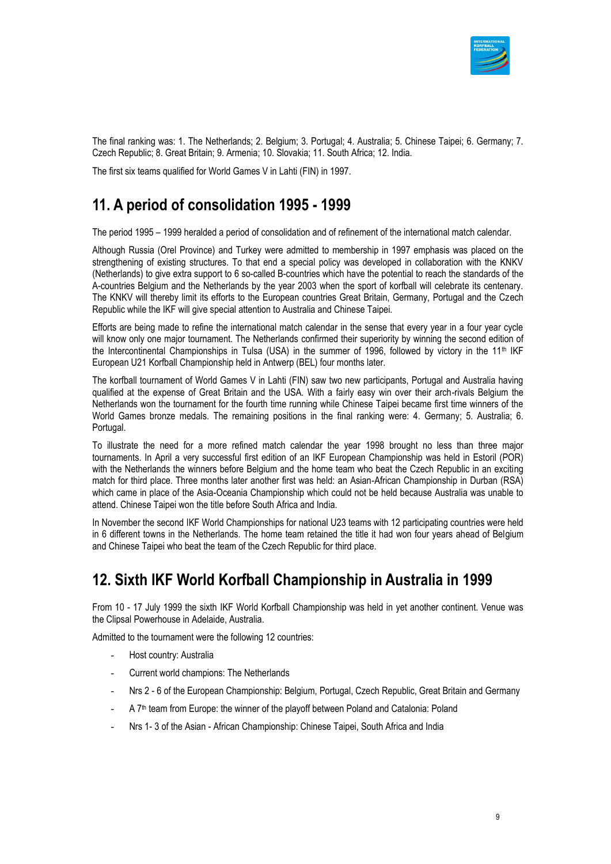

The final ranking was: 1. The Netherlands; 2. Belgium; 3. Portugal; 4. Australia; 5. Chinese Taipei; 6. Germany; 7. Czech Republic; 8. Great Britain; 9. Armenia; 10. Slovakia; 11. South Africa; 12. India.

The first six teams qualified for World Games V in Lahti (FIN) in 1997.

## <span id="page-10-0"></span>**11. A period of consolidation 1995 - 1999**

The period 1995 – 1999 heralded a period of consolidation and of refinement of the international match calendar.

Although Russia (Orel Province) and Turkey were admitted to membership in 1997 emphasis was placed on the strengthening of existing structures. To that end a special policy was developed in collaboration with the KNKV (Netherlands) to give extra support to 6 so-called B-countries which have the potential to reach the standards of the A-countries Belgium and the Netherlands by the year 2003 when the sport of korfball will celebrate its centenary. The KNKV will thereby limit its efforts to the European countries Great Britain, Germany, Portugal and the Czech Republic while the IKF will give special attention to Australia and Chinese Taipei.

Efforts are being made to refine the international match calendar in the sense that every year in a four year cycle will know only one major tournament. The Netherlands confirmed their superiority by winning the second edition of the Intercontinental Championships in Tulsa (USA) in the summer of 1996, followed by victory in the 11<sup>th</sup> IKF European U21 Korfball Championship held in Antwerp (BEL) four months later.

The korfball tournament of World Games V in Lahti (FIN) saw two new participants, Portugal and Australia having qualified at the expense of Great Britain and the USA. With a fairly easy win over their arch-rivals Belgium the Netherlands won the tournament for the fourth time running while Chinese Taipei became first time winners of the World Games bronze medals. The remaining positions in the final ranking were: 4. Germany; 5. Australia; 6. Portugal.

To illustrate the need for a more refined match calendar the year 1998 brought no less than three major tournaments. In April a very successful first edition of an IKF European Championship was held in Estoril (POR) with the Netherlands the winners before Belgium and the home team who beat the Czech Republic in an exciting match for third place. Three months later another first was held: an Asian-African Championship in Durban (RSA) which came in place of the Asia-Oceania Championship which could not be held because Australia was unable to attend. Chinese Taipei won the title before South Africa and India.

In November the second IKF World Championships for national U23 teams with 12 participating countries were held in 6 different towns in the Netherlands. The home team retained the title it had won four years ahead of Belgium and Chinese Taipei who beat the team of the Czech Republic for third place.

## <span id="page-10-1"></span>**12. Sixth IKF World Korfball Championship in Australia in 1999**

From 10 - 17 July 1999 the sixth IKF World Korfball Championship was held in yet another continent. Venue was the Clipsal Powerhouse in Adelaide, Australia.

Admitted to the tournament were the following 12 countries:

- Host country: Australia
- Current world champions: The Netherlands
- Nrs 2 6 of the European Championship: Belgium, Portugal, Czech Republic, Great Britain and Germany
- A 7<sup>th</sup> team from Europe: the winner of the playoff between Poland and Catalonia: Poland
- Nrs 1- 3 of the Asian African Championship: Chinese Taipei, South Africa and India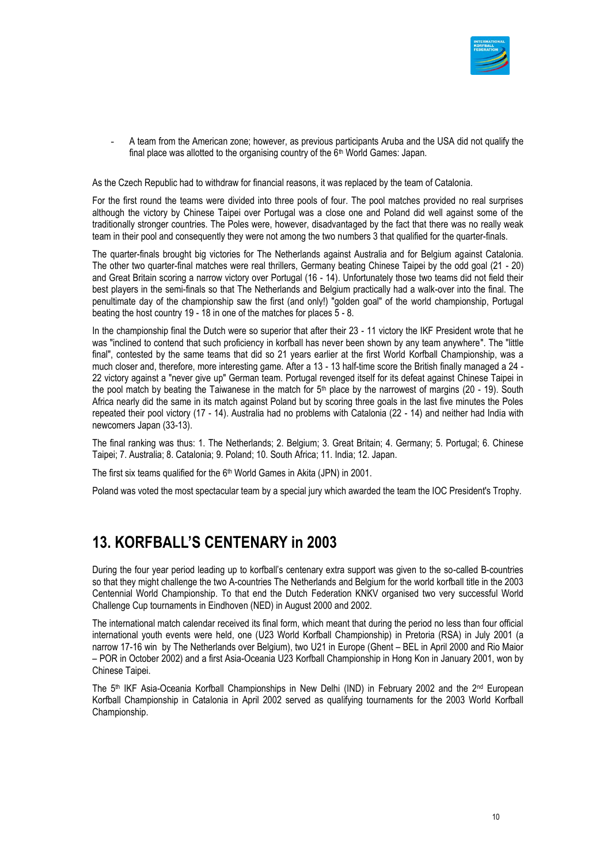

- A team from the American zone; however, as previous participants Aruba and the USA did not qualify the final place was allotted to the organising country of the  $6<sup>th</sup>$  World Games: Japan.

As the Czech Republic had to withdraw for financial reasons, it was replaced by the team of Catalonia.

For the first round the teams were divided into three pools of four. The pool matches provided no real surprises although the victory by Chinese Taipei over Portugal was a close one and Poland did well against some of the traditionally stronger countries. The Poles were, however, disadvantaged by the fact that there was no really weak team in their pool and consequently they were not among the two numbers 3 that qualified for the quarter-finals.

The quarter-finals brought big victories for The Netherlands against Australia and for Belgium against Catalonia. The other two quarter-final matches were real thrillers, Germany beating Chinese Taipei by the odd goal (21 - 20) and Great Britain scoring a narrow victory over Portugal (16 - 14). Unfortunately those two teams did not field their best players in the semi-finals so that The Netherlands and Belgium practically had a walk-over into the final. The penultimate day of the championship saw the first (and only!) "golden goal" of the world championship, Portugal beating the host country 19 - 18 in one of the matches for places 5 - 8.

In the championship final the Dutch were so superior that after their 23 - 11 victory the IKF President wrote that he was "inclined to contend that such proficiency in korfball has never been shown by any team anywhere". The "little final", contested by the same teams that did so 21 years earlier at the first World Korfball Championship, was a much closer and, therefore, more interesting game. After a 13 - 13 half-time score the British finally managed a 24 - 22 victory against a "never give up" German team. Portugal revenged itself for its defeat against Chinese Taipei in the pool match by beating the Taiwanese in the match for 5<sup>th</sup> place by the narrowest of margins (20 - 19). South Africa nearly did the same in its match against Poland but by scoring three goals in the last five minutes the Poles repeated their pool victory (17 - 14). Australia had no problems with Catalonia (22 - 14) and neither had India with newcomers Japan (33-13).

The final ranking was thus: 1. The Netherlands; 2. Belgium; 3. Great Britain; 4. Germany; 5. Portugal; 6. Chinese Taipei; 7. Australia; 8. Catalonia; 9. Poland; 10. South Africa; 11. India; 12. Japan.

The first six teams qualified for the 6<sup>th</sup> World Games in Akita (JPN) in 2001.

Poland was voted the most spectacular team by a special jury which awarded the team the IOC President's Trophy.

## <span id="page-11-0"></span>**13. KORFBALL'S CENTENARY in 2003**

During the four year period leading up to korfball's centenary extra support was given to the so-called B-countries so that they might challenge the two A-countries The Netherlands and Belgium for the world korfball title in the 2003 Centennial World Championship. To that end the Dutch Federation KNKV organised two very successful World Challenge Cup tournaments in Eindhoven (NED) in August 2000 and 2002.

The international match calendar received its final form, which meant that during the period no less than four official international youth events were held, one (U23 World Korfball Championship) in Pretoria (RSA) in July 2001 (a narrow 17-16 win by The Netherlands over Belgium), two U21 in Europe (Ghent – BEL in April 2000 and Rio Maior – POR in October 2002) and a first Asia-Oceania U23 Korfball Championship in Hong Kon in January 2001, won by Chinese Taipei.

The 5<sup>th</sup> IKF Asia-Oceania Korfball Championships in New Delhi (IND) in February 2002 and the 2<sup>nd</sup> European Korfball Championship in Catalonia in April 2002 served as qualifying tournaments for the 2003 World Korfball Championship.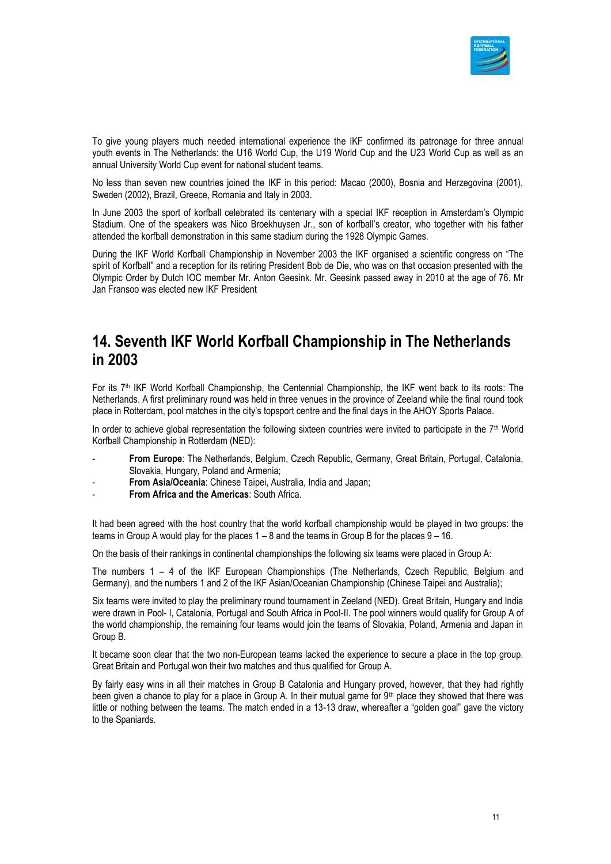

To give young players much needed international experience the IKF confirmed its patronage for three annual youth events in The Netherlands: the U16 World Cup, the U19 World Cup and the U23 World Cup as well as an annual University World Cup event for national student teams.

No less than seven new countries joined the IKF in this period: Macao (2000), Bosnia and Herzegovina (2001), Sweden (2002), Brazil, Greece, Romania and Italy in 2003.

In June 2003 the sport of korfball celebrated its centenary with a special IKF reception in Amsterdam's Olympic Stadium. One of the speakers was Nico Broekhuysen Jr., son of korfball's creator, who together with his father attended the korfball demonstration in this same stadium during the 1928 Olympic Games.

During the IKF World Korfball Championship in November 2003 the IKF organised a scientific congress on "The spirit of Korfball" and a reception for its retiring President Bob de Die, who was on that occasion presented with the Olympic Order by Dutch IOC member Mr. Anton Geesink. Mr. Geesink passed away in 2010 at the age of 76. Mr Jan Fransoo was elected new IKF President

## <span id="page-12-0"></span>**14. Seventh IKF World Korfball Championship in The Netherlands in 2003**

For its 7th IKF World Korfball Championship, the Centennial Championship, the IKF went back to its roots: The Netherlands. A first preliminary round was held in three venues in the province of Zeeland while the final round took place in Rotterdam, pool matches in the city's topsport centre and the final days in the AHOY Sports Palace.

In order to achieve global representation the following sixteen countries were invited to participate in the  $7<sup>th</sup>$  World Korfball Championship in Rotterdam (NED):

- **From Europe**: The Netherlands, Belgium, Czech Republic, Germany, Great Britain, Portugal, Catalonia, Slovakia, Hungary, Poland and Armenia;
- **From Asia/Oceania**: Chinese Taipei, Australia, India and Japan;
- **From Africa and the Americas**: South Africa.

It had been agreed with the host country that the world korfball championship would be played in two groups: the teams in Group A would play for the places  $1 - 8$  and the teams in Group B for the places  $9 - 16$ .

On the basis of their rankings in continental championships the following six teams were placed in Group A:

The numbers 1 – 4 of the IKF European Championships (The Netherlands, Czech Republic, Belgium and Germany), and the numbers 1 and 2 of the IKF Asian/Oceanian Championship (Chinese Taipei and Australia);

Six teams were invited to play the preliminary round tournament in Zeeland (NED). Great Britain, Hungary and India were drawn in Pool- I, Catalonia, Portugal and South Africa in Pool-II. The pool winners would qualify for Group A of the world championship, the remaining four teams would join the teams of Slovakia, Poland, Armenia and Japan in Group B.

It became soon clear that the two non-European teams lacked the experience to secure a place in the top group. Great Britain and Portugal won their two matches and thus qualified for Group A.

By fairly easy wins in all their matches in Group B Catalonia and Hungary proved, however, that they had rightly been given a chance to play for a place in Group A. In their mutual game for 9<sup>th</sup> place they showed that there was little or nothing between the teams. The match ended in a 13-13 draw, whereafter a "golden goal" gave the victory to the Spaniards.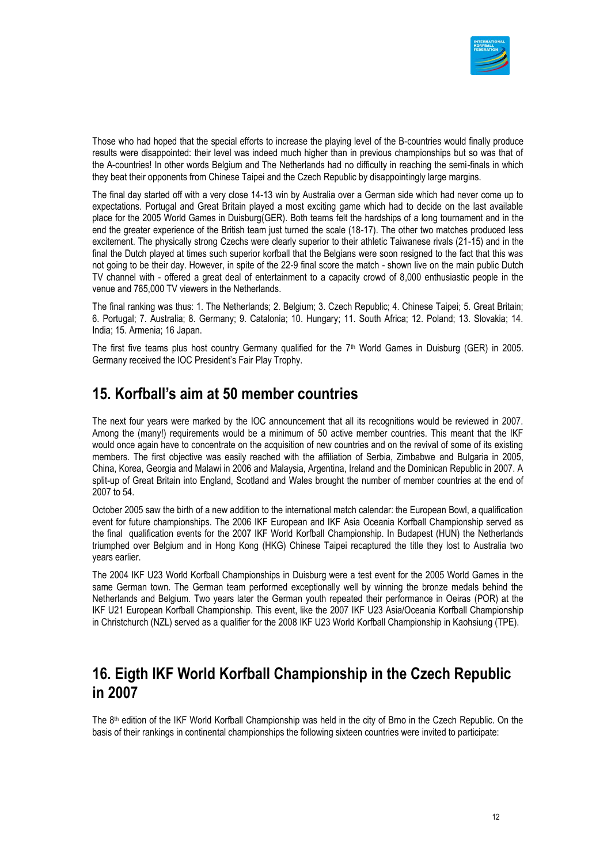

Those who had hoped that the special efforts to increase the playing level of the B-countries would finally produce results were disappointed: their level was indeed much higher than in previous championships but so was that of the A-countries! In other words Belgium and The Netherlands had no difficulty in reaching the semi-finals in which they beat their opponents from Chinese Taipei and the Czech Republic by disappointingly large margins.

The final day started off with a very close 14-13 win by Australia over a German side which had never come up to expectations. Portugal and Great Britain played a most exciting game which had to decide on the last available place for the 2005 World Games in Duisburg(GER). Both teams felt the hardships of a long tournament and in the end the greater experience of the British team just turned the scale (18-17). The other two matches produced less excitement. The physically strong Czechs were clearly superior to their athletic Taiwanese rivals (21-15) and in the final the Dutch played at times such superior korfball that the Belgians were soon resigned to the fact that this was not going to be their day. However, in spite of the 22-9 final score the match - shown live on the main public Dutch TV channel with - offered a great deal of entertainment to a capacity crowd of 8,000 enthusiastic people in the venue and 765,000 TV viewers in the Netherlands.

The final ranking was thus: 1. The Netherlands; 2. Belgium; 3. Czech Republic; 4. Chinese Taipei; 5. Great Britain; 6. Portugal; 7. Australia; 8. Germany; 9. Catalonia; 10. Hungary; 11. South Africa; 12. Poland; 13. Slovakia; 14. India; 15. Armenia; 16 Japan.

The first five teams plus host country Germany qualified for the  $7<sup>th</sup>$  World Games in Duisburg (GER) in 2005. Germany received the IOC President's Fair Play Trophy.

## <span id="page-13-0"></span>**15. Korfball's aim at 50 member countries**

The next four years were marked by the IOC announcement that all its recognitions would be reviewed in 2007. Among the (many!) requirements would be a minimum of 50 active member countries. This meant that the IKF would once again have to concentrate on the acquisition of new countries and on the revival of some of its existing members. The first objective was easily reached with the affiliation of Serbia, Zimbabwe and Bulgaria in 2005, China, Korea, Georgia and Malawi in 2006 and Malaysia, Argentina, Ireland and the Dominican Republic in 2007. A split-up of Great Britain into England, Scotland and Wales brought the number of member countries at the end of 2007 to 54.

October 2005 saw the birth of a new addition to the international match calendar: the European Bowl, a qualification event for future championships. The 2006 IKF European and IKF Asia Oceania Korfball Championship served as the final qualification events for the 2007 IKF World Korfball Championship. In Budapest (HUN) the Netherlands triumphed over Belgium and in Hong Kong (HKG) Chinese Taipei recaptured the title they lost to Australia two years earlier.

The 2004 IKF U23 World Korfball Championships in Duisburg were a test event for the 2005 World Games in the same German town. The German team performed exceptionally well by winning the bronze medals behind the Netherlands and Belgium. Two years later the German youth repeated their performance in Oeiras (POR) at the IKF U21 European Korfball Championship. This event, like the 2007 IKF U23 Asia/Oceania Korfball Championship in Christchurch (NZL) served as a qualifier for the 2008 IKF U23 World Korfball Championship in Kaohsiung (TPE).

## <span id="page-13-1"></span>**16. Eigth IKF World Korfball Championship in the Czech Republic in 2007**

The 8<sup>th</sup> edition of the IKF World Korfball Championship was held in the city of Brno in the Czech Republic. On the basis of their rankings in continental championships the following sixteen countries were invited to participate: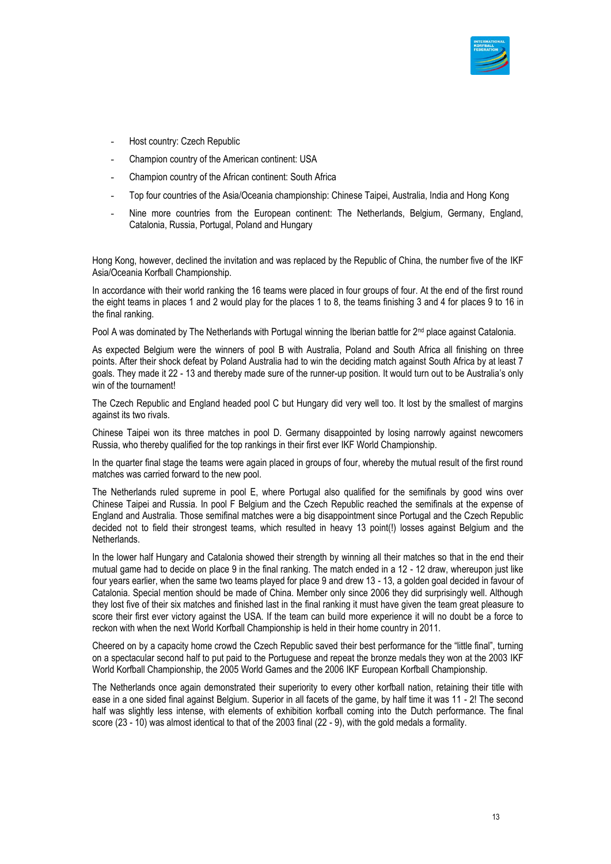

- Host country: Czech Republic
- Champion country of the American continent: USA
- Champion country of the African continent: South Africa
- Top four countries of the Asia/Oceania championship: Chinese Taipei, Australia, India and Hong Kong
- Nine more countries from the European continent: The Netherlands, Belgium, Germany, England, Catalonia, Russia, Portugal, Poland and Hungary

Hong Kong, however, declined the invitation and was replaced by the Republic of China, the number five of the IKF Asia/Oceania Korfball Championship.

In accordance with their world ranking the 16 teams were placed in four groups of four. At the end of the first round the eight teams in places 1 and 2 would play for the places 1 to 8, the teams finishing 3 and 4 for places 9 to 16 in the final ranking.

Pool A was dominated by The Netherlands with Portugal winning the Iberian battle for  $2^{nd}$  place against Catalonia.

As expected Belgium were the winners of pool B with Australia, Poland and South Africa all finishing on three points. After their shock defeat by Poland Australia had to win the deciding match against South Africa by at least 7 goals. They made it 22 - 13 and thereby made sure of the runner-up position. It would turn out to be Australia's only win of the tournament!

The Czech Republic and England headed pool C but Hungary did very well too. It lost by the smallest of margins against its two rivals.

Chinese Taipei won its three matches in pool D. Germany disappointed by losing narrowly against newcomers Russia, who thereby qualified for the top rankings in their first ever IKF World Championship.

In the quarter final stage the teams were again placed in groups of four, whereby the mutual result of the first round matches was carried forward to the new pool.

The Netherlands ruled supreme in pool E, where Portugal also qualified for the semifinals by good wins over Chinese Taipei and Russia. In pool F Belgium and the Czech Republic reached the semifinals at the expense of England and Australia. Those semifinal matches were a big disappointment since Portugal and the Czech Republic decided not to field their strongest teams, which resulted in heavy 13 point(!) losses against Belgium and the Netherlands.

In the lower half Hungary and Catalonia showed their strength by winning all their matches so that in the end their mutual game had to decide on place 9 in the final ranking. The match ended in a 12 - 12 draw, whereupon just like four years earlier, when the same two teams played for place 9 and drew 13 - 13, a golden goal decided in favour of Catalonia. Special mention should be made of China. Member only since 2006 they did surprisingly well. Although they lost five of their six matches and finished last in the final ranking it must have given the team great pleasure to score their first ever victory against the USA. If the team can build more experience it will no doubt be a force to reckon with when the next World Korfball Championship is held in their home country in 2011.

Cheered on by a capacity home crowd the Czech Republic saved their best performance for the "little final", turning on a spectacular second half to put paid to the Portuguese and repeat the bronze medals they won at the 2003 IKF World Korfball Championship, the 2005 World Games and the 2006 IKF European Korfball Championship.

The Netherlands once again demonstrated their superiority to every other korfball nation, retaining their title with ease in a one sided final against Belgium. Superior in all facets of the game, by half time it was 11 - 2! The second half was slightly less intense, with elements of exhibition korfball coming into the Dutch performance. The final score (23 - 10) was almost identical to that of the 2003 final (22 - 9), with the gold medals a formality.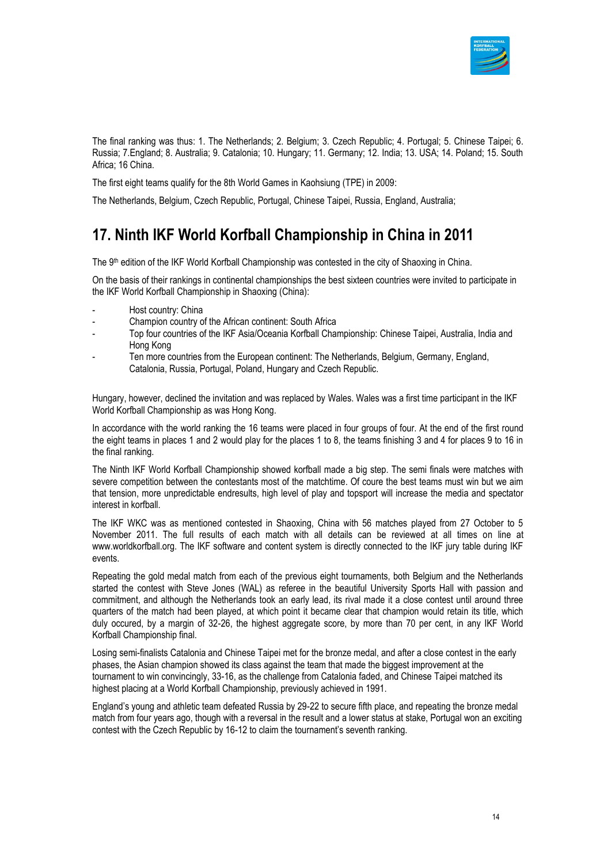

The final ranking was thus: 1. The Netherlands; 2. Belgium; 3. Czech Republic; 4. Portugal; 5. Chinese Taipei; 6. Russia; 7.England; 8. Australia; 9. Catalonia; 10. Hungary; 11. Germany; 12. India; 13. USA; 14. Poland; 15. South Africa; 16 China.

The first eight teams qualify for the 8th World Games in Kaohsiung (TPE) in 2009:

The Netherlands, Belgium, Czech Republic, Portugal, Chinese Taipei, Russia, England, Australia;

## <span id="page-15-0"></span>**17. Ninth IKF World Korfball Championship in China in 2011**

The 9<sup>th</sup> edition of the IKF World Korfball Championship was contested in the city of Shaoxing in China.

On the basis of their rankings in continental championships the best sixteen countries were invited to participate in the IKF World Korfball Championship in Shaoxing (China):

- Host country: China
- Champion country of the African continent: South Africa
- Top four countries of the IKF Asia/Oceania Korfball Championship: Chinese Taipei, Australia, India and Hong Kong
- Ten more countries from the European continent: The Netherlands, Belgium, Germany, England, Catalonia, Russia, Portugal, Poland, Hungary and Czech Republic.

Hungary, however, declined the invitation and was replaced by Wales. Wales was a first time participant in the IKF World Korfball Championship as was Hong Kong.

In accordance with the world ranking the 16 teams were placed in four groups of four. At the end of the first round the eight teams in places 1 and 2 would play for the places 1 to 8, the teams finishing 3 and 4 for places 9 to 16 in the final ranking.

The Ninth IKF World Korfball Championship showed korfball made a big step. The semi finals were matches with severe competition between the contestants most of the matchtime. Of coure the best teams must win but we aim that tension, more unpredictable endresults, high level of play and topsport will increase the media and spectator interest in korfball.

The IKF WKC was as mentioned contested in Shaoxing, China with 56 matches played from 27 October to 5 November 2011. The full results of each match with all details can be reviewed at all times on line at www.worldkorfball.org. The IKF software and content system is directly connected to the IKF jury table during IKF events.

Repeating the gold medal match from each of the previous eight tournaments, both Belgium and the Netherlands started the contest with Steve Jones (WAL) as referee in the beautiful University Sports Hall with passion and commitment, and although the Netherlands took an early lead, its rival made it a close contest until around three quarters of the match had been played, at which point it became clear that champion would retain its title, which duly occured, by a margin of 32-26, the highest aggregate score, by more than 70 per cent, in any IKF World Korfball Championship final.

Losing semi-finalists Catalonia and Chinese Taipei met for the bronze medal, and after a close contest in the early phases, the Asian champion showed its class against the team that made the biggest improvement at the tournament to win convincingly, 33-16, as the challenge from Catalonia faded, and Chinese Taipei matched its highest placing at a World Korfball Championship, previously achieved in 1991.

England's young and athletic team defeated Russia by 29-22 to secure fifth place, and repeating the bronze medal match from four years ago, though with a reversal in the result and a lower status at stake, Portugal won an exciting contest with the Czech Republic by 16-12 to claim the tournament's seventh ranking.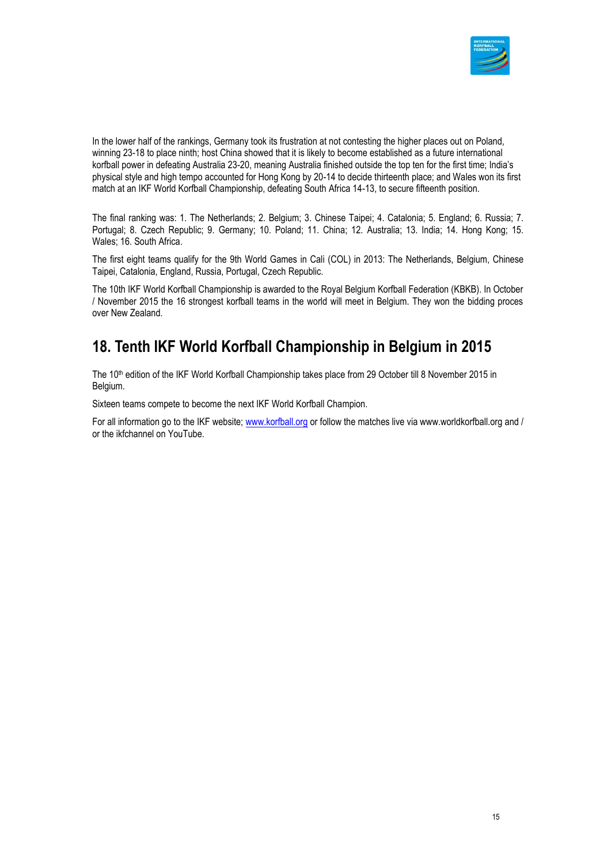

In the lower half of the rankings, Germany took its frustration at not contesting the higher places out on Poland, winning 23-18 to place ninth; host China showed that it is likely to become established as a future international korfball power in defeating Australia 23-20, meaning Australia finished outside the top ten for the first time; India's physical style and high tempo accounted for Hong Kong by 20-14 to decide thirteenth place; and Wales won its first match at an IKF World Korfball Championship, defeating South Africa 14-13, to secure fifteenth position.

The final ranking was: 1. The Netherlands; 2. Belgium; 3. Chinese Taipei; 4. Catalonia; 5. England; 6. Russia; 7. Portugal; 8. Czech Republic; 9. Germany; 10. Poland; 11. China; 12. Australia; 13. India; 14. Hong Kong; 15. Wales; 16. South Africa.

The first eight teams qualify for the 9th World Games in Cali (COL) in 2013: The Netherlands, Belgium, Chinese Taipei, Catalonia, England, Russia, Portugal, Czech Republic.

The 10th IKF World Korfball Championship is awarded to the Royal Belgium Korfball Federation (KBKB). In October / November 2015 the 16 strongest korfball teams in the world will meet in Belgium. They won the bidding proces over New Zealand.

## <span id="page-16-0"></span>**18. Tenth IKF World Korfball Championship in Belgium in 2015**

The 10<sup>th</sup> edition of the IKF World Korfball Championship takes place from 29 October till 8 November 2015 in Belgium.

Sixteen teams compete to become the next IKF World Korfball Champion.

For all information go to the IKF website[; www.korfball.org](http://www.korfball.org/) or follow the matches live via www.worldkorfball.org and / or the ikfchannel on YouTube.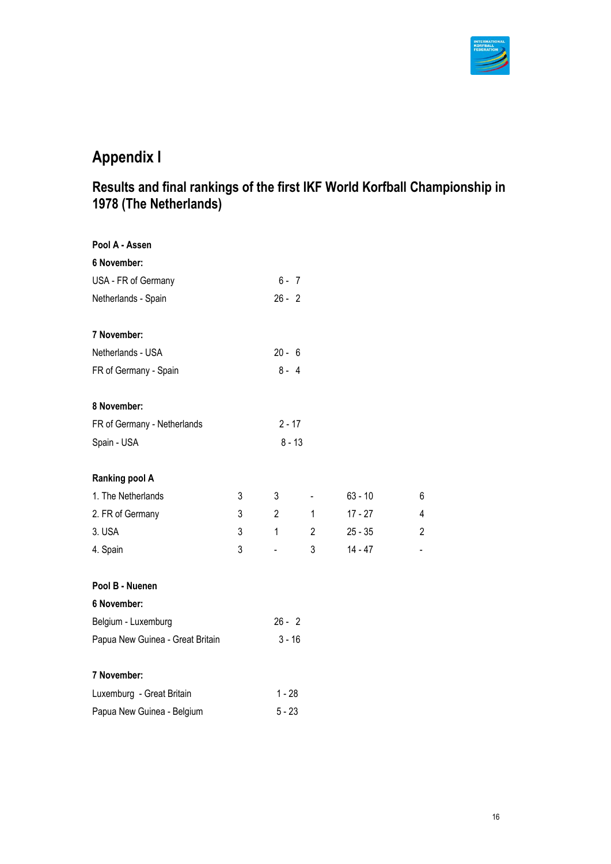

# <span id="page-17-0"></span>**Appendix I**

## <span id="page-17-1"></span>**Results and final rankings of the first IKF World Korfball Championship in 1978 (The Netherlands)**

| Pool A - Assen                   |          |                |                |           |                              |
|----------------------------------|----------|----------------|----------------|-----------|------------------------------|
| 6 November:                      |          |                |                |           |                              |
| USA - FR of Germany              |          | $6 - 7$        |                |           |                              |
| Netherlands - Spain              |          | $26 - 2$       |                |           |                              |
| 7 November:                      |          |                |                |           |                              |
| Netherlands - USA                |          | $20 - 6$       |                |           |                              |
| FR of Germany - Spain            |          | $8 - 4$        |                |           |                              |
| 8 November:                      |          |                |                |           |                              |
| FR of Germany - Netherlands      |          | $2 - 17$       |                |           |                              |
| Spain - USA                      | $8 - 13$ |                |                |           |                              |
| Ranking pool A                   |          |                |                |           |                              |
| 1. The Netherlands               | 3        | 3              | $\blacksquare$ | $63 - 10$ | 6                            |
| 2. FR of Germany                 | 3        | $\overline{2}$ | $\mathbf{1}$   | $17 - 27$ | 4                            |
| 3. USA                           | 3        | $\mathbf{1}$   | $\overline{2}$ | $25 - 35$ | $\overline{c}$               |
| 4. Spain                         | 3        |                | 3              | $14 - 47$ | $\qquad \qquad \blacksquare$ |
| Pool B - Nuenen                  |          |                |                |           |                              |
| 6 November:                      |          |                |                |           |                              |
| Belgium - Luxemburg              |          | $26 - 2$       |                |           |                              |
| Papua New Guinea - Great Britain |          | $3 - 16$       |                |           |                              |
| 7 November:                      |          |                |                |           |                              |
| Luxemburg - Great Britain        |          | $1 - 28$       |                |           |                              |
| Papua New Guinea - Belgium       |          | $5 - 23$       |                |           |                              |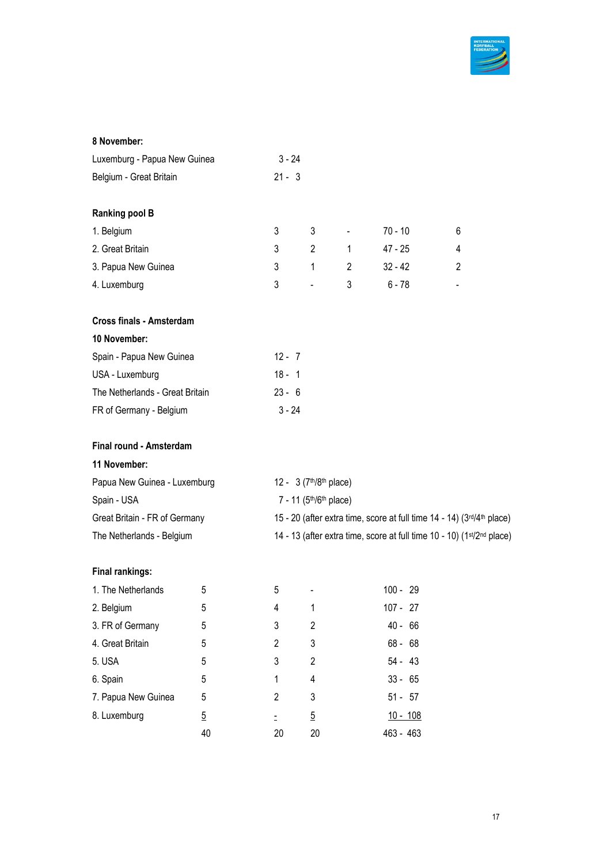

| 8 November:                     |                      |                                                                        |                                                                                    |                |                         |                |  |  |  |
|---------------------------------|----------------------|------------------------------------------------------------------------|------------------------------------------------------------------------------------|----------------|-------------------------|----------------|--|--|--|
| Luxemburg - Papua New Guinea    |                      | $3 - 24$                                                               |                                                                                    |                |                         |                |  |  |  |
| Belgium - Great Britain         |                      | $21 - 3$                                                               |                                                                                    |                |                         |                |  |  |  |
|                                 |                      |                                                                        |                                                                                    |                |                         |                |  |  |  |
| <b>Ranking pool B</b>           |                      |                                                                        |                                                                                    |                |                         |                |  |  |  |
| 1. Belgium                      |                      | 3                                                                      | 3                                                                                  | $\blacksquare$ | $70 - 10$               | 6              |  |  |  |
| 2. Great Britain                |                      | 3                                                                      | $\overline{2}$                                                                     | 1              | $47 - 25$               | 4              |  |  |  |
| 3. Papua New Guinea             |                      | 3                                                                      | 1                                                                                  | $\overline{2}$ | $32 - 42$               | $\overline{2}$ |  |  |  |
| 4. Luxemburg                    |                      | 3                                                                      | $\overline{\phantom{0}}$                                                           | 3              | $6 - 78$                |                |  |  |  |
| <b>Cross finals - Amsterdam</b> |                      |                                                                        |                                                                                    |                |                         |                |  |  |  |
| 10 November:                    |                      |                                                                        |                                                                                    |                |                         |                |  |  |  |
| Spain - Papua New Guinea        |                      | $12 - 7$                                                               |                                                                                    |                |                         |                |  |  |  |
| USA - Luxemburg                 |                      | $18 - 1$                                                               |                                                                                    |                |                         |                |  |  |  |
| The Netherlands - Great Britain |                      | $23 - 6$                                                               |                                                                                    |                |                         |                |  |  |  |
| FR of Germany - Belgium         |                      | $3 - 24$                                                               |                                                                                    |                |                         |                |  |  |  |
| Final round - Amsterdam         |                      |                                                                        |                                                                                    |                |                         |                |  |  |  |
| 11 November:                    |                      |                                                                        |                                                                                    |                |                         |                |  |  |  |
| Papua New Guinea - Luxemburg    |                      |                                                                        | 12 - $3(7th/8th)$ place)                                                           |                |                         |                |  |  |  |
| Spain - USA                     |                      | 7 - 11 (5 <sup>th</sup> /6 <sup>th</sup> place)                        |                                                                                    |                |                         |                |  |  |  |
| Great Britain - FR of Germany   |                      |                                                                        | 15 - 20 (after extra time, score at full time 14 - 14) (3rd/4 <sup>th</sup> place) |                |                         |                |  |  |  |
| The Netherlands - Belgium       |                      | 14 - 13 (after extra time, score at full time 10 - 10) (1st/2nd place) |                                                                                    |                |                         |                |  |  |  |
| <b>Final rankings:</b>          |                      |                                                                        |                                                                                    |                |                         |                |  |  |  |
| 1. The Netherlands              |                      | 5                                                                      |                                                                                    |                | $100 - 29$              |                |  |  |  |
| 2. Belgium                      | 5                    | 4                                                                      | 1                                                                                  |                | $107 - 27$              |                |  |  |  |
| 3. FR of Germany                | 5                    | 3                                                                      | $\overline{2}$                                                                     |                | $40 - 66$               |                |  |  |  |
| 4. Great Britain                | 5                    | $\overline{2}$                                                         | 3                                                                                  |                | 68 - 68                 |                |  |  |  |
| 5. USA                          | 5                    | 3                                                                      | $\overline{2}$                                                                     |                | $54 - 43$               |                |  |  |  |
| 6. Spain                        | 5                    | 1                                                                      | 4                                                                                  |                | $33 - 65$               |                |  |  |  |
| 7. Papua New Guinea             | 5                    | $\overline{2}$                                                         | 3                                                                                  |                | $51 - 57$               |                |  |  |  |
| 8. Luxemburg                    |                      |                                                                        |                                                                                    |                |                         |                |  |  |  |
|                                 | $\overline{5}$<br>40 | $\equiv$<br>20                                                         | $\overline{5}$<br>20                                                               |                | $10 - 108$<br>463 - 463 |                |  |  |  |
|                                 |                      |                                                                        |                                                                                    |                |                         |                |  |  |  |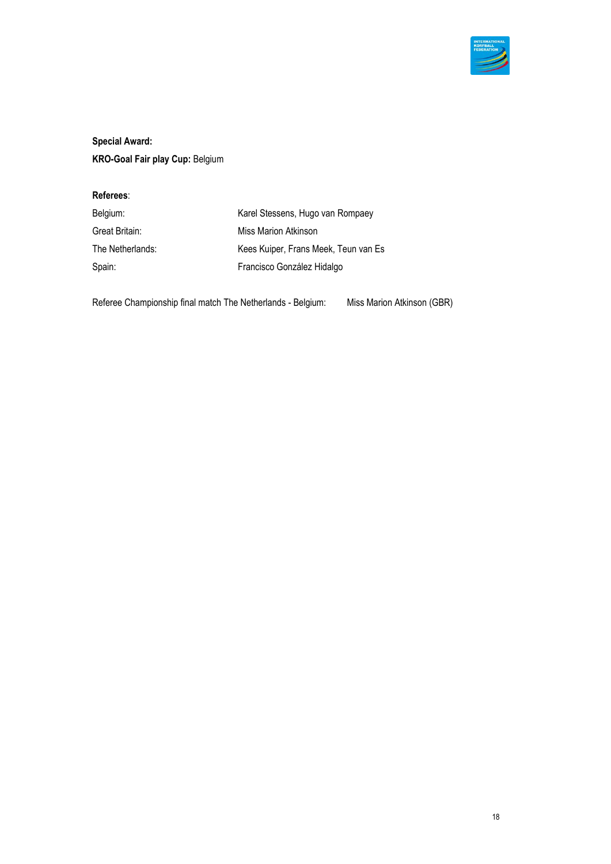

**Special Award: KRO-Goal Fair play Cup:** Belgium

**Referees**:

| Belgium:         | Karel Stessens, Hugo van Rompaey     |
|------------------|--------------------------------------|
| Great Britain:   | Miss Marion Atkinson                 |
| The Netherlands: | Kees Kuiper, Frans Meek, Teun van Es |
| Spain:           | Francisco González Hidalgo           |

Referee Championship final match The Netherlands - Belgium: Miss Marion Atkinson (GBR)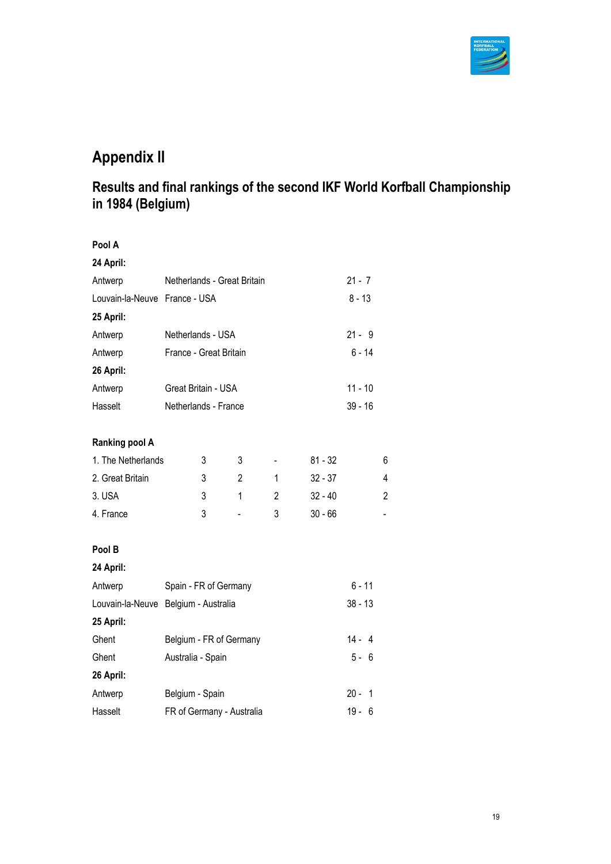

# <span id="page-20-0"></span>**Appendix II**

## <span id="page-20-1"></span>**Results and final rankings of the second IKF World Korfball Championship in 1984 (Belgium)**

**Pool A**

| 24 April:                     |                             |           |
|-------------------------------|-----------------------------|-----------|
| Antwerp                       | Netherlands - Great Britain | $21 - 7$  |
| Louvain-la-Neuve France - USA |                             | $8 - 13$  |
| 25 April:                     |                             |           |
| Antwerp                       | Netherlands - USA           | $21 - 9$  |
| Antwerp                       | France - Great Britain      | $6 - 14$  |
| 26 April:                     |                             |           |
| Antwerp                       | Great Britain - USA         | $11 - 10$ |
| Hasselt                       | Netherlands - France        | $39 - 16$ |

### **Ranking pool A**

| 1. The Netherlands |   |        | $\overline{\phantom{a}}$ | $81 - 32$ |  |
|--------------------|---|--------|--------------------------|-----------|--|
| 2. Great Britain   | 3 |        |                          | 32 - 37   |  |
| 3. USA             | 3 |        |                          | $32 - 40$ |  |
| 4. France          |   | $\sim$ |                          | $30 - 66$ |  |

### **Pool B**

| 24 April: |                                      |           |  |
|-----------|--------------------------------------|-----------|--|
| Antwerp   | Spain - FR of Germany                | $6 - 11$  |  |
|           | Louvain-la-Neuve Belgium - Australia | $38 - 13$ |  |
| 25 April: |                                      |           |  |
| Ghent     | Belgium - FR of Germany              | $14 - 4$  |  |
| Ghent     | Australia - Spain                    | $5 - 6$   |  |
| 26 April: |                                      |           |  |
| Antwerp   | Belgium - Spain                      | $20 - 1$  |  |
| Hasselt   | FR of Germany - Australia            | $19 - 6$  |  |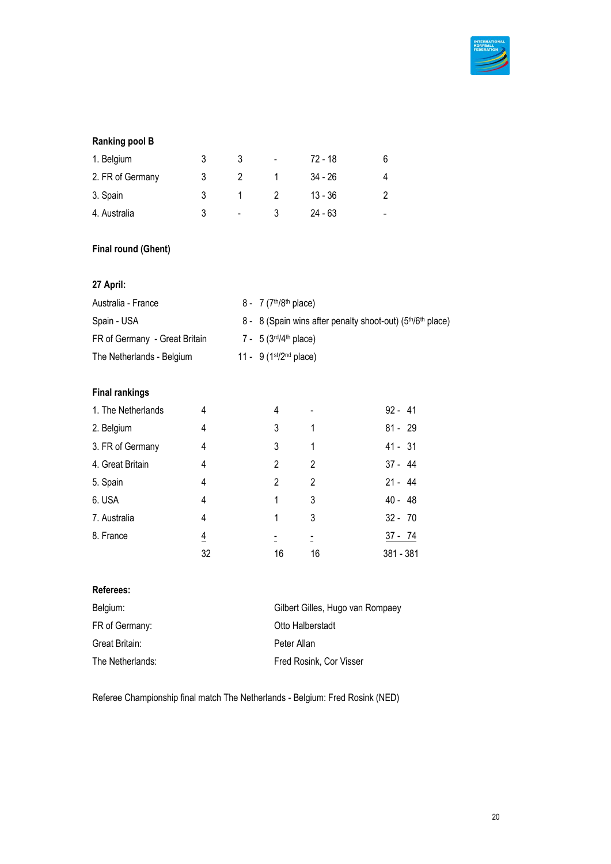

### **Ranking pool B**

| 1. Belgium       |   |                | $\sim$ | $72 - 18$ |  |
|------------------|---|----------------|--------|-----------|--|
| 2. FR of Germany |   |                |        | $34 - 26$ |  |
| 3. Spain         | 3 |                |        | $13 - 36$ |  |
| 4. Australia     |   | $\blacksquare$ |        | $24 - 63$ |  |

### **Final round (Ghent)**

| Λ | orll |  |
|---|------|--|
| ۔ |      |  |

| Australia - France            | $8 - 7$ (7 <sup>th</sup> /8 <sup>th</sup> place)                                    |
|-------------------------------|-------------------------------------------------------------------------------------|
| Spain - USA                   | 8 - 8 (Spain wins after penalty shoot-out) (5 <sup>th</sup> /6 <sup>th</sup> place) |
| FR of Germany - Great Britain | 7 - $5(3rd/4th place)$                                                              |
| The Netherlands - Belgium     | 11 - $9(1^{st}/2^{nd}$ place)                                                       |

### **Final rankings**

| 1. The Netherlands | 4  | 4  |    | $92 - 41$ |
|--------------------|----|----|----|-----------|
| 2. Belgium         | 4  | 3  | 1  | $81 - 29$ |
| 3. FR of Germany   | 4  | 3  | 1  | 41 - 31   |
| 4. Great Britain   | 4  | 2  | 2  | $37 - 44$ |
| 5. Spain           | 4  | 2  | 2  | $21 - 44$ |
| 6. USA             | 4  | 1  | 3  | $40 - 48$ |
| 7. Australia       | 4  |    | 3  | $32 - 70$ |
| 8. France          | 4  |    |    | $37 - 74$ |
|                    | 32 | 16 | 16 | 381 - 381 |

### **Referees:**

| Gilbert Gilles, Hugo van Rompaey |
|----------------------------------|
| Otto Halberstadt                 |
| Peter Allan                      |
| Fred Rosink, Cor Visser          |
|                                  |

Referee Championship final match The Netherlands - Belgium: Fred Rosink (NED)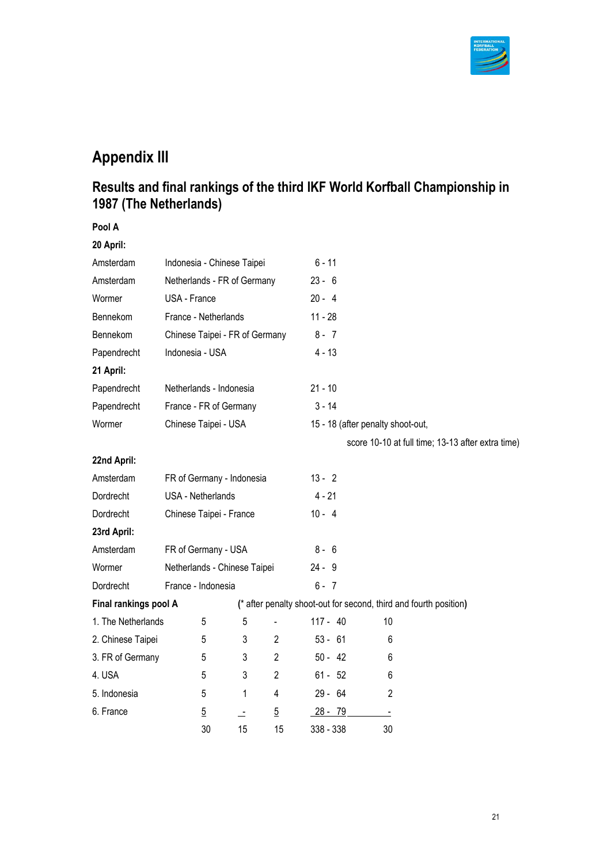

# <span id="page-22-0"></span>**Appendix III**

## <span id="page-22-1"></span>**Results and final rankings of the third IKF World Korfball Championship in 1987 (The Netherlands)**

| 20 April: |  |
|-----------|--|
|-----------|--|

| Amsterdam             | Indonesia - Chinese Taipei     |                |    |                | $6 - 11$   |  |                                   |                                                                   |  |
|-----------------------|--------------------------------|----------------|----|----------------|------------|--|-----------------------------------|-------------------------------------------------------------------|--|
| Amsterdam             | Netherlands - FR of Germany    |                |    | $23 - 6$       |            |  |                                   |                                                                   |  |
| Wormer                | USA - France                   |                |    |                | $20 - 4$   |  |                                   |                                                                   |  |
| Bennekom              | France - Netherlands           |                |    |                | $11 - 28$  |  |                                   |                                                                   |  |
| Bennekom              | Chinese Taipei - FR of Germany |                |    |                | $8 - 7$    |  |                                   |                                                                   |  |
| Papendrecht           | Indonesia - USA                |                |    |                | $4 - 13$   |  |                                   |                                                                   |  |
| 21 April:             |                                |                |    |                |            |  |                                   |                                                                   |  |
| Papendrecht           | Netherlands - Indonesia        |                |    |                | $21 - 10$  |  |                                   |                                                                   |  |
| Papendrecht           | France - FR of Germany         |                |    |                | $3 - 14$   |  |                                   |                                                                   |  |
| Wormer                | Chinese Taipei - USA           |                |    |                |            |  | 15 - 18 (after penalty shoot-out, |                                                                   |  |
|                       |                                |                |    |                |            |  |                                   | score 10-10 at full time; 13-13 after extra time)                 |  |
| 22nd April:           |                                |                |    |                |            |  |                                   |                                                                   |  |
| Amsterdam             | FR of Germany - Indonesia      |                |    |                | $13 - 2$   |  |                                   |                                                                   |  |
| Dordrecht             | <b>USA - Netherlands</b>       |                |    | $4 - 21$       |            |  |                                   |                                                                   |  |
| Dordrecht             | Chinese Taipei - France        |                |    |                | $10 - 4$   |  |                                   |                                                                   |  |
| 23rd April:           |                                |                |    |                |            |  |                                   |                                                                   |  |
| Amsterdam             | FR of Germany - USA            |                |    |                | $8 - 6$    |  |                                   |                                                                   |  |
| Wormer                | Netherlands - Chinese Taipei   |                |    |                | $24 - 9$   |  |                                   |                                                                   |  |
| Dordrecht             | France - Indonesia             |                |    |                | $6 - 7$    |  |                                   |                                                                   |  |
| Final rankings pool A |                                |                |    |                |            |  |                                   | (* after penalty shoot-out for second, third and fourth position) |  |
| 1. The Netherlands    |                                | 5              | 5  |                | $117 - 40$ |  | 10                                |                                                                   |  |
| 2. Chinese Taipei     |                                | 5              | 3  | $\mathbf{2}$   | $53 - 61$  |  | 6                                 |                                                                   |  |
| 3. FR of Germany      |                                | 5              | 3  | $\mathbf{2}$   | $50 - 42$  |  | 6                                 |                                                                   |  |
| 4. USA                |                                | 5              | 3  | $\overline{c}$ | $61 - 52$  |  | 6                                 |                                                                   |  |
| 5. Indonesia          |                                | 5              | 1  | 4              | 29 - 64    |  | 2                                 |                                                                   |  |
| 6. France             |                                | $\overline{5}$ | Ż, | $\overline{5}$ | 28 - 79    |  |                                   |                                                                   |  |
|                       |                                | 30             | 15 | 15             | 338 - 338  |  | 30                                |                                                                   |  |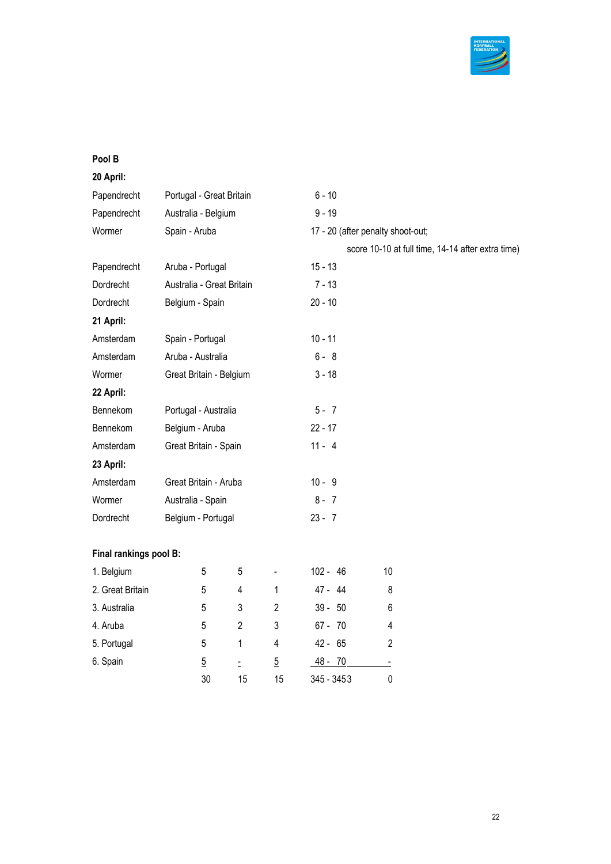

#### **Pool B**

| 20 April:              |                           |                                                   |  |  |  |  |
|------------------------|---------------------------|---------------------------------------------------|--|--|--|--|
| Papendrecht            | Portugal - Great Britain  | $6 - 10$                                          |  |  |  |  |
| Papendrecht            | Australia - Belgium       | $9 - 19$                                          |  |  |  |  |
| Wormer                 | Spain - Aruba             | 17 - 20 (after penalty shoot-out;                 |  |  |  |  |
|                        |                           | score 10-10 at full time, 14-14 after extra time) |  |  |  |  |
| Papendrecht            | Aruba - Portugal          | $15 - 13$                                         |  |  |  |  |
| Dordrecht              | Australia - Great Britain | $7 - 13$                                          |  |  |  |  |
| Dordrecht              | Belgium - Spain           | $20 - 10$                                         |  |  |  |  |
| 21 April:              |                           |                                                   |  |  |  |  |
| Amsterdam              | Spain - Portugal          | $10 - 11$                                         |  |  |  |  |
| Amsterdam              | Aruba - Australia         | $6 - 8$                                           |  |  |  |  |
| Wormer                 | Great Britain - Belgium   | $3 - 18$                                          |  |  |  |  |
| 22 April:              |                           |                                                   |  |  |  |  |
| Bennekom               | Portugal - Australia      | $5 - 7$                                           |  |  |  |  |
| Bennekom               | Belgium - Aruba           | $22 - 17$                                         |  |  |  |  |
| Amsterdam              | Great Britain - Spain     | $11 - 4$                                          |  |  |  |  |
| 23 April:              |                           |                                                   |  |  |  |  |
| Amsterdam              | Great Britain - Aruba     | $10 - 9$                                          |  |  |  |  |
| Wormer                 | Australia - Spain         | $8 - 7$                                           |  |  |  |  |
| Dordrecht              | Belgium - Portugal        | $23 - 7$                                          |  |  |  |  |
|                        |                           |                                                   |  |  |  |  |
| Final rankings pool B: |                           |                                                   |  |  |  |  |
|                        |                           |                                                   |  |  |  |  |

| 1. Belgium       | 5  | 5                        | $\blacksquare$ | $102 - 46$ | 10 |
|------------------|----|--------------------------|----------------|------------|----|
| 2. Great Britain | 5  | 4                        | 1              | 47 - 44    | 8  |
| 3. Australia     | 5  | 3                        | 2              | $39 - 50$  | 6  |
| 4. Aruba         | 5  | 2                        | 3              | $67 - 70$  | 4  |
| 5. Portugal      | 5  |                          | 4              | $42 - 65$  | 2  |
| 6. Spain         | 5  | $\overline{\phantom{a}}$ | 5              | 48 - 70    | -  |
|                  | 30 | 15                       | 15             | 345 - 3453 | 0  |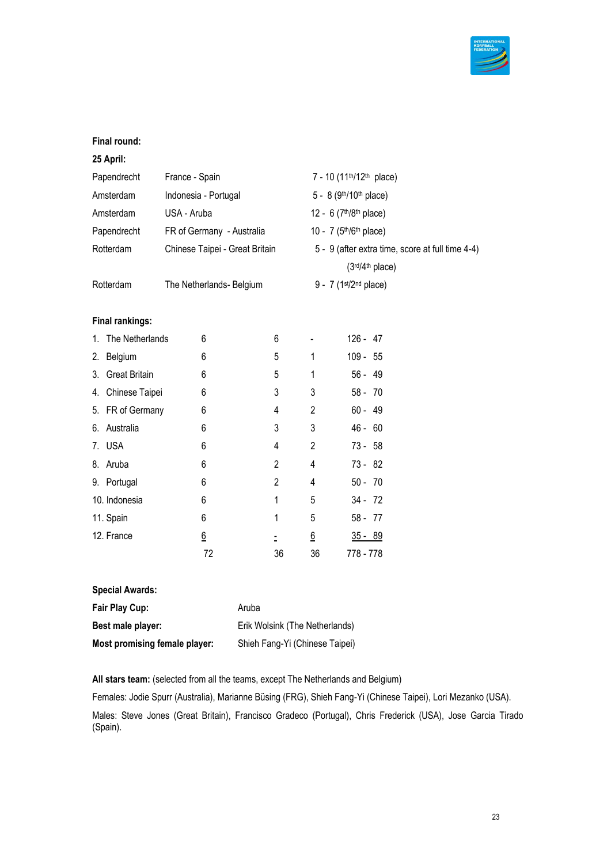

#### **Final round:**

| 25 April:                  |                                |                |                  |                                                   |  |
|----------------------------|--------------------------------|----------------|------------------|---------------------------------------------------|--|
| Papendrecht                | France - Spain                 |                |                  | 7 - 10 (11 <sup>th</sup> /12 <sup>th</sup> place) |  |
| Amsterdam                  | Indonesia - Portugal           |                |                  | 5 - 8 (9th/10th place)                            |  |
| Amsterdam                  | USA - Aruba                    |                |                  | 12 - 6 (7 <sup>th</sup> /8 <sup>th</sup> place)   |  |
| Papendrecht                | FR of Germany - Australia      |                |                  | 10 - 7 (5 <sup>th</sup> /6 <sup>th</sup> place)   |  |
| Rotterdam                  | Chinese Taipei - Great Britain |                |                  | 5 - 9 (after extra time, score at full time 4-4)  |  |
|                            |                                |                |                  | (3rd/4 <sup>th</sup> place)                       |  |
| Rotterdam                  | The Netherlands- Belgium       |                |                  | 9 - 7 (1st/2nd place)                             |  |
|                            |                                |                |                  |                                                   |  |
| <b>Final rankings:</b>     |                                |                |                  |                                                   |  |
| The Netherlands<br>1.      | 6                              | 6              |                  | 126 - 47                                          |  |
| Belgium<br>2.              | 6                              | 5              | 1                | $109 - 55$                                        |  |
| <b>Great Britain</b><br>3. | 6                              | 5              | 1                | $56 - 49$                                         |  |
| 4. Chinese Taipei          | 6                              | 3              | 3                | $58 - 70$                                         |  |
| 5. FR of Germany           | 6                              | 4              | $\overline{2}$   | $60 - 49$                                         |  |
| 6. Australia               | 6                              | 3              | 3                | $46 - 60$                                         |  |
| 7. USA                     | 6                              | 4              | $\overline{2}$   | $73 - 58$                                         |  |
| 8. Aruba                   | 6                              | $\overline{2}$ | 4                | $73 - 82$                                         |  |
| 9. Portugal                | 6                              | $\overline{2}$ | 4                | $50 - 70$                                         |  |
| 10. Indonesia              | 6                              | 1              | 5                | 34 - 72                                           |  |
| 11. Spain                  | 6                              | 1              | 5                | 58 - 77                                           |  |
| 12. France                 | $\underline{6}$                | Ė,             | $6 \overline{6}$ | $35 - 89$                                         |  |
|                            | 72                             | 36             | 36               | 778 - 778                                         |  |

## **Special Awards:**

| <b>Fair Play Cup:</b>         | Aruba                          |
|-------------------------------|--------------------------------|
| Best male player:             | Erik Wolsink (The Netherlands) |
| Most promising female player: | Shieh Fang-Yi (Chinese Taipei) |

**All stars team:** (selected from all the teams, except The Netherlands and Belgium)

Females: Jodie Spurr (Australia), Marianne Büsing (FRG), Shieh Fang-Yi (Chinese Taipei), Lori Mezanko (USA). Males: Steve Jones (Great Britain), Francisco Gradeco (Portugal), Chris Frederick (USA), Jose Garcia Tirado (Spain).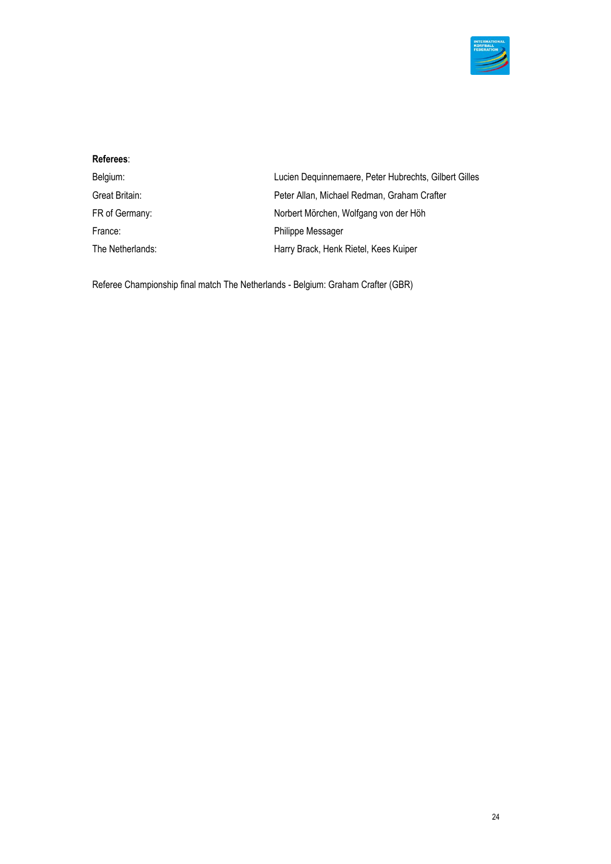

#### **Referees**:

| Belgium:         | Lucien Dequinnemaere, Peter Hubrechts, Gilbert Gilles |
|------------------|-------------------------------------------------------|
| Great Britain:   | Peter Allan, Michael Redman, Graham Crafter           |
| FR of Germany:   | Norbert Mörchen, Wolfgang von der Höh                 |
| France:          | Philippe Messager                                     |
| The Netherlands: | Harry Brack, Henk Rietel, Kees Kuiper                 |

Referee Championship final match The Netherlands - Belgium: Graham Crafter (GBR)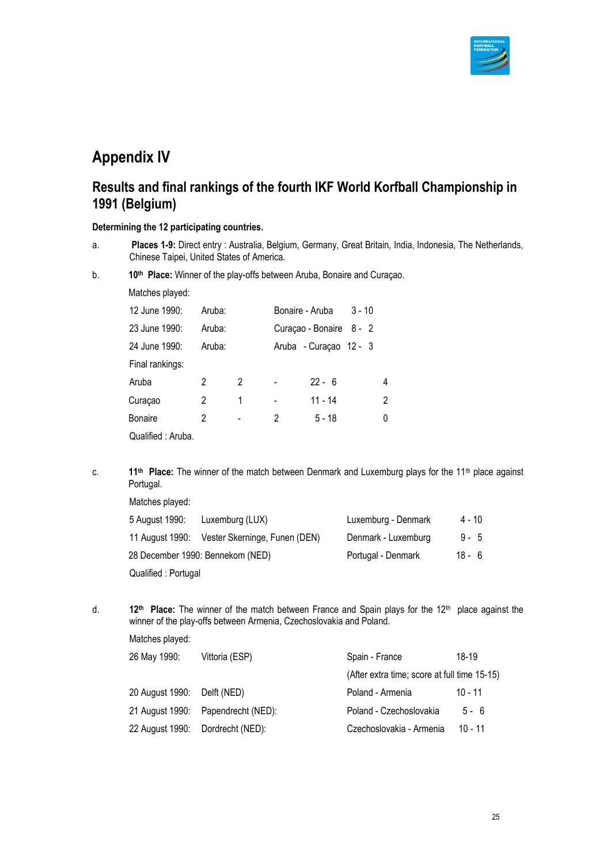

## <span id="page-26-0"></span>**Appendix IV**

## <span id="page-26-1"></span>**Results and final rankings of the fourth IKF World Korfball Championship in 1991 (Belgium)**

**Determining the 12 participating countries.**

- a. **Places 1-9:** Direct entry : Australia, Belgium, Germany, Great Britain, India, Indonesia, The Netherlands, Chinese Taipei, United States of America.
- b. **10th Place:** Winner of the play-offs between Aruba, Bonaire and Curaçao.

Matches played:

| 12 June 1990:     | Aruba: |   | Bonaire - Aruba |                         | $3 - 10$ |   |
|-------------------|--------|---|-----------------|-------------------------|----------|---|
| 23 June 1990:     | Aruba: |   |                 | Curação - Bonaire 8 - 2 |          |   |
| 24 June 1990:     | Aruba: |   |                 | Aruba - Curaçao 12 - 3  |          |   |
| Final rankings:   |        |   |                 |                         |          |   |
| Aruba             | 2      | 2 |                 | $22 - 6$                |          | 4 |
| Curaçao           | 2      | 1 |                 | $11 - 14$               |          | 2 |
| <b>Bonaire</b>    | 2      |   | 2               | $5 - 18$                |          | 0 |
| Qualified: Aruba. |        |   |                 |                         |          |   |

c. **11<sup>th</sup> Place:** The winner of the match between Denmark and Luxemburg plays for the 11<sup>th</sup> place against Portugal.

| Matches played:     |                                               |                     |          |
|---------------------|-----------------------------------------------|---------------------|----------|
| 5 August 1990:      | Luxemburg (LUX)                               | Luxemburg - Denmark | $4 - 10$ |
|                     | 11 August 1990: Vester Skerninge, Funen (DEN) | Denmark - Luxemburg | $9 - 5$  |
|                     | 28 December 1990: Bennekom (NED)              | Portugal - Denmark  | 18 - 6   |
| Qualified: Portugal |                                               |                     |          |

d. **12th Place:** The winner of the match between France and Spain plays for the 12th place against the winner of the play-offs between Armenia, Czechoslovakia and Poland.

| Matches played: |                                  |                                              |         |
|-----------------|----------------------------------|----------------------------------------------|---------|
| 26 May 1990:    | Vittoria (ESP)                   | Spain - France                               | 18-19   |
|                 |                                  | (After extra time; score at full time 15-15) |         |
| 20 August 1990: | Delft (NED)                      | Poland - Armenia                             | 10 - 11 |
| 21 August 1990: | Papendrecht (NED):               | Poland - Czechoslovakia                      | $5 - 6$ |
|                 | 22 August 1990: Dordrecht (NED): | Czechoslovakia - Armenia                     | 10 - 11 |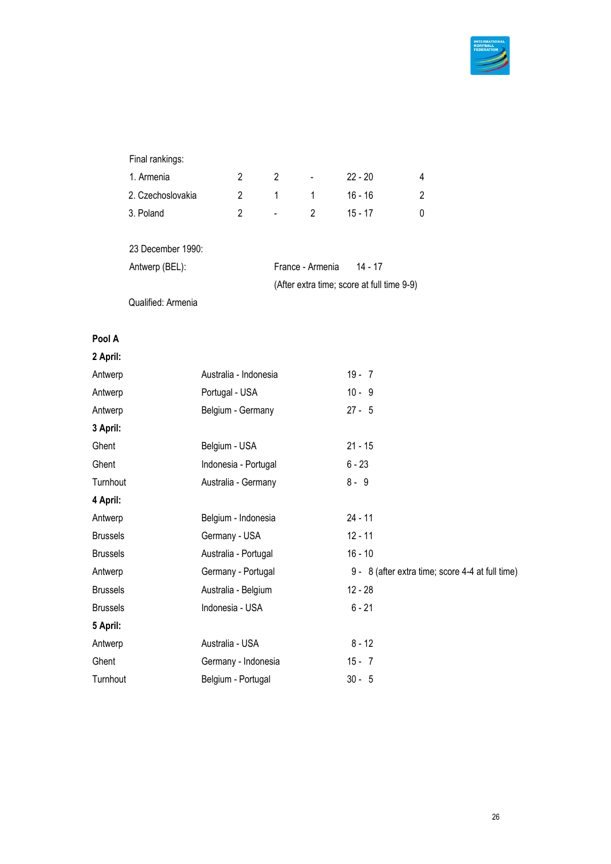

| Final rankings:                               |   |                                            |                          |           |   |  |  |
|-----------------------------------------------|---|--------------------------------------------|--------------------------|-----------|---|--|--|
| 1. Armenia                                    | 2 | 2                                          | $\overline{\phantom{0}}$ | $22 - 20$ | 4 |  |  |
| 2. Czechoslovakia                             | 2 | 1                                          | 1                        | $16 - 16$ | 2 |  |  |
| 3. Poland                                     | 2 |                                            | 2                        | $15 - 17$ | 0 |  |  |
|                                               |   |                                            |                          |           |   |  |  |
| 23 December $1990$ :                          |   |                                            |                          |           |   |  |  |
| 14 - 17<br>France - Armenia<br>Antwerp (BEL): |   |                                            |                          |           |   |  |  |
|                                               |   | (After extra time; score at full time 9-9) |                          |           |   |  |  |
| Qualified: Armenia                            |   |                                            |                          |           |   |  |  |

#### **Pool A**

| 2 April:        |                       |                                                  |
|-----------------|-----------------------|--------------------------------------------------|
| Antwerp         | Australia - Indonesia | $19 - 7$                                         |
| Antwerp         | Portugal - USA        | $10 - 9$                                         |
| Antwerp         | Belgium - Germany     | $27 - 5$                                         |
| 3 April:        |                       |                                                  |
| Ghent           | Belgium - USA         | $21 - 15$                                        |
| Ghent           | Indonesia - Portugal  | $6 - 23$                                         |
| Turnhout        | Australia - Germany   | $8 - 9$                                          |
| 4 April:        |                       |                                                  |
| Antwerp         | Belgium - Indonesia   | $24 - 11$                                        |
| <b>Brussels</b> | Germany - USA         | $12 - 11$                                        |
| <b>Brussels</b> | Australia - Portugal  | $16 - 10$                                        |
| Antwerp         | Germany - Portugal    | 9 - 8 (after extra time; score 4-4 at full time) |
| <b>Brussels</b> | Australia - Belgium   | $12 - 28$                                        |
| <b>Brussels</b> | Indonesia - USA       | $6 - 21$                                         |
| 5 April:        |                       |                                                  |
| Antwerp         | Australia - USA       | $8 - 12$                                         |
| Ghent           | Germany - Indonesia   | $15 - 7$                                         |
| Turnhout        | Belgium - Portugal    | $30 - 5$                                         |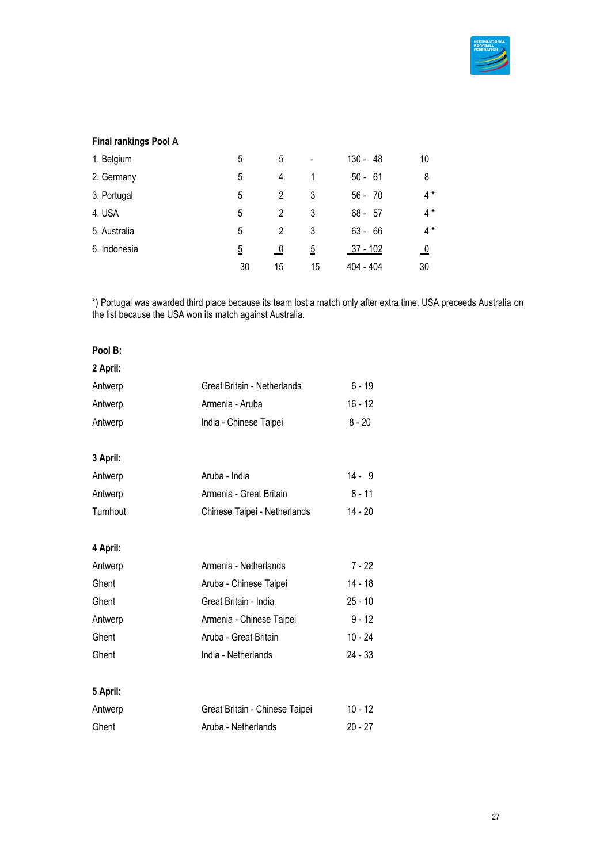

### **Final rankings Pool A**

| 1. Belgium   | 5              | 5              | $\overline{\phantom{a}}$ | $130 - 48$  | 10        |
|--------------|----------------|----------------|--------------------------|-------------|-----------|
| 2. Germany   | 5              | 4              |                          | $50 - 61$   | 8         |
| 3. Portugal  | 5              | 2              | 3                        | $56 - 70$   | $4*$      |
| 4. USA       | 5              | 2              | 3                        | $68 - 57$   | $4 *$     |
| 5. Australia | 5              | 2              | 3                        | $63 - 66$   | $4*$      |
| 6. Indonesia | $\overline{5}$ | $\overline{0}$ | 5                        | $37 - 102$  | <u>_0</u> |
|              | 30             | 15             | 15                       | $404 - 404$ | 30        |

\*) Portugal was awarded third place because its team lost a match only after extra time. USA preceeds Australia on the list because the USA won its match against Australia.

### **Pool B: 2 April:**

| Antwerp  | Great Britain - Netherlands    | $6 - 19$  |
|----------|--------------------------------|-----------|
| Antwerp  | Armenia - Aruba                | 16 - 12   |
| Antwerp  | India - Chinese Taipei         | $8 - 20$  |
|          |                                |           |
| 3 April: |                                |           |
| Antwerp  | Aruba - India                  | $14 - 9$  |
| Antwerp  | Armenia - Great Britain        | $8 - 11$  |
| Turnhout | Chinese Taipei - Netherlands   | $14 - 20$ |
|          |                                |           |
| 4 April: |                                |           |
| Antwerp  | Armenia - Netherlands          | $7 - 22$  |
| Ghent    | Aruba - Chinese Taipei         | 14 - 18   |
| Ghent    | Great Britain - India          | $25 - 10$ |
| Antwerp  | Armenia - Chinese Taipei       | $9 - 12$  |
| Ghent    | Aruba - Great Britain          | $10 - 24$ |
| Ghent    | India - Netherlands            | $24 - 33$ |
| 5 April: |                                |           |
| Antwerp  | Great Britain - Chinese Taipei | $10 - 12$ |
| Ghent    | Aruba - Netherlands            | $20 - 27$ |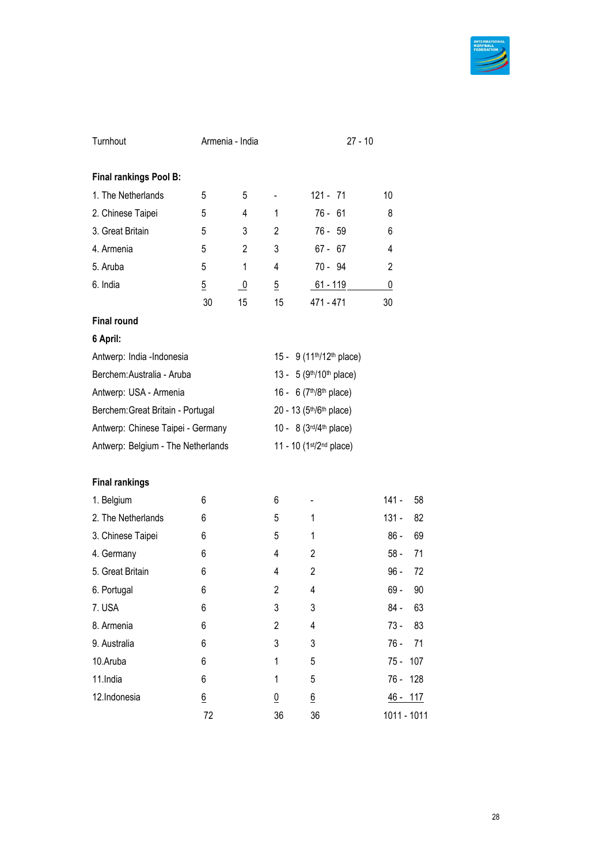| <b>INTERNATIONAL</b> |
|----------------------|
| KORFBALL             |
|                      |
|                      |

| Turnhout                           | Armenia - India  |                         |                                                  | $27 - 10$                       |             |     |  |
|------------------------------------|------------------|-------------------------|--------------------------------------------------|---------------------------------|-------------|-----|--|
|                                    |                  |                         |                                                  |                                 |             |     |  |
| <b>Final rankings Pool B:</b>      |                  |                         |                                                  |                                 |             |     |  |
| 1. The Netherlands                 | 5                | 5                       | $\overline{\phantom{a}}$                         | $121 - 71$                      | 10          |     |  |
| 2. Chinese Taipei                  | 5                | 4                       | 1                                                | $76 - 61$                       | 8           |     |  |
| 3. Great Britain                   | 5                | 3                       | 2                                                | 76 - 59                         | 6           |     |  |
| 4. Armenia                         | 5                | $\overline{c}$          | 3                                                | $67 - 67$                       | 4           |     |  |
| 5. Aruba                           | 5                | 1                       | 4                                                | 70 - 94                         | 2           |     |  |
| 6. India                           | $\overline{5}$   | $\overline{0}$          | $\overline{5}$                                   | $61 - 119$                      | 0           |     |  |
|                                    | 30               | 15                      | 15                                               | 471 - 471                       | 30          |     |  |
| <b>Final round</b>                 |                  |                         |                                                  |                                 |             |     |  |
| 6 April:                           |                  |                         |                                                  |                                 |             |     |  |
| Antwerp: India -Indonesia          |                  |                         |                                                  | 15 - $9(11^{th}/12^{th}$ place) |             |     |  |
| Berchem: Australia - Aruba         |                  |                         |                                                  | 13 - 5 (9th/10th place)         |             |     |  |
| Antwerp: USA - Armenia             |                  |                         | 16 - 6 (7 <sup>th</sup> /8 <sup>th</sup> place)  |                                 |             |     |  |
| Berchem: Great Britain - Portugal  |                  |                         | 20 - 13 (5 <sup>th</sup> /6 <sup>th</sup> place) |                                 |             |     |  |
| Antwerp: Chinese Taipei - Germany  |                  |                         |                                                  | 10 - 8 (3rd/4th place)          |             |     |  |
| Antwerp: Belgium - The Netherlands |                  | 11 - 10 (1st/2nd place) |                                                  |                                 |             |     |  |
|                                    |                  |                         |                                                  |                                 |             |     |  |
| <b>Final rankings</b>              |                  |                         |                                                  |                                 |             |     |  |
| 1. Belgium                         | 6                |                         | 6                                                | $\qquad \qquad \blacksquare$    | $141 -$     | 58  |  |
| 2. The Netherlands                 | 6                |                         | 5                                                | 1                               | $131 -$     | 82  |  |
| 3. Chinese Taipei                  | 6                |                         | 5                                                | 1                               | $86 -$      | 69  |  |
| 4. Germany                         | 6                |                         | 4                                                | 2                               | $58 -$      | 71  |  |
| 5. Great Britain                   | 6                |                         | 4                                                | $\overline{2}$                  | $96 -$      | 72  |  |
| 6. Portugal                        | 6                |                         | $\overline{c}$                                   | 4                               | $69 -$      | 90  |  |
| 7. USA                             | 6                |                         | 3                                                | 3                               | $84 -$      | 63  |  |
| 8. Armenia                         | 6                |                         | 2                                                | 4                               | $73 -$      | 83  |  |
| 9. Australia                       | 6                |                         | 3                                                | 3                               | 76 -        | 71  |  |
| 10.Aruba                           | 6                |                         | 1                                                | 5                               | $75 -$      | 107 |  |
| 11.India                           | 6                |                         | 1                                                | 5                               | 76 -        | 128 |  |
| 12.Indonesia                       | $6 \overline{6}$ |                         | $\overline{0}$                                   | $\underline{6}$                 | 46 - 117    |     |  |
|                                    | 72               |                         | 36                                               | 36                              | 1011 - 1011 |     |  |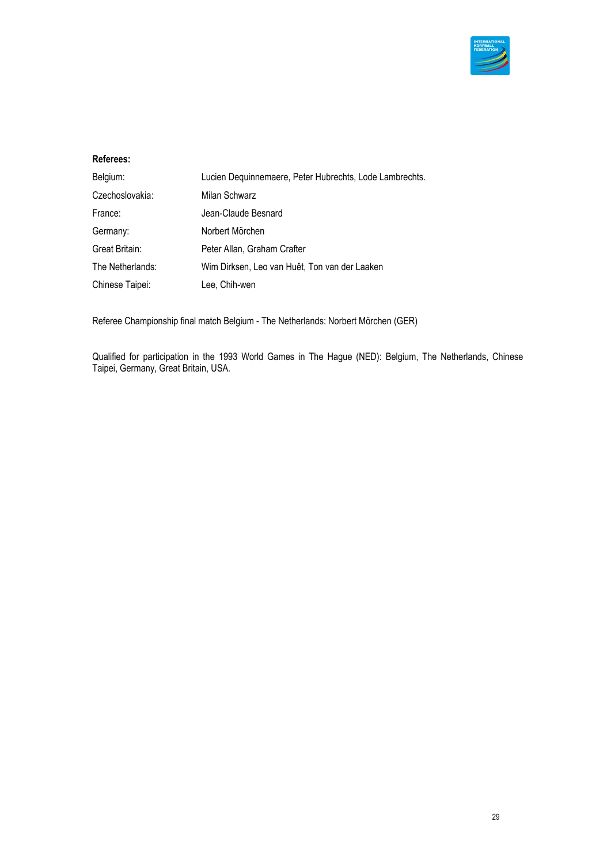

#### **Referees:**

| Belgium:         | Lucien Dequinnemaere, Peter Hubrechts, Lode Lambrechts. |
|------------------|---------------------------------------------------------|
| Czechoslovakia:  | Milan Schwarz                                           |
| France:          | Jean-Claude Besnard                                     |
| Germany:         | Norbert Mörchen                                         |
| Great Britain:   | Peter Allan, Graham Crafter                             |
| The Netherlands: | Wim Dirksen, Leo van Huêt, Ton van der Laaken           |
| Chinese Taipei:  | Lee, Chih-wen                                           |

Referee Championship final match Belgium - The Netherlands: Norbert Mörchen (GER)

Qualified for participation in the 1993 World Games in The Hague (NED): Belgium, The Netherlands, Chinese Taipei, Germany, Great Britain, USA.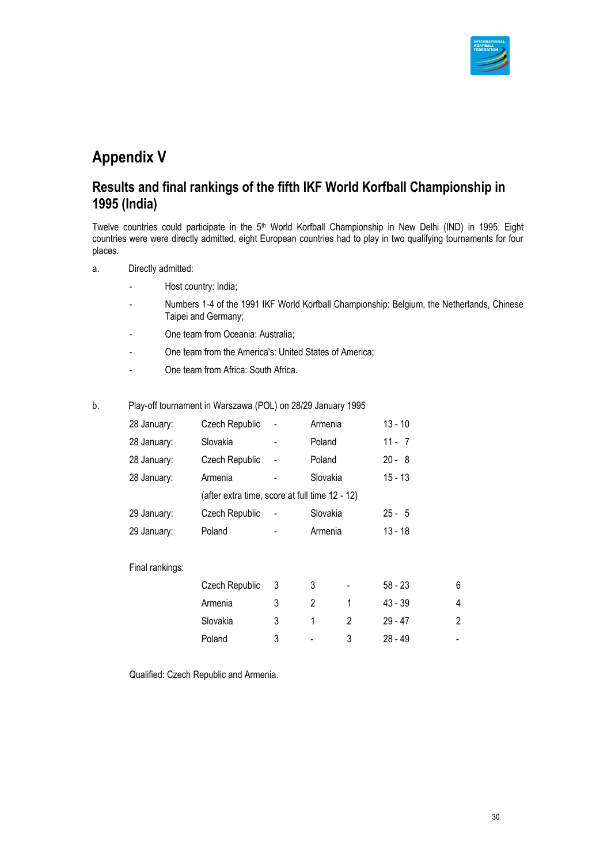

## <span id="page-31-0"></span>**Appendix V**

## <span id="page-31-1"></span>**Results and final rankings of the fifth IKF World Korfball Championship in 1995 (India)**

Twelve countries could participate in the 5<sup>th</sup> World Korfball Championship in New Delhi (IND) in 1995. Eight countries were were directly admitted, eight European countries had to play in two qualifying tournaments for four places.

- a. Directly admitted:
	- Host country: India;
	- Numbers 1-4 of the 1991 IKF World Korfball Championship: Belgium, the Netherlands, Chinese Taipei and Germany;
	- One team from Oceania: Australia;
	- One team from the America's: United States of America;
	- One team from Africa: South Africa.

#### b. Play-off tournament in Warszawa (POL) on 28/29 January 1995

| Czech Republic                                 |    | Armenia  | 13 - 10   |  |  |  |  |  |
|------------------------------------------------|----|----------|-----------|--|--|--|--|--|
| Slovakia                                       |    | Poland   | 11 - 7    |  |  |  |  |  |
| Czech Republic                                 |    | Poland   | $20 - 8$  |  |  |  |  |  |
| Armenia                                        |    | Slovakia | $15 - 13$ |  |  |  |  |  |
| (after extra time, score at full time 12 - 12) |    |          |           |  |  |  |  |  |
| Czech Republic                                 | ÷, | Slovakia | $25 - 5$  |  |  |  |  |  |
| Poland                                         |    | Armenia  | 13 - 18   |  |  |  |  |  |
|                                                |    |          |           |  |  |  |  |  |

Final rankings:

| Czech Republic | -3 | 3              | - | $58 - 23$ | 6 |
|----------------|----|----------------|---|-----------|---|
| Armenia        | 3  |                |   | $43 - 39$ | 4 |
| Slovakia       | 3  |                |   | $29 - 47$ | 2 |
| Poland         | ঽ  | $\blacksquare$ | 3 | $28 - 49$ |   |
|                |    |                |   |           |   |

Qualified: Czech Republic and Armenia.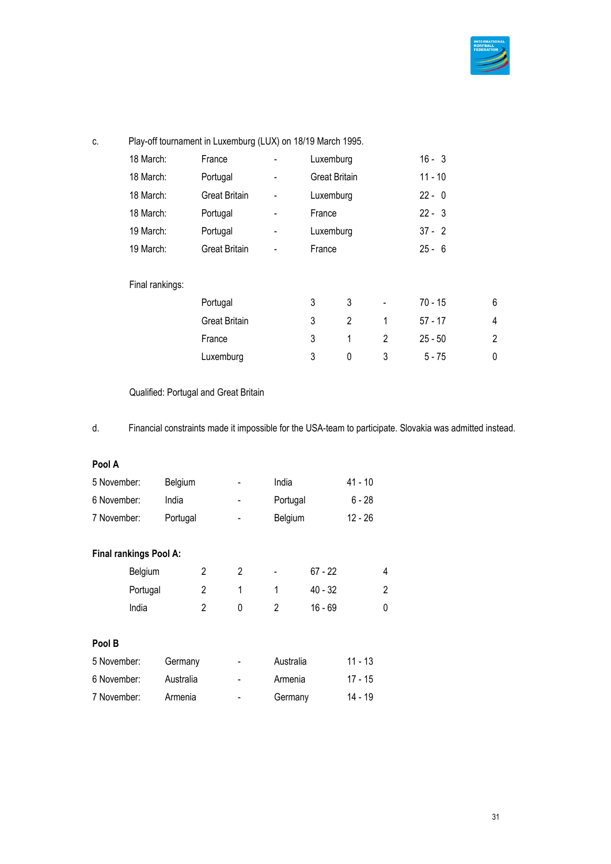

| Play-off tournament in Luxemburg (LUX) on 18/19 March 1995.<br>C. |                 |                      |   |           |                      |                |           |                |
|-------------------------------------------------------------------|-----------------|----------------------|---|-----------|----------------------|----------------|-----------|----------------|
|                                                                   | 18 March:       | France               |   |           | Luxemburg            |                | $16 - 3$  |                |
|                                                                   | 18 March:       | Portugal             | - |           | <b>Great Britain</b> |                | $11 - 10$ |                |
|                                                                   | 18 March:       | <b>Great Britain</b> |   |           | Luxemburg            |                | $22 - 0$  |                |
|                                                                   | 18 March:       | Portugal             | - | France    |                      |                | $22 - 3$  |                |
|                                                                   | 19 March:       | Portugal             | - | Luxemburg |                      | $37 - 2$       |           |                |
|                                                                   | 19 March:       | <b>Great Britain</b> | - |           | France               |                | $25 - 6$  |                |
|                                                                   | Final rankings: |                      |   |           |                      |                |           |                |
|                                                                   |                 | Portugal             |   | 3         | 3                    | $\blacksquare$ | $70 - 15$ | 6              |
|                                                                   |                 | <b>Great Britain</b> |   | 3         | $\overline{2}$       | 1              | $57 - 17$ | 4              |
|                                                                   |                 | France               |   | 3         | 1                    | $\overline{2}$ | $25 - 50$ | $\overline{2}$ |
|                                                                   |                 | Luxemburg            |   | 3         | 0                    | 3              | $5 - 75$  | 0              |

Qualified: Portugal and Great Britain

d. Financial constraints made it impossible for the USA-team to participate. Slovakia was admitted instead.

#### **Pool A**

| 5 November:                   |          | Belgium   |   |   | India     |           | 41 - 10   |                |
|-------------------------------|----------|-----------|---|---|-----------|-----------|-----------|----------------|
| 6 November:                   |          | India     |   |   | Portugal  |           | 6 - 28    |                |
| 7 November:                   |          | Portugal  |   |   | Belgium   |           | $12 - 26$ |                |
| <b>Final rankings Pool A:</b> |          |           |   |   |           |           |           |                |
|                               | Belgium  |           | 2 | 2 |           | 67 - 22   |           | 4              |
|                               | Portugal |           | 2 | 1 | 1         | $40 - 32$ |           | $\overline{2}$ |
|                               | India    |           | 2 | 0 | 2         | $16 - 69$ |           | 0              |
| Pool B                        |          |           |   |   |           |           |           |                |
| 5 November:                   |          | Germany   |   |   | Australia |           | $11 - 13$ |                |
| 6 November:                   |          | Australia |   |   | Armenia   |           | $17 - 15$ |                |
| 7 November:                   |          | Armenia   |   |   | Germany   |           | 14 - 19   |                |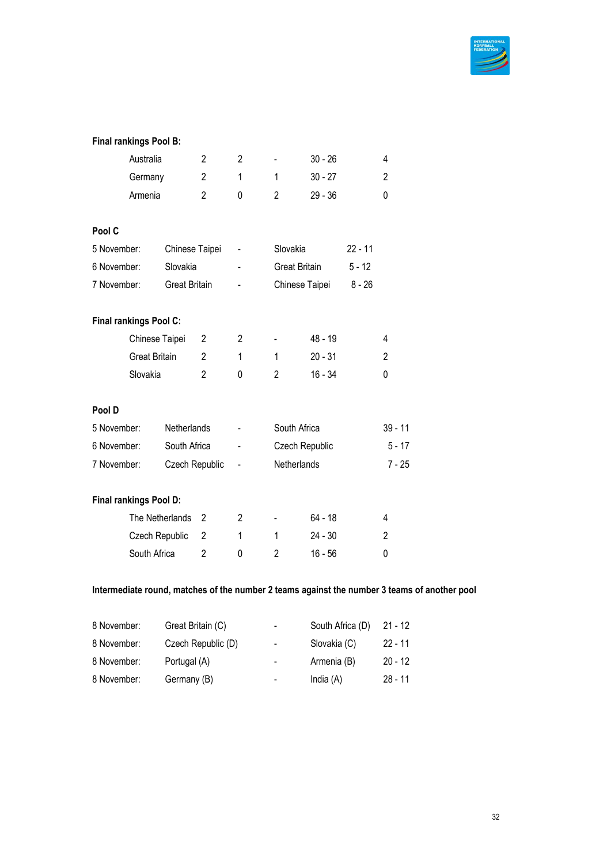

| Final rankings Pool B:        |                      |                |                |                          |                      |           |                |
|-------------------------------|----------------------|----------------|----------------|--------------------------|----------------------|-----------|----------------|
| Australia                     |                      | $\overline{2}$ | $\overline{2}$ | $\overline{\phantom{a}}$ | $30 - 26$            |           | 4              |
| Germany                       |                      | 2              | 1              | 1                        | $30 - 27$            |           | $\overline{2}$ |
| Armenia                       |                      | $\overline{2}$ | 0              | $\overline{2}$           | $29 - 36$            |           | 0              |
| Pool C                        |                      |                |                |                          |                      |           |                |
| 5 November:                   | Chinese Taipei       |                |                | Slovakia                 |                      | $22 - 11$ |                |
| 6 November:                   | Slovakia             |                |                |                          | <b>Great Britain</b> | $5 - 12$  |                |
| 7 November:                   | <b>Great Britain</b> |                |                |                          | Chinese Taipei       | $8 - 26$  |                |
| Final rankings Pool C:        |                      |                |                |                          |                      |           |                |
|                               | Chinese Taipei       |                | $\overline{c}$ |                          | 48 - 19              |           | 4              |
| <b>Great Britain</b>          |                      | $\overline{2}$ | 1              | 1                        | $20 - 31$            |           | 2              |
| Slovakia                      |                      | $\overline{2}$ | 0              | $\overline{2}$           | $16 - 34$            |           | 0              |
| Pool D                        |                      |                |                |                          |                      |           |                |
| 5 November:                   | Netherlands          |                |                |                          | South Africa         |           | $39 - 11$      |
| 6 November:                   | South Africa         |                | $\blacksquare$ |                          | Czech Republic       |           | $5 - 17$       |
| 7 November:<br>Czech Republic |                      |                |                |                          | Netherlands          |           | $7 - 25$       |
| Final rankings Pool D:        |                      |                |                |                          |                      |           |                |
|                               | The Netherlands      | 2              | 2              |                          | 64 - 18              |           | 4              |
|                               | Czech Republic       | $\overline{2}$ | 1              | 1                        | $24 - 30$            |           | 2              |
| South Africa                  |                      | $\overline{2}$ | 0              | $\overline{2}$           | $16 - 56$            |           | 0              |

### **Intermediate round, matches of the number 2 teams against the number 3 teams of another pool**

| 8 November: | Great Britain (C)  | ۰                        | South Africa (D) | $21 - 12$ |
|-------------|--------------------|--------------------------|------------------|-----------|
| 8 November: | Czech Republic (D) | $\overline{\phantom{a}}$ | Slovakia (C)     | $22 - 11$ |
| 8 November: | Portugal (A)       | $\blacksquare$           | Armenia (B)      | $20 - 12$ |
| 8 November: | Germany (B)        | $\overline{\phantom{0}}$ | India $(A)$      | $28 - 11$ |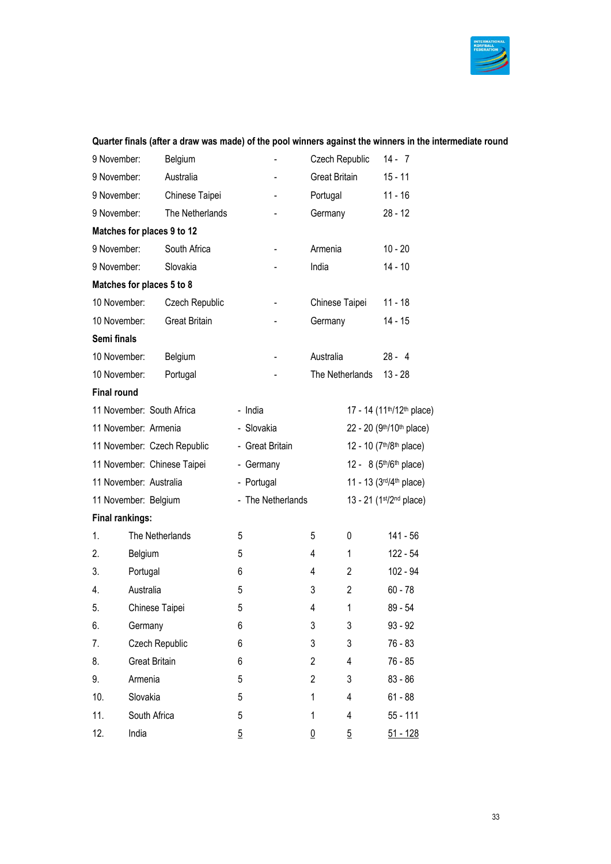

| 9 November:            |                           | Belgium                     |                 |                   |                         | Czech Republic | $14 - 7$                                           |
|------------------------|---------------------------|-----------------------------|-----------------|-------------------|-------------------------|----------------|----------------------------------------------------|
| 9 November:            |                           | Australia                   |                 |                   | Great Britain           |                | $15 - 11$                                          |
| 9 November:            |                           | Chinese Taipei              |                 |                   | Portugal                |                | $11 - 16$                                          |
| 9 November:            |                           | The Netherlands             |                 |                   | Germany                 |                | $28 - 12$                                          |
|                        |                           | Matches for places 9 to 12  |                 |                   |                         |                |                                                    |
| 9 November:            |                           | South Africa                |                 |                   | Armenia                 |                | $10 - 20$                                          |
| 9 November:            |                           | Slovakia                    |                 |                   | India                   |                | $14 - 10$                                          |
|                        | Matches for places 5 to 8 |                             |                 |                   |                         |                |                                                    |
| 10 November:           |                           | Czech Republic              |                 |                   | Chinese Taipei          |                | $11 - 18$                                          |
| 10 November:           |                           | <b>Great Britain</b>        |                 |                   | Germany                 |                | 14 - 15                                            |
| Semi finals            |                           |                             |                 |                   |                         |                |                                                    |
| 10 November:           |                           | Belgium                     |                 |                   | Australia               |                | $28 - 4$                                           |
| 10 November:           |                           | Portugal                    |                 |                   | The Netherlands         |                | $13 - 28$                                          |
| <b>Final round</b>     |                           |                             |                 |                   |                         |                |                                                    |
|                        |                           | 11 November: South Africa   | - India         |                   |                         |                | 17 - 14 (11 <sup>th</sup> /12 <sup>th</sup> place) |
|                        | 11 November: Armenia      |                             | - Slovakia      |                   |                         |                | 22 - 20 (9th/10th place)                           |
|                        |                           | 11 November: Czech Republic | - Great Britain |                   |                         |                | 12 - 10 (7 <sup>th</sup> /8 <sup>th</sup> place)   |
|                        |                           | 11 November: Chinese Taipei | - Germany       |                   |                         |                | 12 - 8 (5 <sup>th</sup> /6 <sup>th</sup> place)    |
|                        | 11 November: Australia    |                             | - Portugal      |                   | 11 - 13 (3rd/4th place) |                |                                                    |
|                        | 11 November: Belgium      |                             |                 | - The Netherlands |                         |                | 13 - 21 (1 <sup>st</sup> /2 <sup>nd</sup> place)   |
| <b>Final rankings:</b> |                           |                             |                 |                   |                         |                |                                                    |
| 1.                     | The Netherlands           |                             | 5               |                   | 5                       | 0              | 141 - 56                                           |
| 2.                     | Belgium                   |                             | 5               |                   | 4                       | 1              | 122 - 54                                           |
| 3.                     | Portugal                  |                             | 6               |                   | 4                       | $\overline{2}$ | 102 - 94                                           |
| 4.                     | Australia                 |                             | 5               |                   | 3                       | $\overline{2}$ | $60 - 78$                                          |
| 5.                     | Chinese Taipei            |                             | 5               |                   | 4                       | $\mathbf 1$    | 89 - 54                                            |
| 6.                     | Germany                   |                             | 6               |                   | 3                       | 3              | $93 - 92$                                          |
| 7.                     | Czech Republic            |                             | 6               |                   | 3                       | 3              | 76 - 83                                            |
| 8.                     | <b>Great Britain</b>      |                             | 6               |                   | 2                       | 4              | 76 - 85                                            |
| 9.                     | Armenia                   |                             | 5               |                   | 2                       | 3              | $83 - 86$                                          |
| 10.                    | Slovakia                  |                             | 5               |                   | 1                       | 4              | $61 - 88$                                          |
| 11.                    | South Africa              |                             | 5               |                   | 1                       | 4              | $55 - 111$                                         |
| 12.                    | India                     |                             | $\overline{5}$  |                   | $\underline{0}$         | $\overline{5}$ | $51 - 128$                                         |

#### **Quarter finals (after a draw was made) of the pool winners against the winners in the intermediate round**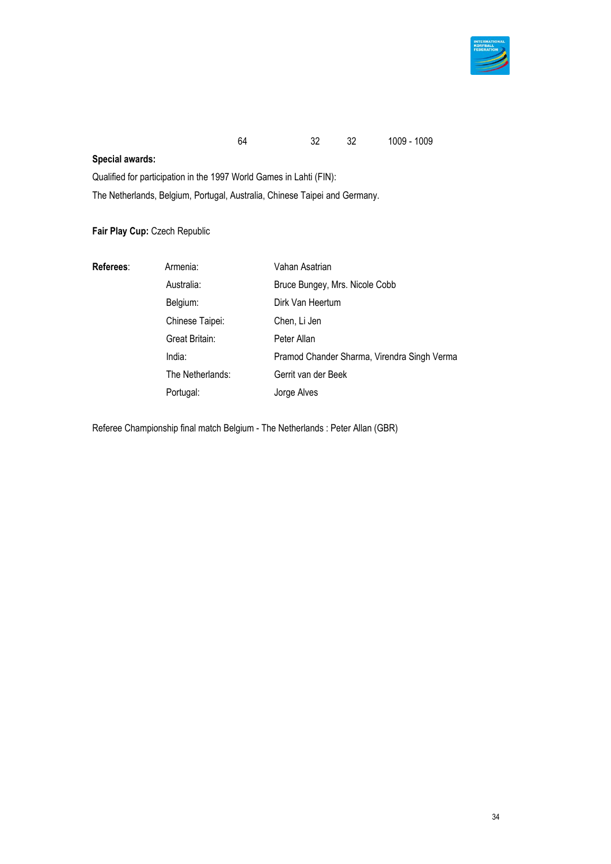

#### 64 32 32 1009 - 1009

#### **Special awards:**

Qualified for participation in the 1997 World Games in Lahti (FIN):

The Netherlands, Belgium, Portugal, Australia, Chinese Taipei and Germany.

**Fair Play Cup:** Czech Republic

| Referees∶ | Armenia:         | Vahan Asatrian                              |
|-----------|------------------|---------------------------------------------|
|           | Australia:       | Bruce Bungey, Mrs. Nicole Cobb              |
|           | Belgium:         | Dirk Van Heertum                            |
|           | Chinese Taipei:  | Chen, Li Jen                                |
|           | Great Britain:   | Peter Allan                                 |
|           | India:           | Pramod Chander Sharma, Virendra Singh Verma |
|           | The Netherlands: | Gerrit van der Beek                         |
|           | Portugal:        | Jorge Alves                                 |

Referee Championship final match Belgium - The Netherlands : Peter Allan (GBR)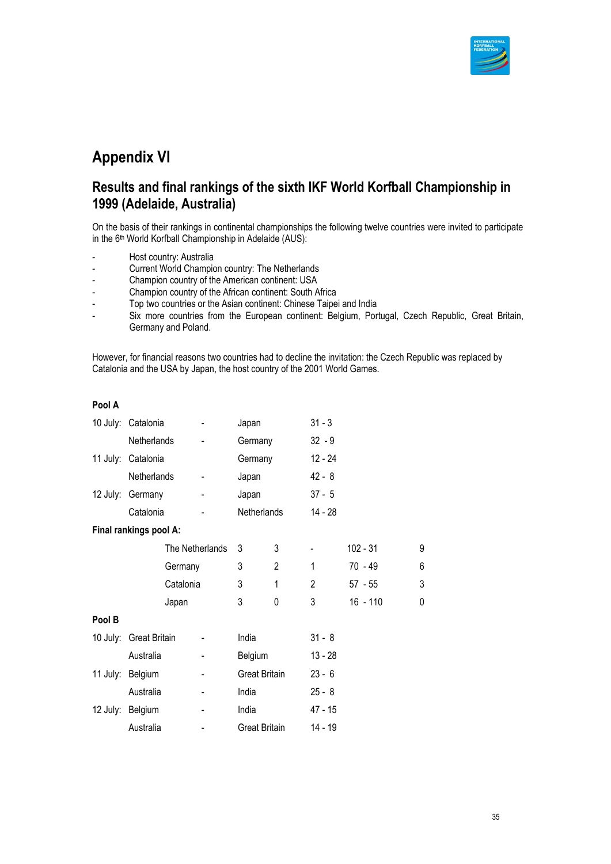

## <span id="page-36-0"></span>**Appendix VI**

## <span id="page-36-1"></span>**Results and final rankings of the sixth IKF World Korfball Championship in 1999 (Adelaide, Australia)**

On the basis of their rankings in continental championships the following twelve countries were invited to participate in the 6<sup>th</sup> World Korfball Championship in Adelaide (AUS):

- Host country: Australia
- Current World Champion country: The Netherlands
- Champion country of the American continent: USA
- Champion country of the African continent: South Africa
- Top two countries or the Asian continent: Chinese Taipei and India
- Six more countries from the European continent: Belgium, Portugal, Czech Republic, Great Britain, Germany and Poland.

However, for financial reasons two countries had to decline the invitation: the Czech Republic was replaced by Catalonia and the USA by Japan, the host country of the 2001 World Games.

#### **Pool A**

|          | 10 July: Catalonia     |                 | Japan                |   | $31 - 3$  |            |   |
|----------|------------------------|-----------------|----------------------|---|-----------|------------|---|
|          | Netherlands            |                 | Germany              |   | $32 - 9$  |            |   |
|          | 11 July: Catalonia     |                 | Germany              |   | $12 - 24$ |            |   |
|          | Netherlands            |                 | Japan                |   | $42 - 8$  |            |   |
| 12 July: | Germany                |                 | Japan                |   | $37 - 5$  |            |   |
|          | Catalonia              |                 | Netherlands          |   | $14 - 28$ |            |   |
|          | Final rankings pool A: |                 |                      |   |           |            |   |
|          |                        | The Netherlands | 3                    | 3 |           | $102 - 31$ | 9 |
|          |                        | Germany         | 3                    | 2 | 1         | $70 - 49$  | 6 |
|          |                        | Catalonia       | 3                    | 1 | 2         | $57 - 55$  | 3 |
|          |                        | Japan           | 3                    | 0 | 3         | $16 - 110$ | 0 |
| Pool B   |                        |                 |                      |   |           |            |   |
|          | 10 July: Great Britain |                 | India                |   | $31 - 8$  |            |   |
|          | Australia              |                 | Belgium              |   | 13 - 28   |            |   |
|          | 11 July: Belgium       |                 | <b>Great Britain</b> |   | $23 - 6$  |            |   |
|          | Australia              |                 | India                |   | $25 - 8$  |            |   |
|          | 12 July: Belgium       |                 | India                |   | 47 - 15   |            |   |
|          | Australia              |                 | Great Britain        |   | 14 - 19   |            |   |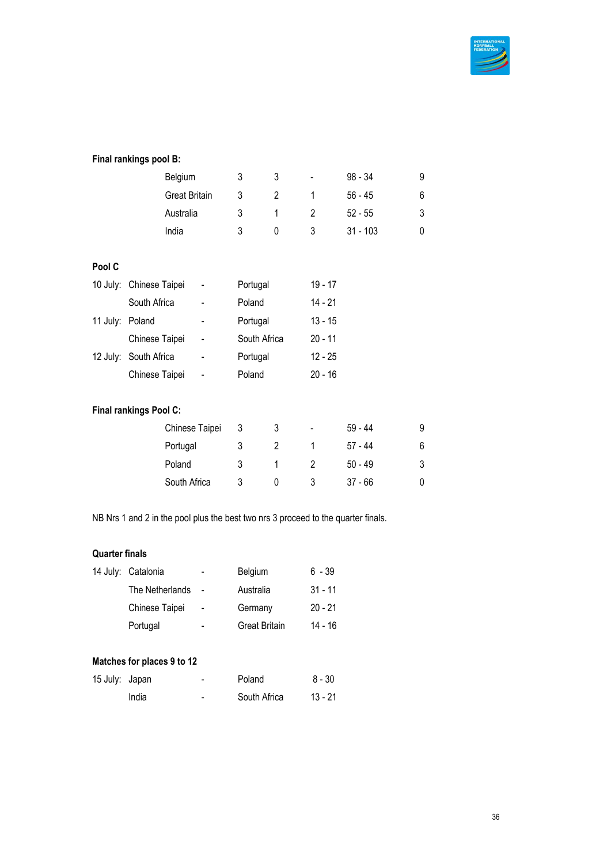

| Final rankings pool B:        |                       |                      |  |              |                |           |            |   |
|-------------------------------|-----------------------|----------------------|--|--------------|----------------|-----------|------------|---|
|                               |                       | Belgium              |  | 3            | 3              |           | $98 - 34$  | 9 |
|                               |                       | <b>Great Britain</b> |  | 3            | $\overline{2}$ | 1         | $56 - 45$  | 6 |
|                               |                       | Australia            |  | 3            | 1              | 2         | $52 - 55$  | 3 |
|                               |                       | India                |  | 3            | 0              | 3         | $31 - 103$ | 0 |
| Pool C                        |                       |                      |  |              |                |           |            |   |
| 10 July:                      | Chinese Taipei        |                      |  | Portugal     |                | $19 - 17$ |            |   |
|                               | South Africa          |                      |  | Poland       |                | 14 - 21   |            |   |
| 11 July: Poland               |                       |                      |  | Portugal     |                | $13 - 15$ |            |   |
|                               | Chinese Taipei        |                      |  | South Africa |                | $20 - 11$ |            |   |
|                               | 12 July: South Africa |                      |  | Portugal     |                | $12 - 25$ |            |   |
|                               | Chinese Taipei        |                      |  | Poland       |                | $20 - 16$ |            |   |
| <b>Final rankings Pool C:</b> |                       |                      |  |              |                |           |            |   |
|                               |                       | Chinese Taipei       |  | 3            | 3              |           | $59 - 44$  | 9 |
|                               |                       | Portugal             |  | 3            | 2              | 1         | $57 - 44$  | 6 |
|                               |                       | Poland               |  | 3            | 1              | 2         | $50 - 49$  | 3 |
|                               |                       | South Africa         |  | 3            | 0              | 3         | $37 - 66$  | 0 |
|                               |                       |                      |  |              |                |           |            |   |

NB Nrs 1 and 2 in the pool plus the best two nrs 3 proceed to the quarter finals.

| 14 July: Catalonia | Belgium              | $6 - 39$  |
|--------------------|----------------------|-----------|
| The Netherlands    | Australia            | $31 - 11$ |
| Chinese Taipei     | Germany              | $20 - 21$ |
| Portugal           | <b>Great Britain</b> | 14 - 16   |

### **Matches for places 9 to 12**

| 15 July: Japan<br>$\overline{\phantom{a}}$ |                          | Poland       | 8 - 30  |
|--------------------------------------------|--------------------------|--------------|---------|
| India                                      | $\overline{\phantom{a}}$ | South Africa | 13 - 21 |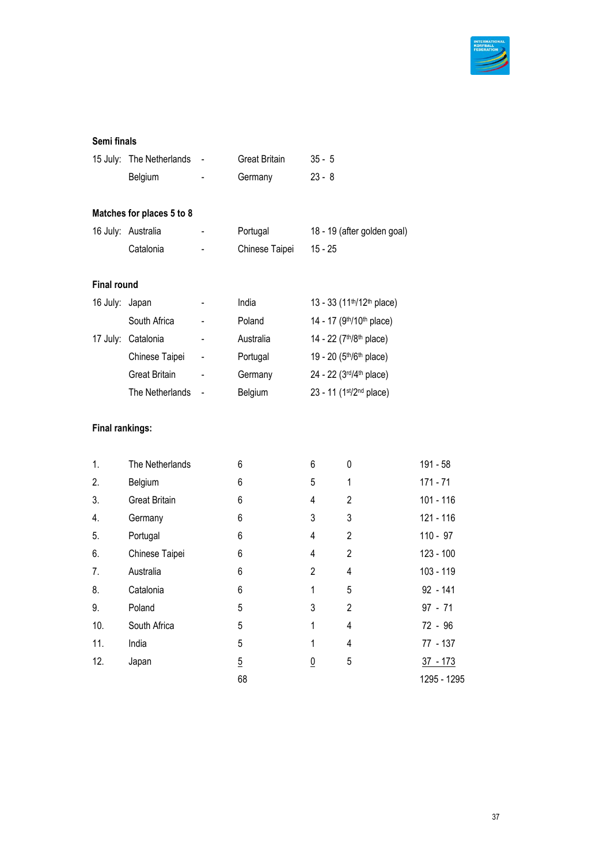

#### **Semi finals**

| 15 July: The Netherlands - |                | <b>Great Britain</b> | $35 - 5$ |
|----------------------------|----------------|----------------------|----------|
| Belgium                    | $\blacksquare$ | Germany              | 23 - 8   |

## **Matches for places 5 to 8**

| 16 July: Australia | $\overline{\phantom{0}}$ | Portugal       | 18 - 19 (after golden goal) |
|--------------------|--------------------------|----------------|-----------------------------|
| Catalonia          | $\sim$                   | Chinese Taipei | 15 - 25                     |

#### **Final round**

| 16 July: Japan |                      |                          | India     | 13 - 33 (11 <sup>th</sup> /12 <sup>th</sup> place) |
|----------------|----------------------|--------------------------|-----------|----------------------------------------------------|
|                | South Africa         | $\overline{\phantom{a}}$ | Poland    | 14 - 17 (9th/10th place)                           |
| 17 July:       | Catalonia            | $\overline{\phantom{a}}$ | Australia | 14 - 22 (7 <sup>th</sup> /8 <sup>th</sup> place)   |
|                | Chinese Taipei       | $\overline{\phantom{a}}$ | Portugal  | 19 - 20 (5 <sup>th</sup> /6 <sup>th</sup> place)   |
|                | <b>Great Britain</b> | $\overline{\phantom{a}}$ | Germany   | 24 - 22 (3rd/4th place)                            |
|                | The Netherlands      | $\sim$                   | Belgium   | 23 - 11 (1st/2nd place)                            |

### **Final rankings:**

| 1.  | The Netherlands      | 6              | 6        | 0              | 191 - 58    |
|-----|----------------------|----------------|----------|----------------|-------------|
| 2.  | Belgium              | 6              | 5        | 1              | $171 - 71$  |
| 3.  | <b>Great Britain</b> | 6              | 4        | 2              | $101 - 116$ |
| 4.  | Germany              | 6              | 3        | 3              | 121 - 116   |
| 5.  | Portugal             | 6              | 4        | $\overline{2}$ | 110 - 97    |
| 6.  | Chinese Taipei       | 6              | 4        | $\overline{2}$ | 123 - 100   |
| 7.  | Australia            | 6              | 2        | 4              | $103 - 119$ |
| 8.  | Catalonia            | 6              | 1        | 5              | $92 - 141$  |
| 9.  | Poland               | 5              | 3        | 2              | $97 - 71$   |
| 10. | South Africa         | 5              | 1        | 4              | 72 - 96     |
| 11. | India                | 5              | 1        | 4              | 77 - 137    |
| 12. | Japan                | $\overline{5}$ | <u>0</u> | 5              | $37 - 173$  |
|     |                      | 68             |          |                | 1295 - 1295 |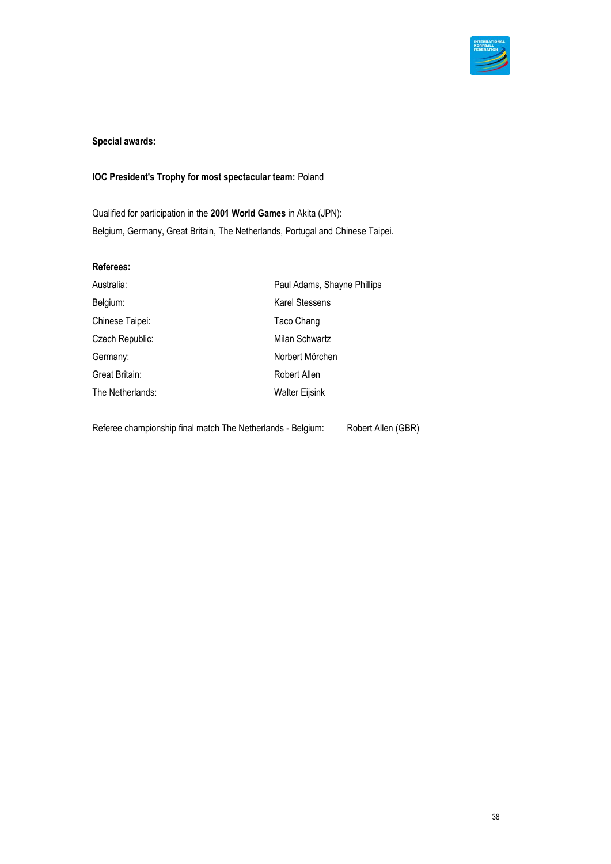

#### **Special awards:**

#### **IOC President's Trophy for most spectacular team:** Poland

Qualified for participation in the **2001 World Games** in Akita (JPN): Belgium, Germany, Great Britain, The Netherlands, Portugal and Chinese Taipei.

| Referees: |  |
|-----------|--|
|           |  |

| Australia:       | Paul Adams, Shayne Phillips |
|------------------|-----------------------------|
| Belgium:         | <b>Karel Stessens</b>       |
| Chinese Taipei:  | Taco Chang                  |
| Czech Republic:  | Milan Schwartz              |
| Germany:         | Norbert Mörchen             |
| Great Britain:   | Robert Allen                |
| The Netherlands: | <b>Walter Eijsink</b>       |
|                  |                             |

Referee championship final match The Netherlands - Belgium: Robert Allen (GBR)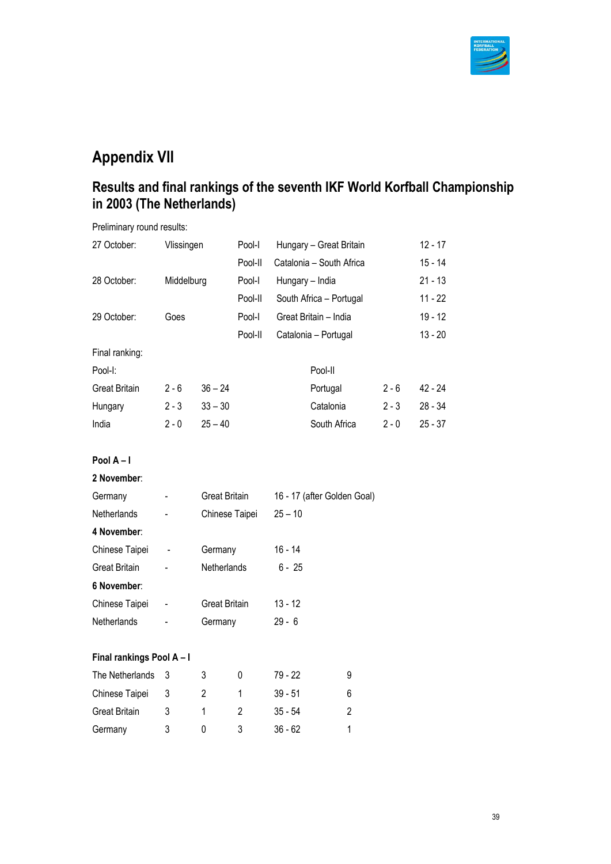

# <span id="page-40-0"></span>**Appendix VII**

## <span id="page-40-1"></span>**Results and final rankings of the seventh IKF World Korfball Championship in 2003 (The Netherlands)**

| Preliminary round results: |            |                      |                |                         |                             |           |           |
|----------------------------|------------|----------------------|----------------|-------------------------|-----------------------------|-----------|-----------|
| 27 October:<br>Vlissingen  |            | Pool-I               |                | Hungary - Great Britain |                             | $12 - 17$ |           |
|                            |            |                      | Pool-II        |                         | Catalonia - South Africa    |           | $15 - 14$ |
| 28 October:                | Middelburg |                      | Pool-I         |                         | Hungary - India             |           | $21 - 13$ |
|                            |            |                      | Pool-II        |                         | South Africa - Portugal     |           | $11 - 22$ |
| 29 October:                | Goes       |                      | Pool-I         |                         | Great Britain - India       |           |           |
|                            |            |                      | Pool-II        |                         | Catalonia - Portugal        |           | $13 - 20$ |
| Final ranking:             |            |                      |                |                         |                             |           |           |
| Pool-I:                    |            |                      |                |                         | Pool-II                     |           |           |
| <b>Great Britain</b>       | $2 - 6$    | $36 - 24$            |                |                         | Portugal                    | $2 - 6$   | $42 - 24$ |
| Hungary                    | $2 - 3$    | $33 - 30$            |                |                         | Catalonia                   | $2 - 3$   | $28 - 34$ |
| India                      | $2 - 0$    | $25 - 40$            |                |                         | South Africa                | $2 - 0$   | $25 - 37$ |
|                            |            |                      |                |                         |                             |           |           |
| Pool $A - I$               |            |                      |                |                         |                             |           |           |
| 2 November:                |            |                      |                |                         |                             |           |           |
| Germany                    |            | <b>Great Britain</b> |                |                         | 16 - 17 (after Golden Goal) |           |           |
| Netherlands                |            | Chinese Taipei       |                | $25 - 10$               |                             |           |           |
| 4 November:                |            |                      |                |                         |                             |           |           |
| Chinese Taipei             |            | Germany              |                | $16 - 14$               |                             |           |           |
| <b>Great Britain</b>       |            | Netherlands          |                | $6 - 25$                |                             |           |           |
| 6 November:                |            |                      |                |                         |                             |           |           |
| Chinese Taipei             |            | <b>Great Britain</b> |                | $13 - 12$               |                             |           |           |
| Netherlands                |            | Germany              |                | $29 - 6$                |                             |           |           |
|                            |            |                      |                |                         |                             |           |           |
| Final rankings Pool A-I    |            |                      |                |                         |                             |           |           |
| The Netherlands            | 3          | 3                    | 0              | 79 - 22                 | 9                           |           |           |
| Chinese Taipei             | 3          | $\overline{2}$       | $\mathbf{1}$   | $39 - 51$               | 6                           |           |           |
| <b>Great Britain</b>       | 3          | $\mathbf{1}$         | $\overline{2}$ | $35 - 54$               | $\mathbf{2}$                |           |           |
| Germany                    | 3          | 0                    | 3              | $36 - 62$               | 1                           |           |           |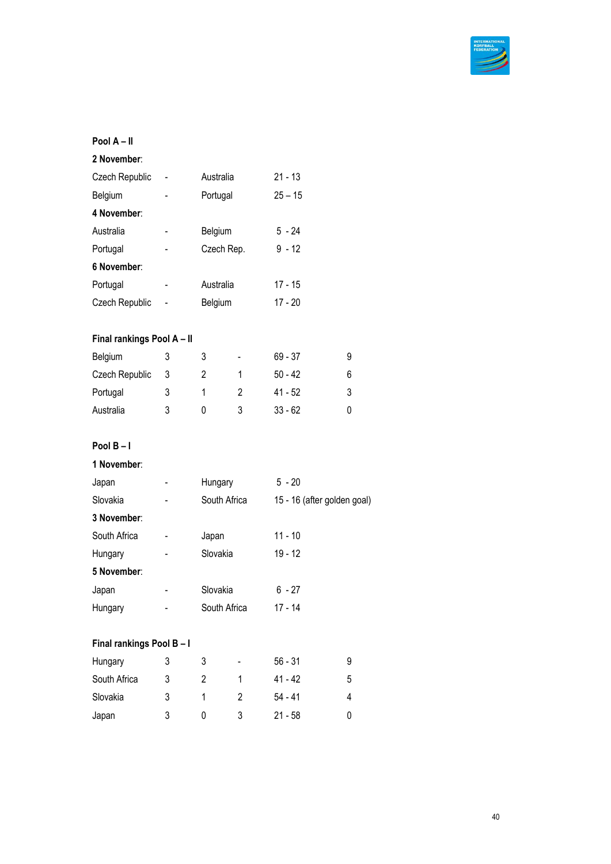

| Pool A-II                  |   |                |              |           |                             |
|----------------------------|---|----------------|--------------|-----------|-----------------------------|
| 2 November:                |   |                |              |           |                             |
| Czech Republic             |   | Australia      |              | $21 - 13$ |                             |
| Belgium                    |   | Portugal       |              | $25 - 15$ |                             |
| 4 November:                |   |                |              |           |                             |
| Australia                  | - | Belgium        |              | $5 - 24$  |                             |
| Portugal                   |   |                | Czech Rep.   | $9 - 12$  |                             |
| 6 November:                |   |                |              |           |                             |
| Portugal                   |   | Australia      |              | $17 - 15$ |                             |
| Czech Republic             |   | Belgium        |              | $17 - 20$ |                             |
| Final rankings Pool A - II |   |                |              |           |                             |
| Belgium                    | 3 | 3              |              | $69 - 37$ | 9                           |
| Czech Republic             | 3 | 2              | 1            | $50 - 42$ | 6                           |
| Portugal                   | 3 | 1              | 2            | $41 - 52$ | 3                           |
| Australia                  | 3 | 0              | 3            | $33 - 62$ | 0                           |
| Pool $B - I$               |   |                |              |           |                             |
| 1 November:                |   |                |              |           |                             |
| Japan                      |   | Hungary        |              | $5 - 20$  |                             |
| Slovakia                   |   | South Africa   |              |           | 15 - 16 (after golden goal) |
| 3 November:                |   |                |              |           |                             |
| South Africa               |   | Japan          |              | $11 - 10$ |                             |
| Hungary                    |   | Slovakia       |              | $19 - 12$ |                             |
| 5 November:                |   |                |              |           |                             |
| Japan                      |   | Slovakia       |              | $6 - 27$  |                             |
| Hungary                    |   |                | South Africa | $17 - 14$ |                             |
| Final rankings Pool B-I    |   |                |              |           |                             |
| Hungary                    | 3 | 3              |              | $56 - 31$ | 9                           |
| South Africa               | 3 | $\overline{c}$ | 1            | $41 - 42$ | 5                           |
| Slovakia                   | 3 | 1              | 2            | $54 - 41$ | 4                           |
| Japan                      | 3 | 0              | 3            | $21 - 58$ | 0                           |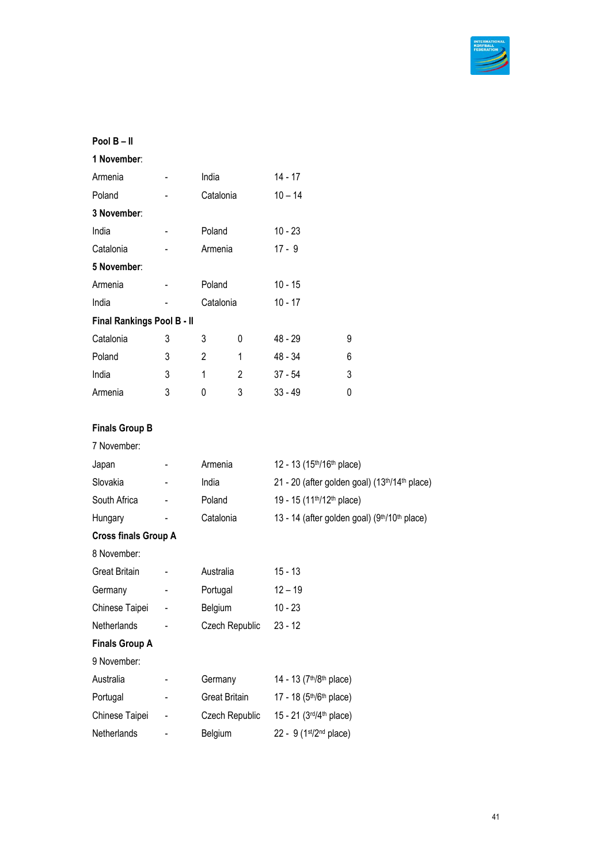

| Pool B-II                   |   |                      |   |                                                    |                                               |
|-----------------------------|---|----------------------|---|----------------------------------------------------|-----------------------------------------------|
| 1 November:                 |   |                      |   |                                                    |                                               |
| Armenia                     |   | India                |   | $14 - 17$                                          |                                               |
| Poland                      |   | Catalonia            |   | $10 - 14$                                          |                                               |
| 3 November:                 |   |                      |   |                                                    |                                               |
| India                       |   | Poland               |   | $10 - 23$                                          |                                               |
| Catalonia                   |   | Armenia              |   | $17 - 9$                                           |                                               |
| 5 November:                 |   |                      |   |                                                    |                                               |
| Armenia                     |   | Poland               |   | $10 - 15$                                          |                                               |
| India                       |   | Catalonia            |   | $10 - 17$                                          |                                               |
| Final Rankings Pool B - II  |   |                      |   |                                                    |                                               |
| Catalonia                   | 3 | 3                    | 0 | 48 - 29                                            | 9                                             |
| Poland                      | 3 | 2                    | 1 | 48 - 34                                            | 6                                             |
| India                       | 3 | 1                    | 2 | $37 - 54$                                          | 3                                             |
| Armenia                     | 3 | 0                    | 3 | $33 - 49$                                          | 0                                             |
|                             |   |                      |   |                                                    |                                               |
| <b>Finals Group B</b>       |   |                      |   |                                                    |                                               |
| 7 November:                 |   |                      |   |                                                    |                                               |
| Japan                       |   | Armenia              |   | 12 - 13 (15 <sup>th</sup> /16 <sup>th</sup> place) |                                               |
| Slovakia                    |   | India                |   |                                                    | 21 - 20 (after golden goal) (13th/14th place) |
| South Africa                |   | Poland               |   | 19 - 15 (11 <sup>th</sup> /12 <sup>th</sup> place) |                                               |
| Hungary                     |   | Catalonia            |   |                                                    | 13 - 14 (after golden goal) (9th/10th place)  |
| <b>Cross finals Group A</b> |   |                      |   |                                                    |                                               |
| 8 November:                 |   |                      |   |                                                    |                                               |
| <b>Great Britain</b>        |   | Australia            |   | $15 - 13$                                          |                                               |
| Germany                     |   | Portugal             |   | $12 - 19$                                          |                                               |
| Chinese Taipei              |   | Belgium              |   | $10 - 23$                                          |                                               |
| Netherlands                 |   | Czech Republic       |   | $23 - 12$                                          |                                               |
| <b>Finals Group A</b>       |   |                      |   |                                                    |                                               |
| 9 November:                 |   |                      |   |                                                    |                                               |
| Australia                   |   | Germany              |   | 14 - 13 (7 <sup>th</sup> /8 <sup>th</sup> place)   |                                               |
| Portugal                    |   | <b>Great Britain</b> |   | 17 - 18 (5 <sup>th</sup> /6 <sup>th</sup> place)   |                                               |
| Chinese Taipei              |   | Czech Republic       |   | 15 - 21 (3rd/4th place)                            |                                               |
| Netherlands                 |   | Belgium              |   | 22 - 9 (1st/2nd place)                             |                                               |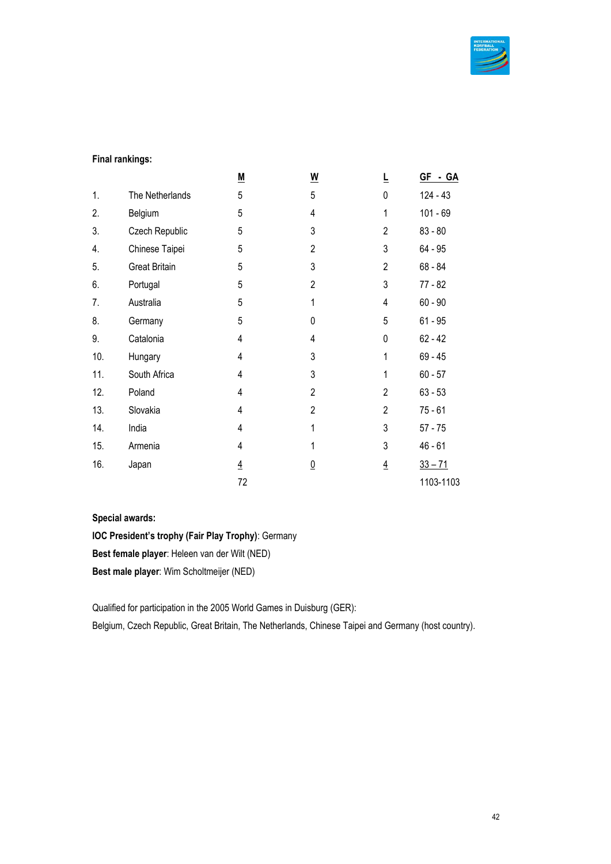

#### **Final rankings:**

|     |                      | $\underline{\mathsf{M}}$ | $\underline{\mathsf{W}}$ | Ļ              | GF - GA    |
|-----|----------------------|--------------------------|--------------------------|----------------|------------|
| 1.  | The Netherlands      | 5                        | 5                        | 0              | $124 - 43$ |
| 2.  | Belgium              | 5                        | 4                        | 1              | $101 - 69$ |
| 3.  | Czech Republic       | 5                        | 3                        | $\overline{2}$ | $83 - 80$  |
| 4.  | Chinese Taipei       | 5                        | $\overline{2}$           | 3              | $64 - 95$  |
| 5.  | <b>Great Britain</b> | 5                        | 3                        | $\overline{2}$ | 68 - 84    |
| 6.  | Portugal             | 5                        | $\overline{2}$           | 3              | $77 - 82$  |
| 7.  | Australia            | 5                        | 1                        | 4              | $60 - 90$  |
| 8.  | Germany              | 5                        | 0                        | 5              | $61 - 95$  |
| 9.  | Catalonia            | 4                        | 4                        | 0              | $62 - 42$  |
| 10. | Hungary              | 4                        | 3                        | 1              | $69 - 45$  |
| 11. | South Africa         | 4                        | 3                        | 1              | $60 - 57$  |
| 12. | Poland               | 4                        | $\overline{2}$           | $\overline{2}$ | $63 - 53$  |
| 13. | Slovakia             | 4                        | $\overline{2}$           | $\overline{2}$ | $75 - 61$  |
| 14. | India                | 4                        | 1                        | 3              | $57 - 75$  |
| 15. | Armenia              | 4                        | 1                        | 3              | $46 - 61$  |
| 16. | Japan                | $\overline{4}$           | $\underline{0}$          | $\overline{4}$ | $33 - 71$  |
|     |                      | 72                       |                          |                | 1103-1103  |
|     |                      |                          |                          |                |            |

**Special awards: IOC President's trophy (Fair Play Trophy)**: Germany **Best female player**: Heleen van der Wilt (NED) **Best male player**: Wim Scholtmeijer (NED)

Qualified for participation in the 2005 World Games in Duisburg (GER): Belgium, Czech Republic, Great Britain, The Netherlands, Chinese Taipei and Germany (host country).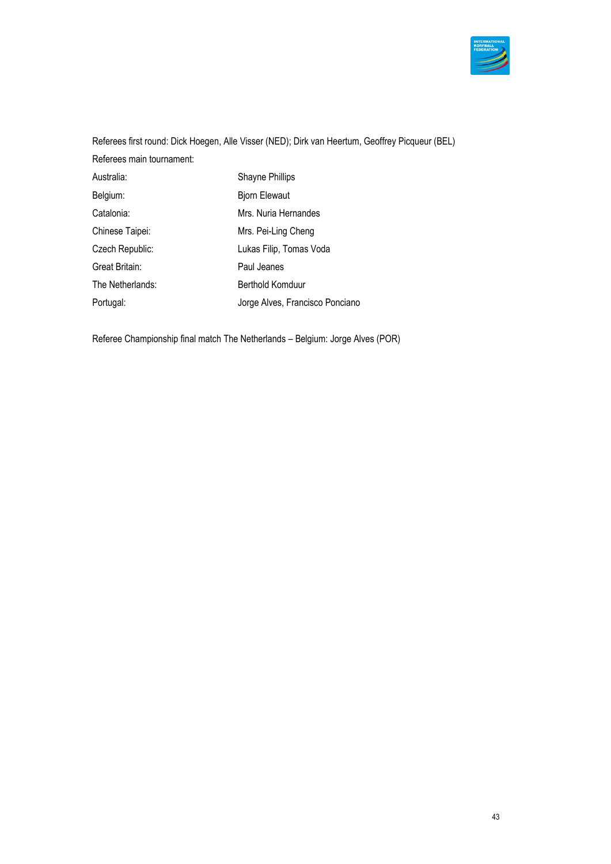

Referees first round: Dick Hoegen, Alle Visser (NED); Dirk van Heertum, Geoffrey Picqueur (BEL)

Referees main tournament: Australia: Shayne Phillips Belgium: Biorn Elewaut Catalonia: Mrs. Nuria Hernandes Chinese Taipei: Mrs. Pei-Ling Cheng Czech Republic: Lukas Filip, Tomas Voda Great Britain: Paul Jeanes The Netherlands: Berthold Komduur Portugal: **Discription Portugal:** Jorge Alves, Francisco Ponciano

Referee Championship final match The Netherlands – Belgium: Jorge Alves (POR)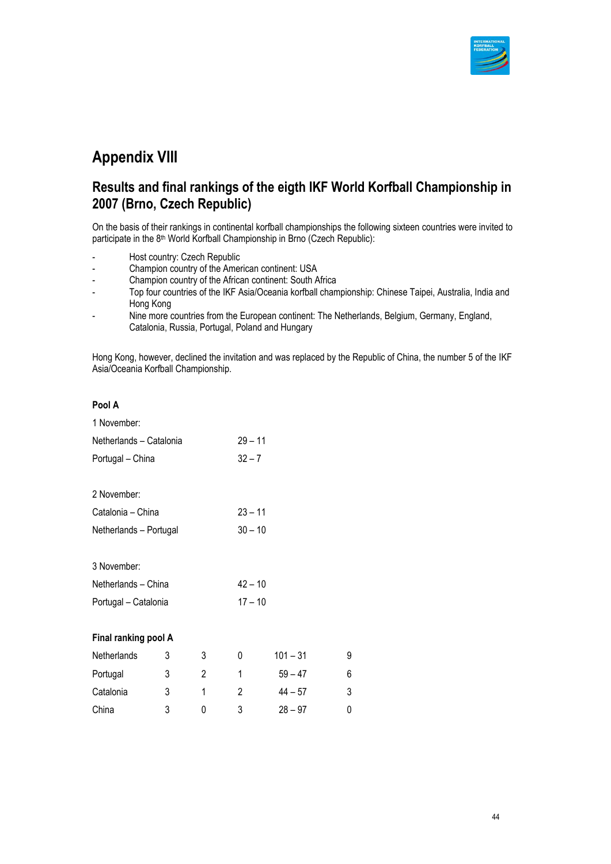

## <span id="page-45-0"></span>**Appendix VIII**

## <span id="page-45-1"></span>**Results and final rankings of the eigth IKF World Korfball Championship in 2007 (Brno, Czech Republic)**

On the basis of their rankings in continental korfball championships the following sixteen countries were invited to participate in the 8<sup>th</sup> World Korfball Championship in Brno (Czech Republic):

- Host country: Czech Republic
- Champion country of the American continent: USA
- Champion country of the African continent: South Africa
- Top four countries of the IKF Asia/Oceania korfball championship: Chinese Taipei, Australia, India and Hong Kong
- Nine more countries from the European continent: The Netherlands, Belgium, Germany, England, Catalonia, Russia, Portugal, Poland and Hungary

Hong Kong, however, declined the invitation and was replaced by the Republic of China, the number 5 of the IKF Asia/Oceania Korfball Championship.

#### **Pool A**

| 1 November:             |   |           |           |            |   |  |
|-------------------------|---|-----------|-----------|------------|---|--|
| Netherlands - Catalonia |   |           |           | $29 - 11$  |   |  |
| Portugal - China        |   |           | $32 - 7$  |            |   |  |
| 2 November:             |   |           |           |            |   |  |
| Catalonia - China       |   | $23 - 11$ |           |            |   |  |
| Netherlands - Portugal  |   |           |           | $30 - 10$  |   |  |
| 3 November:             |   |           |           |            |   |  |
| Netherlands - China     |   |           | $42 - 10$ |            |   |  |
| Portugal - Catalonia    |   |           | $17 - 10$ |            |   |  |
| Final ranking pool A    |   |           |           |            |   |  |
| Netherlands             | 3 | 3         | 0         | $101 - 31$ | 9 |  |
| Portugal                | 3 | 2         | 1         | $59 - 47$  | 6 |  |
| Catalonia               | 3 | 1         | 2         | $44 - 57$  | 3 |  |
| China                   | 3 | 0         | 3         | $28 - 97$  | 0 |  |
|                         |   |           |           |            |   |  |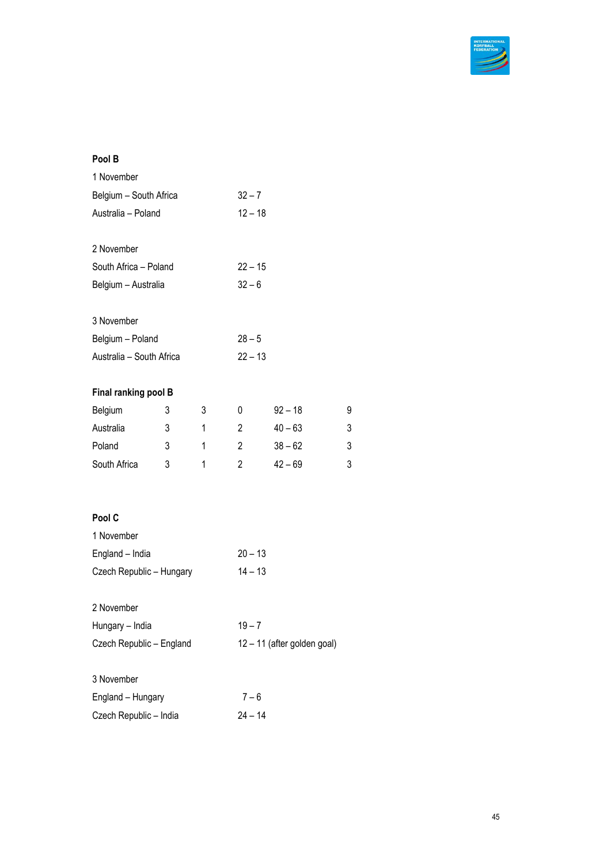

#### **Pool B**

| 1 November             |           |
|------------------------|-----------|
| Belgium – South Africa | $32 - 7$  |
| Australia – Poland     | $12 - 18$ |
|                        |           |

## 2 November

| South Africa – Poland | $22 - 15$ |
|-----------------------|-----------|
| Belgium - Australia   | $32 - 6$  |

### 3 November

| Belgium - Poland         | $28 - 5$  |
|--------------------------|-----------|
| Australia – South Africa | $22 - 13$ |

### **Final ranking pool B**

| Belgium      | 3 | 3 | $92 - 18$ | 9 |
|--------------|---|---|-----------|---|
| Australia    | 3 |   | $40 - 63$ | 3 |
| Poland       | 3 |   | $38 - 62$ | 3 |
| South Africa |   |   | $42 - 69$ |   |

### **Pool C**

| 1 November               |           |
|--------------------------|-----------|
| England – India          | $20 - 13$ |
| Czech Republic - Hungary | $14 - 13$ |

### 2 November

| Hungary – India          | $19 - 7$                    |
|--------------------------|-----------------------------|
| Czech Republic - England | 12 – 11 (after golden goal) |

#### 3 November

| England - Hungary      | $7 - 6$   |
|------------------------|-----------|
| Czech Republic – India | $24 - 14$ |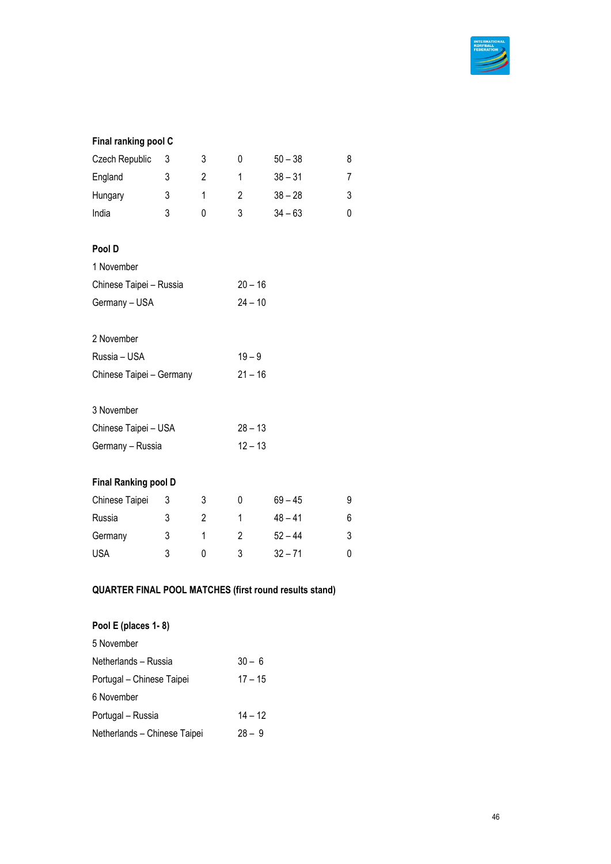

### **Final ranking pool C**

| Czech Republic | -3 | 3 | 0 | $50 - 38$ | 8 |
|----------------|----|---|---|-----------|---|
| England        | 3  | 2 |   | $38 - 31$ |   |
| Hungary        | 3  |   | 2 | $38 - 28$ | 3 |
| India          | 3  | 0 | 3 | $34 - 63$ | 0 |
|                |    |   |   |           |   |
| Pool D         |    |   |   |           |   |

| 1 November              |           |
|-------------------------|-----------|
| Chinese Taipei - Russia | $20 - 16$ |
| Germany - USA           | $24 - 10$ |

| 2 November   |          |
|--------------|----------|
| Russia – USA | $19 - 9$ |

| Chinese Taipei - Germany | $21 - 16$ |
|--------------------------|-----------|
|                          |           |

### 3 November

| Chinese Taipei - USA | $28 - 13$ |
|----------------------|-----------|
| Germany – Russia     | $12 - 13$ |

### **Final Ranking pool D**

| Chinese Taipei | 3 |  | $69 - 45$ | 9 |
|----------------|---|--|-----------|---|
| Russia         | 3 |  | $48 - 41$ | 6 |
| Germany        | 3 |  | $52 - 44$ | 3 |
| <b>USA</b>     |   |  | $32 - 71$ |   |

### **QUARTER FINAL POOL MATCHES (first round results stand)**

| Pool E (places 1-8)          |           |
|------------------------------|-----------|
| 5 November                   |           |
| Netherlands – Russia         | $30 - 6$  |
| Portugal - Chinese Taipei    | 17 – 15   |
| 6 November                   |           |
| Portugal – Russia            | $14 - 12$ |
| Netherlands - Chinese Taipei | $28 - 9$  |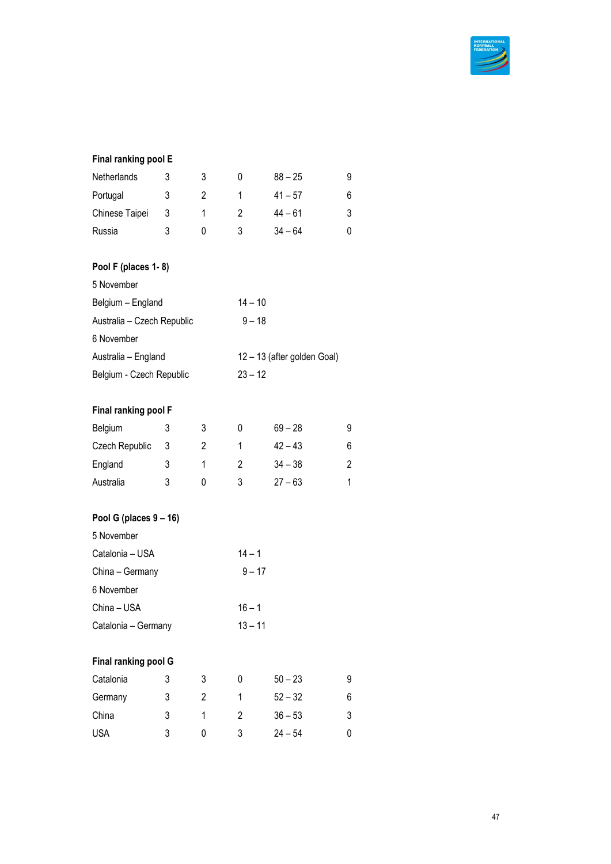

### **Final ranking pool E**

| Netherlands    |   | 3 | $88 - 25$ |  |
|----------------|---|---|-----------|--|
| Portugal       |   |   | $41 - 57$ |  |
| Chinese Taipei | 3 |   | $44 - 61$ |  |
| Russia         |   |   | $34 - 64$ |  |

## **Pool F (places 1- 8)**

| 5 November                 |                             |
|----------------------------|-----------------------------|
| Belgium - England          | $14 - 10$                   |
| Australia - Czech Republic | $9 - 18$                    |
| 6 November                 |                             |
| Australia - England        | 12 - 13 (after golden Goal) |
| Belgium - Czech Republic   | $23 - 12$                   |
|                            |                             |

#### **Final ranking pool F**

| Belgium        | 3 |  | $69 - 28$ | 9 |
|----------------|---|--|-----------|---|
| Czech Republic | 3 |  | $42 - 43$ |   |
| England        |   |  | $34 - 38$ |   |
| Australia      |   |  | $27 - 63$ |   |

## **Pool G (places 9 – 16)**

| $14 - 1$  |  |
|-----------|--|
| $9 - 17$  |  |
|           |  |
| $16 - 1$  |  |
| $13 - 11$ |  |
|           |  |

## **Final ranking pool G**

| Catalonia  | 3 |  | $50 - 23$ | 9 |
|------------|---|--|-----------|---|
| Germany    | 3 |  | $52 - 32$ | 6 |
| China      | 3 |  | $36 - 53$ | 3 |
| <b>USA</b> |   |  | $24 - 54$ |   |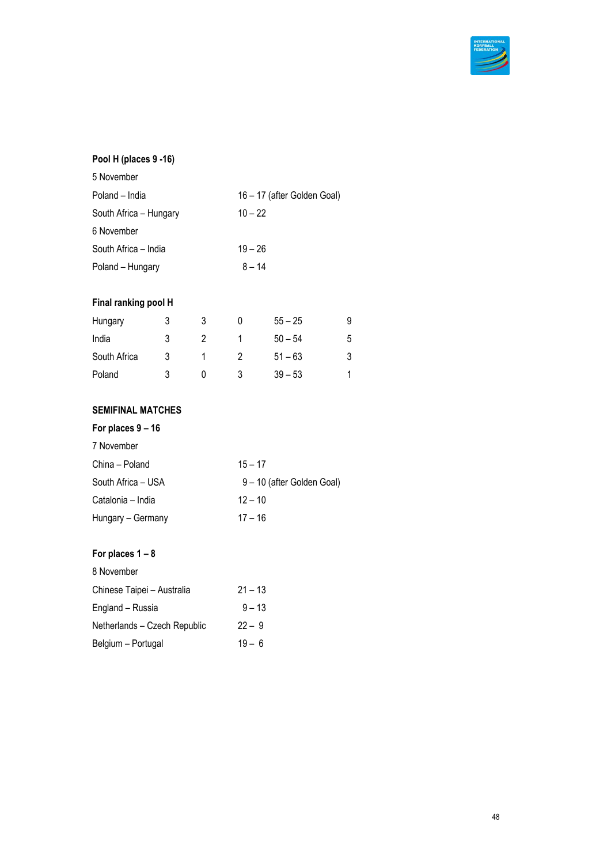

### **Pool H (places 9 -16)**

| 5 November             |                             |
|------------------------|-----------------------------|
| Poland - India         | 16 - 17 (after Golden Goal) |
| South Africa - Hungary | $10 - 22$                   |
| 6 November             |                             |
| South Africa - India   | $19 - 26$                   |
| Poland - Hungary       | 8 – 14                      |

### **Final ranking pool H**

| Hungary      | 3 | 3 | $55 - 25$ | 9 |
|--------------|---|---|-----------|---|
| India        | 3 |   | $50 - 54$ | 5 |
| South Africa | 3 |   | $51 - 63$ | 3 |
| Poland       | 2 |   | $39 - 53$ |   |

### **SEMIFINAL MATCHES**

| For places $9 - 16$ |                            |
|---------------------|----------------------------|
| 7 November          |                            |
| China - Poland      | $15 - 17$                  |
| South Africa - USA  | 9 - 10 (after Golden Goal) |
| Catalonia – India   | $12 - 10$                  |
| Hungary - Germany   | $17 - 16$                  |

### **For places 1 – 8**

| 8 November                   |           |
|------------------------------|-----------|
| Chinese Taipei - Australia   | $21 - 13$ |
| England – Russia             | $9 - 13$  |
| Netherlands - Czech Republic | $22 - 9$  |
| Belgium - Portugal           | $19 - 6$  |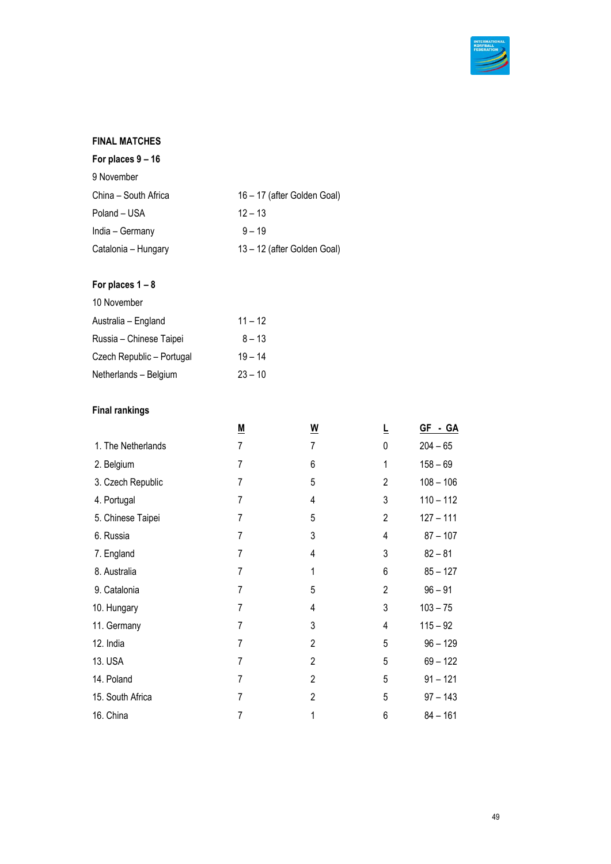

### **FINAL MATCHES**

| For places 9 - 16    |                             |
|----------------------|-----------------------------|
| 9 November           |                             |
| China - South Africa | 16 - 17 (after Golden Goal) |
| Poland – USA         | $12 - 13$                   |
| India - Germany      | $9 - 19$                    |
| Catalonia – Hungary  | 13 - 12 (after Golden Goal) |

## **For places 1 – 8**

| 10 November               |           |
|---------------------------|-----------|
| Australia - England       | $11 - 12$ |
| Russia – Chinese Taipei   | $8 - 13$  |
| Czech Republic - Portugal | $19 - 14$ |
| Netherlands - Belgium     | $23 - 10$ |

### **Final rankings**

|                    | <u>M</u> | $\underline{\mathsf{W}}$ | Ē              | GF - GA     |
|--------------------|----------|--------------------------|----------------|-------------|
| 1. The Netherlands | 7        | 7                        | 0              | $204 - 65$  |
| 2. Belgium         | 7        | 6                        | 1              | $158 - 69$  |
| 3. Czech Republic  | 7        | 5                        | $\overline{2}$ | $108 - 106$ |
| 4. Portugal        | 7        | 4                        | 3              | $110 - 112$ |
| 5. Chinese Taipei  | 7        | 5                        | $\overline{2}$ | $127 - 111$ |
| 6. Russia          | 7        | 3                        | 4              | $87 - 107$  |
| 7. England         | 7        | 4                        | 3              | $82 - 81$   |
| 8. Australia       | 7        | 1                        | 6              | $85 - 127$  |
| 9. Catalonia       | 7        | 5                        | $\overline{2}$ | $96 - 91$   |
| 10. Hungary        | 7        | 4                        | 3              | $103 - 75$  |
| 11. Germany        | 7        | 3                        | 4              | $115 - 92$  |
| 12. India          | 7        | 2                        | 5              | $96 - 129$  |
| 13. USA            | 7        | $\overline{2}$           | 5              | $69 - 122$  |
| 14. Poland         | 7        | $\overline{2}$           | 5              | $91 - 121$  |
| 15. South Africa   | 7        | $\overline{2}$           | 5              | $97 - 143$  |
| 16. China          | 7        | 1                        | 6              | $84 - 161$  |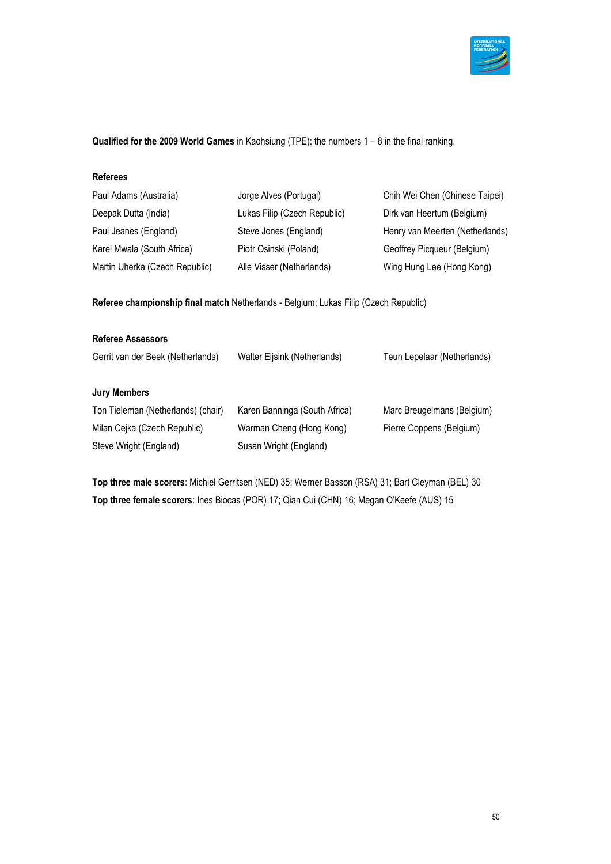

**Qualified for the 2009 World Games** in Kaohsiung (TPE): the numbers 1 – 8 in the final ranking.

#### **Referees**

| Paul Adams (Australia)         | Jorge Alves (Portugal)       | Chih Wei Chen (Chinese Taipei)  |
|--------------------------------|------------------------------|---------------------------------|
| Deepak Dutta (India)           | Lukas Filip (Czech Republic) | Dirk van Heertum (Belgium)      |
| Paul Jeanes (England)          | Steve Jones (England)        | Henry van Meerten (Netherlands) |
| Karel Mwala (South Africa)     | Piotr Osinski (Poland)       | Geoffrey Picqueur (Belgium)     |
| Martin Uherka (Czech Republic) | Alle Visser (Netherlands)    | Wing Hung Lee (Hong Kong)       |

**Referee championship final match** Netherlands - Belgium: Lukas Filip (Czech Republic)

| <b>Referee Assessors</b>           |                               |                             |
|------------------------------------|-------------------------------|-----------------------------|
| Gerrit van der Beek (Netherlands)  | Walter Eijsink (Netherlands)  | Teun Lepelaar (Netherlands) |
|                                    |                               |                             |
| <b>Jury Members</b>                |                               |                             |
| Ton Tieleman (Netherlands) (chair) | Karen Banninga (South Africa) | Marc Breugelmans (Belgium)  |
| Milan Cejka (Czech Republic)       | Warman Cheng (Hong Kong)      | Pierre Coppens (Belgium)    |
| Steve Wright (England)             | Susan Wright (England)        |                             |
|                                    |                               |                             |

**Top three male scorers**: Michiel Gerritsen (NED) 35; Werner Basson (RSA) 31; Bart Cleyman (BEL) 30 **Top three female scorers**: Ines Biocas (POR) 17; Qian Cui (CHN) 16; Megan O'Keefe (AUS) 15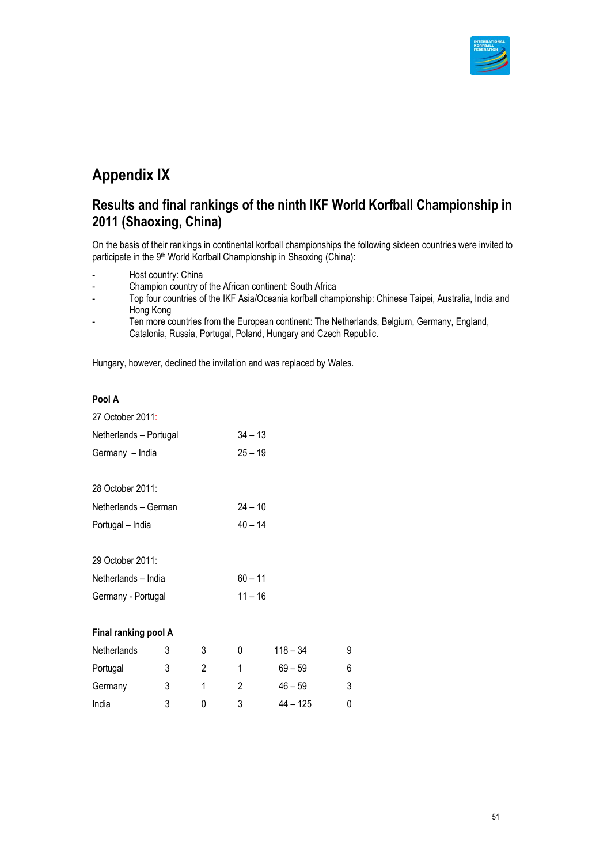

## <span id="page-52-0"></span>**Appendix IX**

## <span id="page-52-1"></span>**Results and final rankings of the ninth IKF World Korfball Championship in 2011 (Shaoxing, China)**

On the basis of their rankings in continental korfball championships the following sixteen countries were invited to participate in the 9<sup>th</sup> World Korfball Championship in Shaoxing (China):

- Host country: China
- Champion country of the African continent: South Africa
- Top four countries of the IKF Asia/Oceania korfball championship: Chinese Taipei, Australia, India and Hong Kong
- Ten more countries from the European continent: The Netherlands, Belgium, Germany, England, Catalonia, Russia, Portugal, Poland, Hungary and Czech Republic.

Hungary, however, declined the invitation and was replaced by Wales.

#### **Pool A**

| 27 October 2011:       |   |   |                |            |   |
|------------------------|---|---|----------------|------------|---|
| Netherlands - Portugal |   |   | $34 - 13$      |            |   |
| Germany - India        |   |   | $25 - 19$      |            |   |
|                        |   |   |                |            |   |
| 28 October 2011:       |   |   |                |            |   |
| Netherlands - German   |   |   | $24 - 10$      |            |   |
| Portugal – India       |   |   | $40 - 14$      |            |   |
| 29 October 2011:       |   |   |                |            |   |
| Netherlands - India    |   |   | $60 - 11$      |            |   |
| Germany - Portugal     |   |   | $11 - 16$      |            |   |
| Final ranking pool A   |   |   |                |            |   |
|                        |   |   |                |            |   |
| Netherlands            | 3 | 3 | 0              | $118 - 34$ | 9 |
| Portugal               | 3 | 2 | 1              | $69 - 59$  | 6 |
| Germany                | 3 | 1 | $\overline{c}$ | $46 - 59$  | 3 |
| India                  | 3 | 0 | 3              | $44 - 125$ | 0 |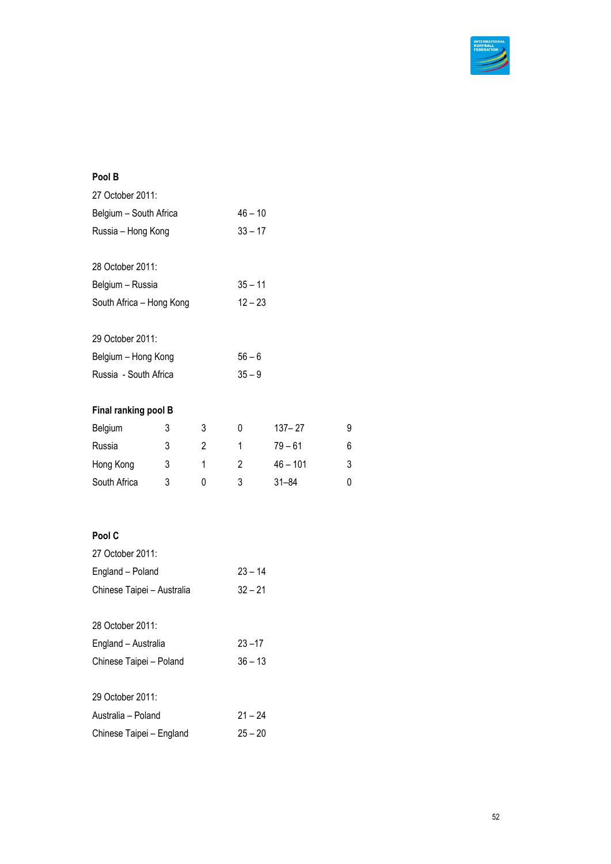

# **Pool B** 27 October 2011: Belgium – South Africa 46 – 10 Russia – Hong Kong 33 – 17 28 October 2011: Belgium – Russia 35 – 11 South Africa – Hong Kong 12 – 23 29 October 2011: Belgium – Hong Kong  $56 - 6$ Russia - South Africa 35 – 9 **Final ranking pool B** Belgium 3 3 0 137–27 9 Russia 3 2 1 79 – 61 6 Hong Kong 3 1 2 46 – 101 3 South Africa 3 0 31–84 0

| Pool C |  |
|--------|--|

| 27 October 2011:           |           |
|----------------------------|-----------|
| England - Poland           | $23 - 14$ |
| Chinese Taipei - Australia | $32 - 21$ |
|                            |           |
| 28 October 2011:           |           |
| England - Australia        | $23 - 17$ |
| Chinese Taipei - Poland    | $36 - 13$ |
|                            |           |
| 29 October 2011:           |           |
| Australia – Poland         | $21 - 24$ |
| Chinese Taipei - England   | $25 - 20$ |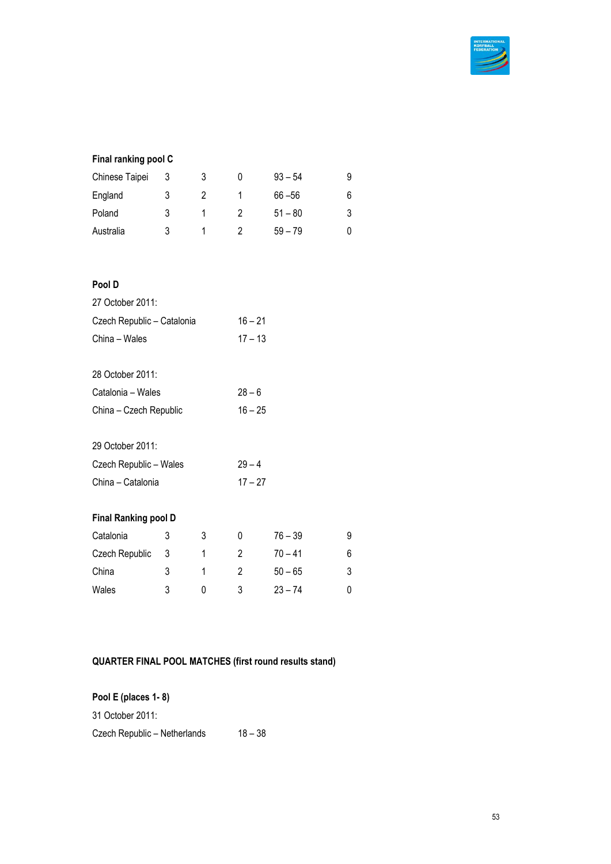

### **Final ranking pool C**

| Chinese Taipei | 3 | 3 | $93 - 54$ | 9 |
|----------------|---|---|-----------|---|
| England        | 3 |   | $66 - 56$ | 6 |
| Poland         | ર |   | $51 - 80$ | 3 |
| Australia      | 2 |   | $59 - 79$ |   |

#### **Pool D**

| 27 October 2011:           |           |
|----------------------------|-----------|
| Czech Republic – Catalonia | $16 - 21$ |
| China – Wales              | $17 - 13$ |
|                            |           |

## 28 October 2011:

| Catalonia – Wales      | $28 - 6$  |
|------------------------|-----------|
| China – Czech Republic | $16 - 25$ |

### 29 October 2011:

| Czech Republic – Wales | $29 - 4$  |
|------------------------|-----------|
| China – Catalonia      | $17 - 27$ |

### **Final Ranking pool D**

| Catalonia      |   |  | $76 - 39$ | 9 |
|----------------|---|--|-----------|---|
| Czech Republic | 3 |  | $70 - 41$ | 6 |
| China          | ર |  | $50 - 65$ | 3 |
| Wales          |   |  | $23 - 74$ | 0 |

### **QUARTER FINAL POOL MATCHES (first round results stand)**

**Pool E (places 1- 8)** 31 October 2011: Czech Republic – Netherlands 18 – 38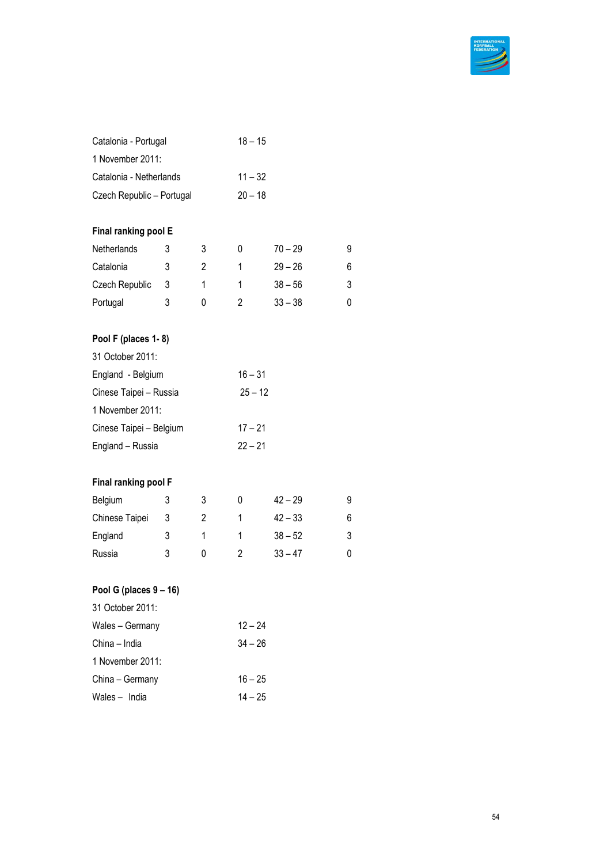| Catalonia - Portugal      |   |   | $18 - 15$ |           |   |
|---------------------------|---|---|-----------|-----------|---|
| 1 November 2011:          |   |   |           |           |   |
| Catalonia - Netherlands   |   |   | $11 - 32$ |           |   |
| Czech Republic - Portugal |   |   | $20 - 18$ |           |   |
|                           |   |   |           |           |   |
| Final ranking pool E      |   |   |           |           |   |
| Netherlands               | 3 | 3 | 0         | $70 - 29$ | 9 |
| Catalonia                 | 3 | 2 | 1         | $29 - 26$ | 6 |
| Czech Republic            | 3 | 1 | 1         | $38 - 56$ | 3 |
| Portugal                  | 3 | 0 | 2         | $33 - 38$ | 0 |
|                           |   |   |           |           |   |
| Pool F (places 1-8)       |   |   |           |           |   |
| 31 October 2011:          |   |   |           |           |   |
| England - Belgium         |   |   | $16 - 31$ |           |   |
| Cinese Taipei - Russia    |   |   | $25 - 12$ |           |   |
| 1 November 2011:          |   |   |           |           |   |
|                           |   |   |           |           |   |
| Cinese Taipei - Belgium   |   |   | $17 - 21$ |           |   |
| England - Russia          |   |   | $22 - 21$ |           |   |
|                           |   |   |           |           |   |
| Final ranking pool F      |   |   |           |           |   |
| Belgium                   | 3 | 3 | 0         | $42 - 29$ | 9 |
| Chinese Taipei            | 3 | 2 | 1         | $42 - 33$ | 6 |
| England                   | 3 | 1 | 1         | $38 - 52$ | 3 |
| Russia                    | 3 | 0 | 2         | $33 - 47$ | 0 |
|                           |   |   |           |           |   |
| Pool G (places 9 - 16)    |   |   |           |           |   |
| 31 October 2011:          |   |   |           |           |   |
| Wales - Germany           |   |   | $12 - 24$ |           |   |
| China - India             |   |   | $34 - 26$ |           |   |
| 1 November 2011:          |   |   |           |           |   |
| China - Germany           |   |   | $16 - 25$ |           |   |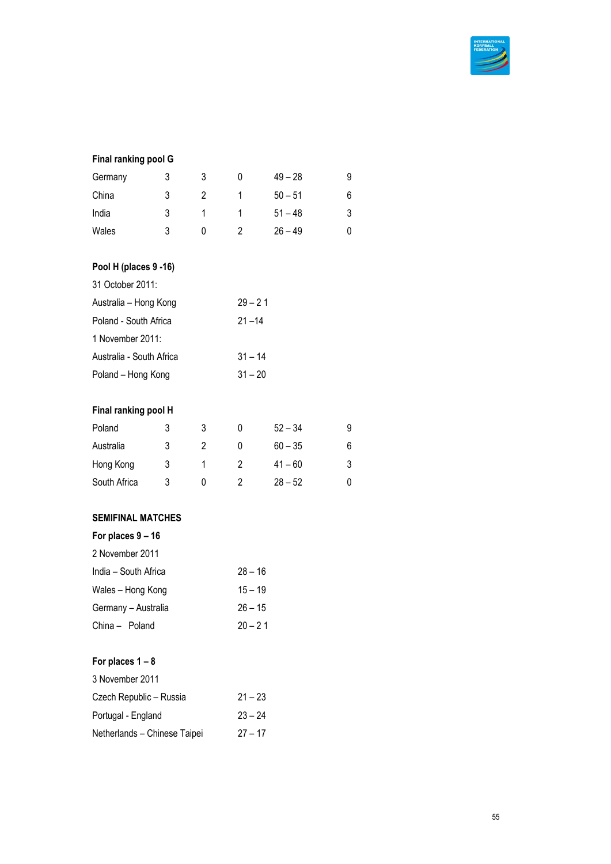

### **Final ranking pool G**

| 3 | 3 | $49 - 28$ | 9 |
|---|---|-----------|---|
| 3 |   | $50 - 51$ | 6 |
| 3 |   | $51 - 48$ | 3 |
| 3 |   | $26 - 49$ |   |
|   |   |           |   |

## **Pool H (places 9 -16)**

| 31 October 2011:         |           |
|--------------------------|-----------|
| Australia – Hong Kong    | $29 - 21$ |
| Poland - South Africa    | $21 - 14$ |
| 1 November 2011:         |           |
| Australia - South Africa | $31 - 14$ |
| Poland – Hong Kong       | $31 - 20$ |
|                          |           |

#### **Final ranking pool H**

| Poland       | 3 |  | $52 - 34$ | 9 |
|--------------|---|--|-----------|---|
| Australia    | 3 |  | $60 - 35$ |   |
| Hong Kong    | 3 |  | $41 - 60$ |   |
| South Africa |   |  | $28 - 52$ |   |

#### **SEMIFINAL MATCHES**

| For places $9 - 16$  |           |
|----------------------|-----------|
| 2 November 2011      |           |
| India - South Africa | $28 - 16$ |
| Wales - Hong Kong    | $15 - 19$ |
| Germany - Australia  | $26 - 15$ |
| China - Poland       | $20 - 21$ |

### **For places 1 – 8**

| 3 November 2011              |           |
|------------------------------|-----------|
| Czech Republic - Russia      | $21 - 23$ |
| Portugal - England           | $23 - 24$ |
| Netherlands - Chinese Taipei | $27 - 17$ |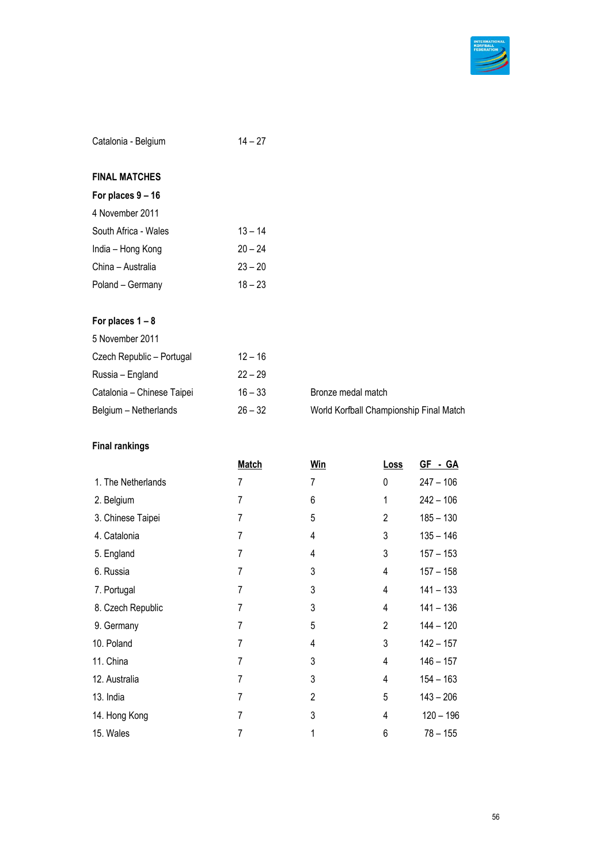| Catalonia - Belgium | $14 - 27$ |
|---------------------|-----------|
|                     |           |

#### **FINAL MATCHES For places 9 – 16**

| For places 9 – 16    |           |
|----------------------|-----------|
| 4 November 2011      |           |
| South Africa - Wales | $13 - 14$ |
| India – Hong Kong    | $20 - 24$ |
| China – Australia    | $23 - 20$ |
| Poland – Germany     | $18 - 23$ |

## **For places 1 – 8**

| 5 November 2011            |           |
|----------------------------|-----------|
| Czech Republic – Portugal  | $12 - 16$ |
| Russia – England           | $22 - 29$ |
| Catalonia - Chinese Taipei | $16 - 33$ |
| Belgium - Netherlands      | $26 - 32$ |

Bronze medal match

World Korfball Championship Final Match

### **Final rankings**

|                    | <b>Match</b> | Win            | Loss           | $GF - GA$   |
|--------------------|--------------|----------------|----------------|-------------|
| 1. The Netherlands | 7            | 7              | 0              | $247 - 106$ |
| 2. Belgium         | 7            | 6              | 1              | $242 - 106$ |
| 3. Chinese Taipei  | 7            | 5              | $\overline{2}$ | $185 - 130$ |
| 4. Catalonia       | 7            | 4              | 3              | $135 - 146$ |
| 5. England         | 7            | 4              | 3              | $157 - 153$ |
| 6. Russia          | 7            | 3              | 4              | $157 - 158$ |
| 7. Portugal        | 7            | 3              | 4              | $141 - 133$ |
| 8. Czech Republic  | 7            | 3              | 4              | $141 - 136$ |
| 9. Germany         | 7            | 5              | 2              | 144 - 120   |
| 10. Poland         | 7            | 4              | 3              | $142 - 157$ |
| 11. China          | 7            | 3              | 4              | $146 - 157$ |
| 12. Australia      | 7            | 3              | 4              | $154 - 163$ |
| 13. India          | 7            | $\overline{2}$ | 5              | $143 - 206$ |
| 14. Hong Kong      | 7            | 3              | 4              | $120 - 196$ |
| 15. Wales          | 7            |                | 6              | $78 - 155$  |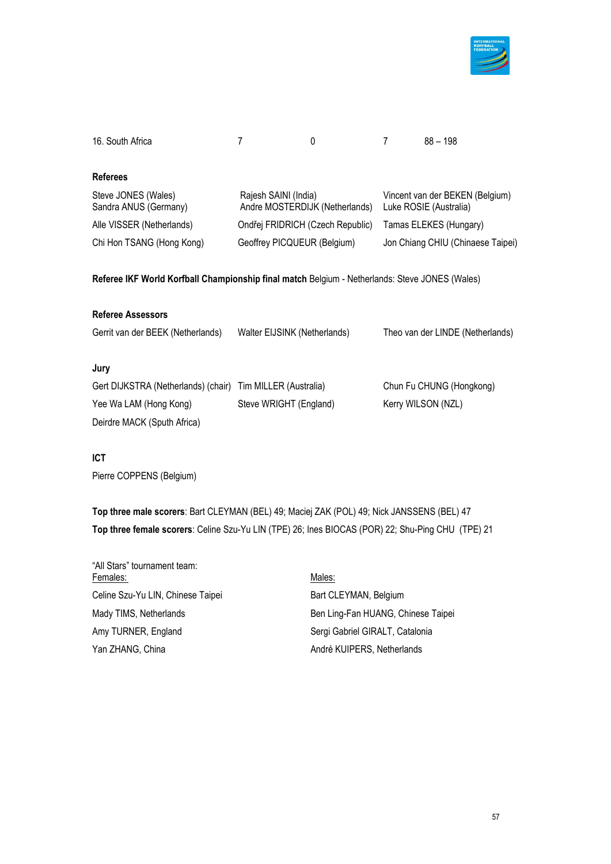

| 16. South Africa |  | 7 88 – 198 |
|------------------|--|------------|
|                  |  |            |

#### **Referees**

| Steve JONES (Wales)<br>Sandra ANUS (Germany) | Rajesh SAINI (India)<br>Andre MOSTERDIJK (Netherlands) | Vincent van der BEKEN (Belgium)<br>Luke ROSIE (Australia) |
|----------------------------------------------|--------------------------------------------------------|-----------------------------------------------------------|
| Alle VISSER (Netherlands)                    | Ondřej FRIDRICH (Czech Republic)                       | Tamas ELEKES (Hungary)                                    |
| Chi Hon TSANG (Hong Kong)                    | Geoffrey PICQUEUR (Belgium)                            | Jon Chiang CHIU (Chinaese Taipei)                         |

**Referee IKF World Korfball Championship final match** Belgium - Netherlands: Steve JONES (Wales)

#### **Referee Assessors**

| Gerrit van der BEEK (Netherlands)                          | Walter EIJSINK (Netherlands) | Theo van der LINDE (Netherlands) |
|------------------------------------------------------------|------------------------------|----------------------------------|
| Jury                                                       |                              |                                  |
| Gert DIJKSTRA (Netherlands) (chair) Tim MILLER (Australia) |                              | Chun Fu CHUNG (Hongkong)         |
| Yee Wa LAM (Hong Kong)                                     | Steve WRIGHT (England)       | Kerry WILSON (NZL)               |
| Deirdre MACK (Sputh Africa)                                |                              |                                  |

#### **ICT**

Pierre COPPENS (Belgium)

**Top three male scorers**: [Bart CLEYMAN](http://www.worldkorfball.org/players/cleyman-bart.html) (BEL) 49; [Maciej ZAK](http://www.worldkorfball.org/players/maciej-zak.html) (POL) 49; [Nick JANSSENS](http://www.worldkorfball.org/players/nick-janssens.html) (BEL) 47 **Top three female scorers**: Celin[e Szu-Yu LIN](http://www.worldkorfball.org/players/szu-yu-lin.html) (TPE) 26; [Ines BIOCAS](http://www.worldkorfball.org/players/ines-biocas.html) (POR) 22[; Shu-Ping CHU](http://www.worldkorfball.org/players/shu-ping-chu.html) (TPE) 21

| "All Stars" tournament team:<br>Females: | Males:                             |
|------------------------------------------|------------------------------------|
| Celine Szu-Yu LIN, Chinese Taipei        | Bart CLEYMAN, Belgium              |
| Mady TIMS, Netherlands                   | Ben Ling-Fan HUANG, Chinese Taipei |
| Amy TURNER, England                      | Sergi Gabriel GIRALT, Catalonia    |
| Yan ZHANG, China                         | André KUIPERS, Netherlands         |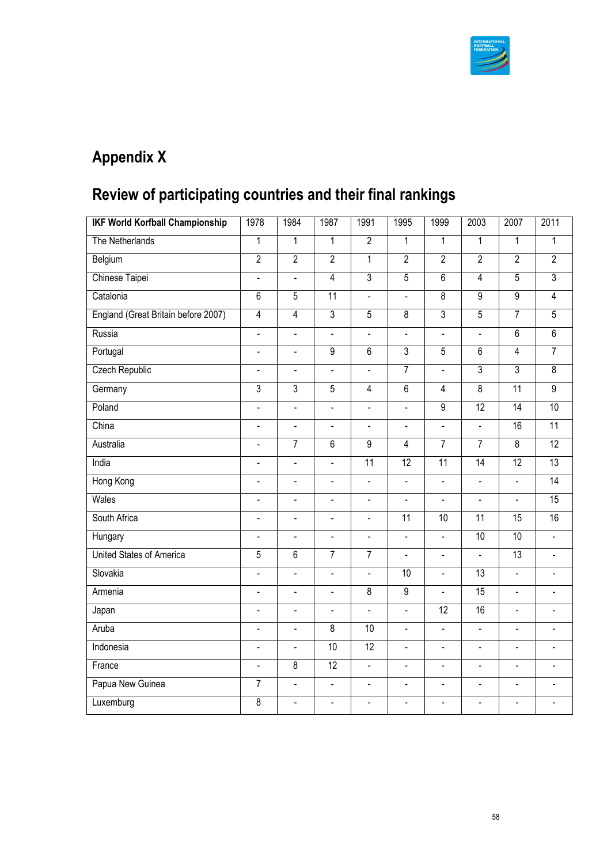

# <span id="page-59-0"></span>**Appendix X**

# <span id="page-59-1"></span>**Review of participating countries and their final rankings**

| <b>IKF World Korfball Championship</b> | 1978                     | 1984                     | 1987           | 1991                     | 1995                     | 1999                     | 2003                     | 2007                     | 2011                     |
|----------------------------------------|--------------------------|--------------------------|----------------|--------------------------|--------------------------|--------------------------|--------------------------|--------------------------|--------------------------|
| The Netherlands                        | $\mathbf 1$              | $\mathbf 1$              | 1              | $\overline{2}$           | $\mathbf{1}$             | 1                        | $\mathbf{1}$             | 1                        | $\mathbf{1}$             |
| Belgium                                | $\overline{2}$           | $\overline{2}$           | $\overline{2}$ | $\overline{1}$           | $\overline{2}$           | $\overline{2}$           | $\overline{2}$           | $\overline{2}$           | $\overline{2}$           |
| Chinese Taipei                         | $\overline{a}$           | $\overline{a}$           | $\overline{4}$ | $\overline{3}$           | $\overline{5}$           | 6                        | $\overline{4}$           | $\overline{5}$           | $\overline{3}$           |
| Catalonia                              | $\overline{6}$           | 5                        | 11             | $\overline{a}$           | L.                       | $\overline{8}$           | $\overline{9}$           | 9                        | $\overline{4}$           |
| England (Great Britain before 2007)    | 4                        | 4                        | $\overline{3}$ | $\overline{5}$           | $\overline{8}$           | $\overline{3}$           | $\overline{5}$           | $\overline{7}$           | $\overline{5}$           |
| Russia                                 | ä,                       | $\overline{\phantom{a}}$ | $\overline{a}$ | $\mathbf{r}$             | $\Box$                   | $\mathbf{r}$             | $\mathbf{r}$             | $\overline{6}$           | 6                        |
| Portugal                               | $\blacksquare$           | ä,                       | $\overline{9}$ | $\overline{6}$           | $\overline{3}$           | $\overline{5}$           | 6                        | 4                        | $\overline{7}$           |
| <b>Czech Republic</b>                  | $\blacksquare$           | $\Box$                   | $\mathbf{r}$   | $\overline{a}$           | $\overline{7}$           | $\overline{a}$           | $\overline{3}$           | $\overline{3}$           | $\overline{8}$           |
| Germany                                | 3                        | $\overline{3}$           | $\overline{5}$ | 4                        | $\overline{6}$           | $\overline{4}$           | $\overline{8}$           | 11                       | $\overline{9}$           |
| Poland                                 | ä,                       | $\Box$                   | $\overline{a}$ | $\overline{\phantom{a}}$ | $\Box$                   | $\overline{9}$           | 12                       | 14                       | 10                       |
| China                                  | ä,                       | ä,                       | $\blacksquare$ | $\mathbf{r}$             | $\blacksquare$           | $\blacksquare$           | $\overline{a}$           | 16                       | 11                       |
| Australia                              | $\blacksquare$           | $\overline{7}$           | 6              | $\overline{9}$           | $\overline{4}$           | $\overline{7}$           | $\overline{7}$           | $\overline{8}$           | 12                       |
| India                                  | ä,                       | $\Box$                   | $\overline{a}$ | 11                       | 12                       | 11                       | 14                       | 12                       | 13                       |
| Hong Kong                              | $\blacksquare$           | $\blacksquare$           | ä,             | L.                       | $\overline{\phantom{a}}$ | $\blacksquare$           | ä,                       | $\blacksquare$           | 14                       |
| Wales                                  | $\blacksquare$           | $\blacksquare$           | $\blacksquare$ | $\mathbf{r}$             | $\blacksquare$           | $\blacksquare$           | $\blacksquare$           | ä,                       | 15                       |
| South Africa                           | $\blacksquare$           | $\blacksquare$           | ä,             | $\Box$                   | 11                       | 10                       | $\overline{11}$          | $\overline{15}$          | 16                       |
| Hungary                                | $\blacksquare$           | $\blacksquare$           | $\blacksquare$ | $\blacksquare$           | $\blacksquare$           | $\blacksquare$           | 10                       | 10                       | $\overline{\phantom{a}}$ |
| United States of America               | $\overline{5}$           | $\overline{6}$           | $\overline{7}$ | $\overline{7}$           | $\blacksquare$           | $\overline{\phantom{a}}$ | $\blacksquare$           | 13                       | $\blacksquare$           |
| Slovakia                               | $\blacksquare$           | $\blacksquare$           | $\blacksquare$ | $\overline{\phantom{a}}$ | 10                       | $\blacksquare$           | $\overline{13}$          | $\blacksquare$           |                          |
| Armenia                                | $\blacksquare$           | $\blacksquare$           | $\blacksquare$ | $\overline{8}$           | $\overline{9}$           | $\overline{a}$           | 15                       | ÷.                       | $\blacksquare$           |
| Japan                                  | $\blacksquare$           | $\blacksquare$           | $\blacksquare$ | $\Box$                   | $\overline{\phantom{a}}$ | 12                       | 16                       | $\blacksquare$           | $\overline{\phantom{a}}$ |
| Aruba                                  | $\blacksquare$           | $\blacksquare$           | $\overline{8}$ | 10                       | $\blacksquare$           | $\blacksquare$           | $\blacksquare$           | $\overline{\phantom{a}}$ | $\blacksquare$           |
| Indonesia                              | $\blacksquare$           | $\blacksquare$           | 10             | 12                       | $\Box$                   | $\overline{\phantom{a}}$ | $\overline{\phantom{a}}$ | $\blacksquare$           | $\blacksquare$           |
| France                                 | $\overline{\phantom{a}}$ | $\overline{8}$           | 12             | $\overline{\phantom{a}}$ | $\Box$                   | $\blacksquare$           | $\blacksquare$           | $\blacksquare$           | ä,                       |
| Papua New Guinea                       | $\overline{7}$           | $\blacksquare$           | $\frac{1}{2}$  | $\blacksquare$           | $\blacksquare$           | $\blacksquare$           | $\blacksquare$           | $\blacksquare$           | $\blacksquare$           |
| Luxemburg                              | $\overline{8}$           | $\blacksquare$           | ä,             | $\blacksquare$           | $\blacksquare$           | $\blacksquare$           | $\blacksquare$           | $\blacksquare$           | $\blacksquare$           |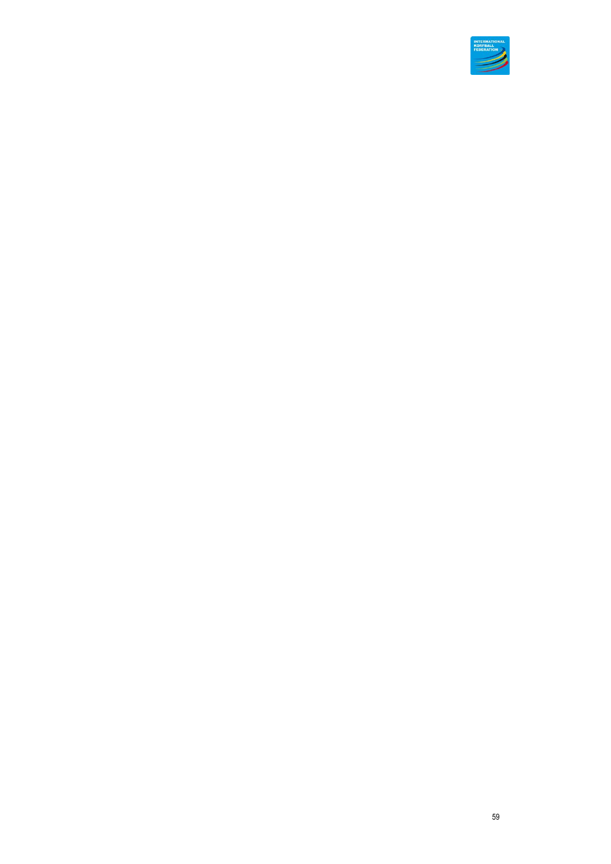